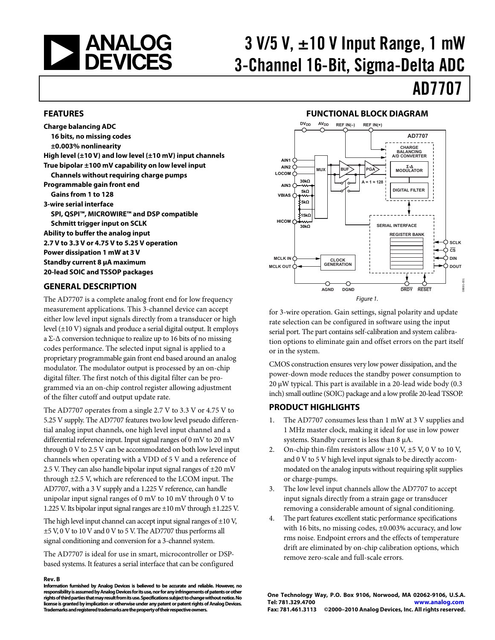<span id="page-0-0"></span>

# $3$  V/5 V,  $\pm$ 10 V Input Range, 1 mW 3-Channel 16-Bit, Sigma-Delta ADC

# AD7707

#### **FEATURES**

**Charge balancing ADC 16 bits, no missing codes ±0.003% nonlinearity High level (±10 V) and low level (±10 mV) input channels True bipolar ±100 mV capability on low level input Channels without requiring charge pumps Programmable gain front end Gains from 1 to 128 3-wire serial interface SPI, QSPI™, MICROWIRE™ and DSP compatible Schmitt trigger input on SCLK Ability to buffer the analog input 2.7 V to 3.3 V or 4.75 V to 5.25 V operation Power dissipation 1 mW at 3 V Standby current 8 μA maximum 20-lead SOIC and TSSOP packages** 

#### **GENERAL DESCRIPTION**

The AD7707 is a complete analog front end for low frequency measurement applications. This 3-channel device can accept either low level input signals directly from a transducer or high level (±10 V) signals and produce a serial digital output. It employs a  $\Sigma$ - $\Delta$  conversion technique to realize up to 16 bits of no missing codes performance. The selected input signal is applied to a proprietary programmable gain front end based around an analog modulator. The modulator output is processed by an on-chip digital filter. The first notch of this digital filter can be programmed via an on-chip control register allowing adjustment of the filter cutoff and output update rate.

The AD7707 operates from a single 2.7 V to 3.3 V or 4.75 V to 5.25 V supply. The AD7707 features two low level pseudo differential analog input channels, one high level input channel and a differential reference input. Input signal ranges of 0 mV to 20 mV through 0 V to 2.5 V can be accommodated on both low level input channels when operating with a VDD of 5 V and a reference of 2.5 V. They can also handle bipolar input signal ranges of  $\pm 20$  mV through ±2.5 V, which are referenced to the LCOM input. The AD7707, with a 3 V supply and a 1.225 V reference, can handle unipolar input signal ranges of 0 mV to 10 mV through 0 V to 1.225 V. Its bipolar input signal ranges are ±10 mV through ±1.225 V.

The high level input channel can accept input signal ranges of  $\pm 10$  V, ±5 V, 0 V to 10 V and 0 V to 5 V. The AD7707 thus performs all signal conditioning and conversion for a 3-channel system.

The AD7707 is ideal for use in smart, microcontroller or DSPbased systems. It features a serial interface that can be configured

#### **Rev. B**

### **FUNCTIONAL BLOCK DIAGRAM**



for 3-wire operation. Gain settings, signal polarity and update rate selection can be configured in software using the input serial port. The part contains self-calibration and system calibration options to eliminate gain and offset errors on the part itself or in the system.

CMOS construction ensures very low power dissipation, and the power-down mode reduces the standby power consumption to 20 μW typical. This part is available in a 20-lead wide body (0.3 inch) small outline (SOIC) package and a low profile 20-lead TSSOP.

### **PRODUCT HIGHLIGHTS**

- 1. The AD7707 consumes less than 1 mW at 3 V supplies and 1 MHz master clock, making it ideal for use in low power systems. Standby current is less than 8 μA.
- 2. On-chip thin-film resistors allow  $\pm 10$  V,  $\pm 5$  V, 0 V to 10 V, and 0 V to 5 V high level input signals to be directly accommodated on the analog inputs without requiring split supplies or charge-pumps.
- 3. The low level input channels allow the AD7707 to accept input signals directly from a strain gage or transducer removing a considerable amount of signal conditioning.
- The part features excellent static performance specifications with 16 bits, no missing codes, ±0.003% accuracy, and low rms noise. Endpoint errors and the effects of temperature drift are eliminated by on-chip calibration options, which remove zero-scale and full-scale errors.

**Information furnished by Analog Devices is believed to be accurate and reliable. However, no responsibility is assumed by Analog Devices for its use, nor for any infringements of patents or other rights of third parties that may result from its use. Specifications subject to change without notice. No license is granted by implication or otherwise under any patent or patent rights of Analog Devices. Trademarks and registered trademarks are the property of their respective owners.**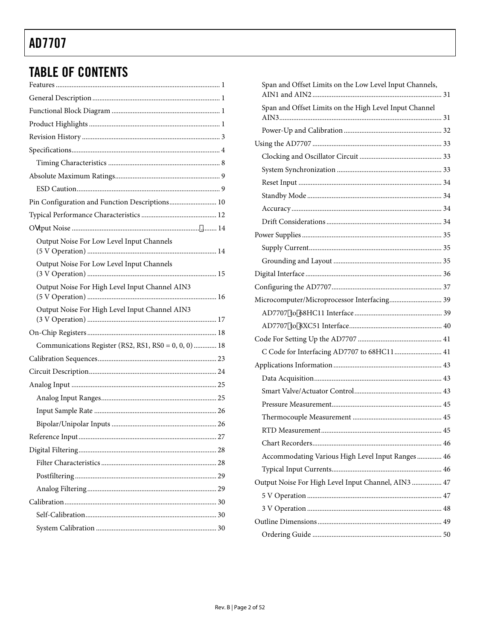# **TABLE OF CONTENTS**

| Pin Configuration and Function Descriptions 10       |
|------------------------------------------------------|
|                                                      |
|                                                      |
| Output Noise For Low Level Input Channels            |
| Output Noise For Low Level Input Channels            |
| Output Noise For High Level Input Channel AIN3       |
| Output Noise For High Level Input Channel AIN3       |
|                                                      |
| Communications Register (RS2, RS1, RS0 = 0, 0, 0) 18 |
|                                                      |
|                                                      |
|                                                      |
|                                                      |
|                                                      |
|                                                      |
|                                                      |
|                                                      |
|                                                      |
|                                                      |
|                                                      |
|                                                      |
|                                                      |
|                                                      |

| Span and Offset Limits on the Low Level Input Channels, |  |
|---------------------------------------------------------|--|
| Span and Offset Limits on the High Level Input Channel  |  |
|                                                         |  |
|                                                         |  |
|                                                         |  |
|                                                         |  |
|                                                         |  |
|                                                         |  |
|                                                         |  |
|                                                         |  |
|                                                         |  |
|                                                         |  |
|                                                         |  |
|                                                         |  |
|                                                         |  |
| Microcomputer/Microprocessor Interfacing 39             |  |
|                                                         |  |
|                                                         |  |
|                                                         |  |
| C Code for Interfacing AD7707 to 68HC11  41             |  |
|                                                         |  |
|                                                         |  |
|                                                         |  |
|                                                         |  |
|                                                         |  |
|                                                         |  |
|                                                         |  |
| Accommodating Various High Level Input Ranges  46       |  |
|                                                         |  |
| Output Noise For High Level Input Channel, AIN3  47     |  |
|                                                         |  |
|                                                         |  |
|                                                         |  |
|                                                         |  |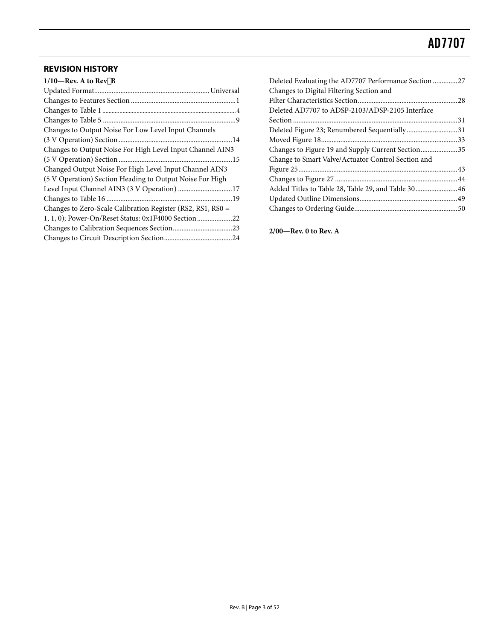### <span id="page-2-0"></span>**REVISION HISTORY**

| $1/10$ —Rev. A to Rev $\check{z}$ B                         |
|-------------------------------------------------------------|
|                                                             |
|                                                             |
|                                                             |
|                                                             |
| Changes to Output Noise For Low Level Input Channels        |
|                                                             |
| Changes to Output Noise For High Level Input Channel AIN3   |
|                                                             |
| Changed Output Noise For High Level Input Channel AIN3      |
| (5 V Operation) Section Heading to Output Noise For High    |
| Level Input Channel AIN3 (3 V Operation) 17                 |
|                                                             |
| Changes to Zero-Scale Calibration Register (RS2, RS1, RS0 = |
| 1, 1, 0); Power-On/Reset Status: 0x1F4000 Section 22        |
|                                                             |
|                                                             |
|                                                             |

| Deleted Evaluating the AD7707 Performance Section 27 |  |
|------------------------------------------------------|--|
| Changes to Digital Filtering Section and             |  |
|                                                      |  |
| Deleted AD7707 to ADSP-2103/ADSP-2105 Interface      |  |
|                                                      |  |
| Deleted Figure 23; Renumbered Sequentially31         |  |
|                                                      |  |
| Changes to Figure 19 and Supply Current Section35    |  |
| Change to Smart Valve/Actuator Control Section and   |  |
|                                                      |  |
|                                                      |  |
|                                                      |  |
|                                                      |  |
|                                                      |  |
|                                                      |  |

**2/00—Rev. 0 to Rev. A**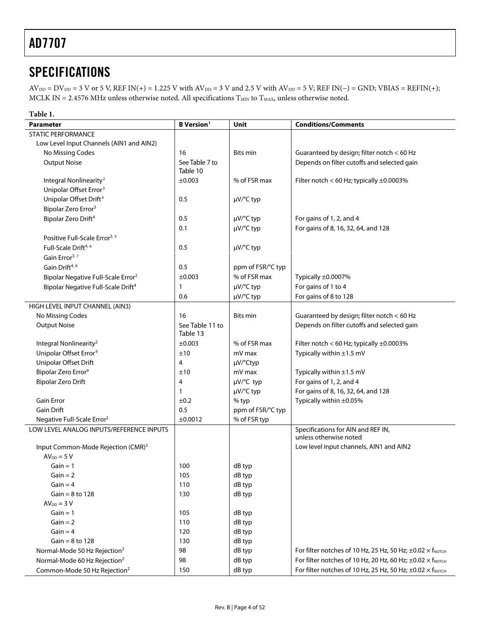# <span id="page-3-0"></span>**SPECIFICATIONS**

 $AV_{DD} = DV_{DD} = 3 V$  or 5 V, REF IN(+) = 1.225 V with  $AV_{DD} = 3 V$  and 2.5 V with  $AV_{DD} = 5 V$ ; REF IN(−) = GND; VBIAS = REFIN(+); MCLK IN = 2.4576 MHz unless otherwise noted. All specifications  $T_{\text{MIN}}$  to  $T_{\text{MAX}}$ , unless otherwise noted.

| Table 1.                                       |                               |                          |                                                                                   |
|------------------------------------------------|-------------------------------|--------------------------|-----------------------------------------------------------------------------------|
| <b>Parameter</b>                               | <b>B</b> Version <sup>1</sup> | Unit                     | <b>Conditions/Comments</b>                                                        |
| <b>STATIC PERFORMANCE</b>                      |                               |                          |                                                                                   |
| Low Level Input Channels (AIN1 and AIN2)       |                               |                          |                                                                                   |
| No Missing Codes                               | 16                            | <b>Bits min</b>          | Guaranteed by design; filter notch < 60 Hz                                        |
| <b>Output Noise</b>                            | See Table 7 to<br>Table 10    |                          | Depends on filter cutoffs and selected gain                                       |
| Integral Nonlinearity <sup>2</sup>             | ±0.003                        | % of FSR max             | Filter notch < 60 Hz; typically $\pm 0.0003\%$                                    |
| Unipolar Offset Error <sup>3</sup>             |                               |                          |                                                                                   |
| Unipolar Offset Drift <sup>4</sup>             | 0.5                           | µV/°C typ                |                                                                                   |
| Bipolar Zero Error <sup>3</sup>                |                               |                          |                                                                                   |
| Bipolar Zero Drift <sup>4</sup>                | 0.5                           | µV/°C typ                | For gains of 1, 2, and 4                                                          |
|                                                | 0.1                           | $\mu$ V/ $\degree$ C typ | For gains of 8, 16, 32, 64, and 128                                               |
| Positive Full-Scale Error <sup>3, 5</sup>      |                               |                          |                                                                                   |
| Full-Scale Drift <sup>4, 6</sup>               | 0.5                           | µV/°C typ                |                                                                                   |
| Gain Error <sup>3, 7</sup>                     |                               |                          |                                                                                   |
| Gain Drift <sup>4, 8</sup>                     | 0.5                           | ppm of FSR/°C typ        |                                                                                   |
| Bipolar Negative Full-Scale Error <sup>2</sup> | ±0.003                        | % of FSR max             | Typically ±0.0007%                                                                |
| Bipolar Negative Full-Scale Drift <sup>4</sup> | $\mathbf{1}$                  | µV/°C typ                | For gains of 1 to 4                                                               |
|                                                | 0.6                           | µV/°C typ                | For gains of 8 to 128                                                             |
| HIGH LEVEL INPUT CHANNEL (AIN3)                |                               |                          |                                                                                   |
| No Missing Codes                               | 16                            | Bits min                 | Guaranteed by design; filter notch < 60 Hz                                        |
| <b>Output Noise</b>                            | See Table 11 to<br>Table 13   |                          | Depends on filter cutoffs and selected gain                                       |
| Integral Nonlinearity <sup>2</sup>             | ±0.003                        | % of FSR max             | Filter notch < 60 Hz; typically $\pm 0.0003\%$                                    |
| Unipolar Offset Error <sup>9</sup>             | ±10                           | mV max                   | Typically within $\pm 1.5$ mV                                                     |
| Unipolar Offset Drift                          | 4                             | µV/°Ctyp                 |                                                                                   |
| Bipolar Zero Error <sup>9</sup>                | ±10                           | mV max                   | Typically within ±1.5 mV                                                          |
| <b>Bipolar Zero Drift</b>                      | 4                             | µV/°C typ                | For gains of 1, 2, and 4                                                          |
|                                                | $\mathbf{1}$                  | µV/°C typ                | For gains of 8, 16, 32, 64, and 128                                               |
| <b>Gain Error</b>                              | ±0.2                          | % typ                    | Typically within ±0.05%                                                           |
| <b>Gain Drift</b>                              | 0.5                           | ppm of FSR/°C typ        |                                                                                   |
| Negative Full-Scale Error <sup>2</sup>         | ±0.0012                       | % of FSR typ             |                                                                                   |
| LOW LEVEL ANALOG INPUTS/REFERENCE INPUTS       |                               |                          | Specifications for AIN and REF IN,<br>unless otherwise noted                      |
| Input Common-Mode Rejection (CMR) <sup>2</sup> |                               |                          | Low level input channels, AIN1 and AIN2                                           |
| $AV_{DD} = 5 V$                                |                               |                          |                                                                                   |
| $Gain = 1$                                     | 100                           | dB typ                   |                                                                                   |
| $Gain = 2$                                     | 105                           | dB typ                   |                                                                                   |
| $Gain = 4$                                     | 110                           | dB typ                   |                                                                                   |
| $Gain = 8$ to 128                              | 130                           | dB typ                   |                                                                                   |
| $AVDD = 3 V$                                   |                               |                          |                                                                                   |
| $Gain = 1$                                     | 105                           | dB typ                   |                                                                                   |
| $Gain = 2$                                     | 110                           | dB typ                   |                                                                                   |
| Gain = $4$                                     | 120                           | dB typ                   |                                                                                   |
| Gain = $8$ to 128                              | 130                           | dB typ                   |                                                                                   |
| Normal-Mode 50 Hz Rejection <sup>2</sup>       | 98                            | dB typ                   | For filter notches of 10 Hz, 25 Hz, 50 Hz; $\pm$ 0.02 $\times$ f <sub>NOTCH</sub> |
| Normal-Mode 60 Hz Rejection <sup>2</sup>       | 98                            | dB typ                   | For filter notches of 10 Hz, 20 Hz, 60 Hz; $\pm$ 0.02 $\times$ f <sub>NOTCH</sub> |
| Common-Mode 50 Hz Rejection <sup>2</sup>       | 150                           | dB typ                   | For filter notches of 10 Hz, 25 Hz, 50 Hz; $\pm$ 0.02 $\times$ f <sub>NOTCH</sub> |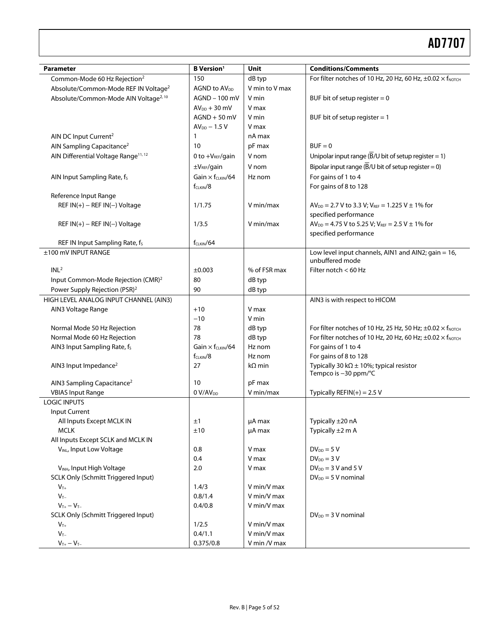| <b>Parameter</b>                                  | <b>B</b> Version <sup>1</sup>        | Unit           | <b>Conditions/Comments</b>                                                        |
|---------------------------------------------------|--------------------------------------|----------------|-----------------------------------------------------------------------------------|
| Common-Mode 60 Hz Rejection <sup>2</sup>          | 150                                  | dB typ         | For filter notches of 10 Hz, 20 Hz, 60 Hz, $\pm$ 0.02 $\times$ f <sub>NOTCH</sub> |
| Absolute/Common-Mode REF IN Voltage <sup>2</sup>  | AGND to AV <sub>DD</sub>             | V min to V max |                                                                                   |
| Absolute/Common-Mode AIN Voltage <sup>2, 10</sup> | AGND - 100 mV                        | V min          | BUF bit of setup register $= 0$                                                   |
|                                                   | $AV_{DD} + 30$ mV                    | V max          |                                                                                   |
|                                                   | $AGND + 50$ mV                       | V min          | BUF bit of setup register $= 1$                                                   |
|                                                   | $AV_{DD}$ – 1.5 V                    | V max          |                                                                                   |
| AIN DC Input Current <sup>2</sup>                 | 1                                    | nA max         |                                                                                   |
| AIN Sampling Capacitance <sup>2</sup>             | 10                                   | pF max         | $BUF = 0$                                                                         |
| AIN Differential Voltage Range <sup>11, 12</sup>  | 0 to $+V_{REF}/gain$                 | V nom          | Unipolar input range $(B/U)$ bit of setup register = 1)                           |
|                                                   | $\pm V_{REF}/gain$                   | V nom          | Bipolar input range $(B/U$ bit of setup register = 0)                             |
| AIN Input Sampling Rate, fs                       | Gain $\times$ f <sub>CLKIN</sub> /64 | Hz nom         | For gains of 1 to 4                                                               |
|                                                   | $f_{CLKIN}/8$                        |                | For gains of 8 to 128                                                             |
| Reference Input Range                             |                                      |                |                                                                                   |
| REF $IN(+)$ – REF $IN(-)$ Voltage                 | 1/1.75                               | V min/max      | $AV_{DD} = 2.7 V$ to 3.3 V; $V_{REF} = 1.225 V \pm 1\%$ for                       |
|                                                   |                                      |                | specified performance                                                             |
| REF $IN(+)$ – REF $IN(-)$ Voltage                 | 1/3.5                                | V min/max      | $AV_{DD} = 4.75 V$ to 5.25 V; $V_{REF} = 2.5 V \pm 1\%$ for                       |
|                                                   |                                      |                | specified performance                                                             |
| REF IN Input Sampling Rate, f <sub>s</sub>        | $f_{CIRIN}/64$                       |                |                                                                                   |
| ±100 mV INPUT RANGE                               |                                      |                | Low level input channels, AIN1 and AIN2; gain = 16,                               |
| INL <sup>2</sup>                                  | $\pm 0.003$                          | % of FSR max   | unbuffered mode<br>Filter notch < 60 Hz                                           |
| Input Common-Mode Rejection (CMR) <sup>2</sup>    | 80                                   | dB typ         |                                                                                   |
| Power Supply Rejection (PSR) <sup>2</sup>         | 90                                   | dB typ         |                                                                                   |
| HIGH LEVEL ANALOG INPUT CHANNEL (AIN3)            |                                      |                | AIN3 is with respect to HICOM                                                     |
| AIN3 Voltage Range                                | $+10$                                | V max          |                                                                                   |
|                                                   | $-10$                                | V min          |                                                                                   |
| Normal Mode 50 Hz Rejection                       | 78                                   | dB typ         | For filter notches of 10 Hz, 25 Hz, 50 Hz; $\pm$ 0.02 $\times$ f <sub>NOTCH</sub> |
| Normal Mode 60 Hz Rejection                       | 78                                   | dB typ         | For filter notches of 10 Hz, 20 Hz, 60 Hz; $\pm$ 0.02 $\times$ f <sub>NOTCH</sub> |
| AIN3 Input Sampling Rate, fs                      | Gain $\times$ for KIN/64             | Hz nom         | For gains of 1 to 4                                                               |
|                                                   | $f_{CLKIN}/8$                        | Hz nom         | For gains of 8 to 128                                                             |
| AIN3 Input Impedance <sup>2</sup>                 | 27                                   | $k\Omega$ min  | Typically 30 k $\Omega$ ± 10%; typical resistor                                   |
|                                                   |                                      |                | Tempco is -30 ppm/°C                                                              |
| AIN3 Sampling Capacitance <sup>2</sup>            | 10                                   | pF max         |                                                                                   |
| <b>VBIAS Input Range</b>                          | 0 V/AV <sub>DD</sub>                 | V min/max      | Typically REFIN $(+)$ = 2.5 V                                                     |
| <b>LOGIC INPUTS</b>                               |                                      |                |                                                                                   |
| Input Current                                     |                                      |                |                                                                                   |
| All Inputs Except MCLK IN                         | ±1                                   | µA max         | Typically ±20 nA                                                                  |
| <b>MCLK</b>                                       | ±10                                  | µA max         | Typically $\pm 2$ m A                                                             |
| All Inputs Except SCLK and MCLK IN                |                                      |                |                                                                                   |
| VINL, Input Low Voltage                           | 0.8                                  | V max          | $DV_{DD} = 5 V$                                                                   |
|                                                   | 0.4                                  | V max          | $DV_{DD} = 3 V$                                                                   |
| VINH, Input High Voltage                          | 2.0                                  | V max          | $DV_{DD} = 3 V$ and 5 V                                                           |
| SCLK Only (Schmitt Triggered Input)               |                                      |                | $DV_{DD} = 5 V$ nominal                                                           |
| $V_{T+}$                                          | 1.4/3                                | V min/V max    |                                                                                   |
| $V_T$                                             | 0.8/1.4                              | V min/V max    |                                                                                   |
| $V_{T+} - V_{T-}$                                 | 0.4/0.8                              | V min/V max    |                                                                                   |
| SCLK Only (Schmitt Triggered Input)               |                                      |                | $DV_{DD} = 3 V$ nominal                                                           |
| $V_{T+}$                                          | 1/2.5                                | V min/V max    |                                                                                   |
| $V_{T-}$                                          | 0.4/1.1                              | V min/V max    |                                                                                   |
| $V_{T+}-V_{T-}$                                   | 0.375/0.8                            | V min /V max   |                                                                                   |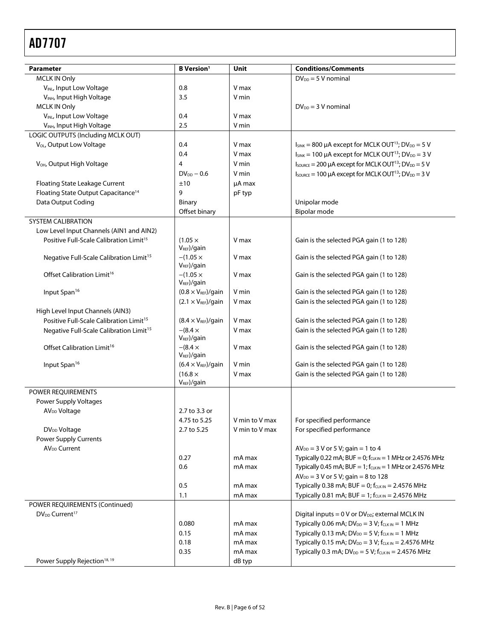<span id="page-5-3"></span><span id="page-5-2"></span><span id="page-5-1"></span><span id="page-5-0"></span>

| <b>Parameter</b>                                    | <b>B</b> Version <sup>1</sup>       | Unit           | <b>Conditions/Comments</b>                                                                 |
|-----------------------------------------------------|-------------------------------------|----------------|--------------------------------------------------------------------------------------------|
| <b>MCLK IN Only</b>                                 |                                     |                | $DV_{DD} = 5 V$ nominal                                                                    |
| VINL, Input Low Voltage                             | 0.8                                 | V max          |                                                                                            |
| VINH, Input High Voltage                            | 3.5                                 | V min          |                                                                                            |
| <b>MCLK IN Only</b>                                 |                                     |                | $DV_{DD} = 3 V$ nominal                                                                    |
| VINL, Input Low Voltage                             | 0.4                                 | V max          |                                                                                            |
| VINH, Input High Voltage                            | 2.5                                 | V min          |                                                                                            |
| LOGIC OUTPUTS (Including MCLK OUT)                  |                                     |                |                                                                                            |
| V <sub>OL</sub> , Output Low Voltage                | 0.4                                 | V max          | $I_{SINK}$ = 800 µA except for MCLK OUT <sup>13</sup> ; DV <sub>DD</sub> = 5 V             |
|                                                     | 0.4                                 | V max          | $I_{\text{SINK}} = 100 \mu A$ except for MCLK OUT <sup>13</sup> ; DV <sub>DD</sub> = 3 V   |
| V <sub>OH</sub> , Output High Voltage               | 4                                   | V min          | $I_{\text{SOURCE}} = 200 \mu A$ except for MCLK OUT <sup>13</sup> ; DV <sub>DD</sub> = 5 V |
|                                                     | $DV_{DD} - 0.6$                     | V min          | $I_{\text{SOWRCE}} = 100 \mu A$ except for MCLK OUT <sup>13</sup> ; DV <sub>DD</sub> = 3 V |
| Floating State Leakage Current                      | ±10                                 | µA max         |                                                                                            |
| Floating State Output Capacitance <sup>14</sup>     | 9                                   | pF typ         |                                                                                            |
| Data Output Coding                                  | <b>Binary</b>                       |                | Unipolar mode                                                                              |
|                                                     | Offset binary                       |                | Bipolar mode                                                                               |
| <b>SYSTEM CALIBRATION</b>                           |                                     |                |                                                                                            |
| Low Level Input Channels (AIN1 and AIN2)            |                                     |                |                                                                                            |
| Positive Full-Scale Calibration Limit <sup>15</sup> | $(1.05 \times$<br>$V_{REF}$ )/gain  | V max          | Gain is the selected PGA gain (1 to 128)                                                   |
| Negative Full-Scale Calibration Limit <sup>15</sup> | $-(1.05 \times$<br>$V_{REF}$ )/gain | V max          | Gain is the selected PGA gain (1 to 128)                                                   |
| Offset Calibration Limit <sup>16</sup>              | $-(1.05 \times$<br>$V_{REF}$ )/gain | V max          | Gain is the selected PGA gain (1 to 128)                                                   |
| Input Span <sup>16</sup>                            | $(0.8 \times V_{REF})$ /gain        | V min          | Gain is the selected PGA gain (1 to 128)                                                   |
|                                                     | $(2.1 \times V_{REF})$ /gain        | V max          | Gain is the selected PGA gain (1 to 128)                                                   |
| High Level Input Channels (AIN3)                    |                                     |                |                                                                                            |
| Positive Full-Scale Calibration Limit <sup>15</sup> | $(8.4 \times V_{REF})$ /gain        | V max          | Gain is the selected PGA gain (1 to 128)                                                   |
| Negative Full-Scale Calibration Limit <sup>15</sup> | $-(8.4 \times$<br>$V_{REF}$ )/gain  | V max          | Gain is the selected PGA gain (1 to 128)                                                   |
| Offset Calibration Limit <sup>16</sup>              | $-(8.4 \times$<br>$V_{REF}$ /gain   | V max          | Gain is the selected PGA gain (1 to 128)                                                   |
| Input Span <sup>16</sup>                            | $(6.4 \times V_{REF})$ /gain        | V min          | Gain is the selected PGA gain (1 to 128)                                                   |
|                                                     | $(16.8 \times$                      | V max          | Gain is the selected PGA gain (1 to 128)                                                   |
|                                                     | V <sub>REF</sub> )/gain             |                |                                                                                            |
| POWER REQUIREMENTS                                  |                                     |                |                                                                                            |
| Power Supply Voltages                               |                                     |                |                                                                                            |
| AV <sub>DD</sub> Voltage                            | 2.7 to 3.3 or                       |                |                                                                                            |
|                                                     | 4.75 to 5.25                        | V min to V max | For specified performance                                                                  |
| DV <sub>DD</sub> Voltage                            | 2.7 to 5.25                         | V min to V max | For specified performance                                                                  |
| <b>Power Supply Currents</b>                        |                                     |                |                                                                                            |
| AV <sub>DD</sub> Current                            |                                     |                | $AV_{DD} = 3 V$ or 5 V; gain = 1 to 4                                                      |
|                                                     | 0.27                                | mA max         | Typically 0.22 mA; BUF = 0; $f_{CLKIN}$ = 1 MHz or 2.4576 MHz                              |
|                                                     | 0.6                                 | mA max         | Typically 0.45 mA; BUF = 1; $f_{CLKIN}$ = 1 MHz or 2.4576 MHz                              |
|                                                     |                                     |                | $AV_{DD} = 3 V$ or 5 V; gain = 8 to 128                                                    |
|                                                     | 0.5                                 | mA max         | Typically 0.38 mA; BUF = 0; $f_{CLK IN}$ = 2.4576 MHz                                      |
|                                                     | 1.1                                 | mA max         | Typically 0.81 mA; BUF = 1; $f_{CLK IN}$ = 2.4576 MHz                                      |
| POWER REQUIREMENTS (Continued)                      |                                     |                |                                                                                            |
| DV <sub>DD</sub> Current <sup>17</sup>              |                                     |                | Digital inputs = 0 V or DV <sub>DD</sub> ; external MCLK IN                                |
|                                                     | 0.080                               | mA max         | Typically 0.06 mA; $DV_{DD} = 3 V$ ; $f_{CLK IN} = 1 MHz$                                  |
|                                                     | 0.15                                | mA max         | Typically 0.13 mA; $DV_{DD} = 5 V$ ; $f_{CLK IN} = 1 MHz$                                  |
|                                                     | 0.18                                | mA max         | Typically 0.15 mA; $DV_{DD} = 3 V$ ; $f_{CLK IN} = 2.4576 MHz$                             |
|                                                     | 0.35                                | mA max         | Typically 0.3 mA; $DV_{DD} = 5 V$ ; $f_{CLKIN} = 2.4576 MHz$                               |
| Power Supply Rejection <sup>18, 19</sup>            |                                     | dB typ         |                                                                                            |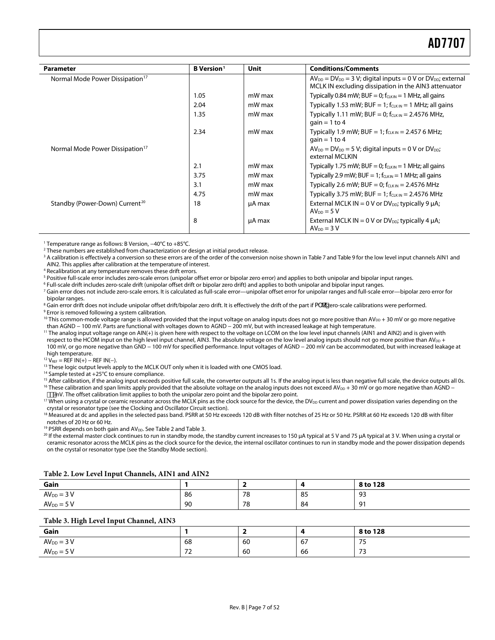<span id="page-6-4"></span>

| <b>Parameter</b>                            | <b>B</b> Version <sup>1</sup> | Unit   | <b>Conditions/Comments</b>                                                                                                       |
|---------------------------------------------|-------------------------------|--------|----------------------------------------------------------------------------------------------------------------------------------|
| Normal Mode Power Dissipation <sup>17</sup> |                               |        | $AV_{DD} = DV_{DD} = 3 V$ ; digital inputs = 0 V or $DV_{DD}$ ; external<br>MCLK IN excluding dissipation in the AIN3 attenuator |
|                                             | 1.05                          | mW max | Typically 0.84 mW; BUF = 0; $f_{CLKIN}$ = 1 MHz, all gains                                                                       |
|                                             | 2.04                          | mW max | Typically 1.53 mW; BUF = 1; $f_{CLKIN}$ = 1 MHz; all gains                                                                       |
|                                             | 1.35                          | mW max | Typically 1.11 mW; BUF = 0; $f_{CLKIN}$ = 2.4576 MHz,<br>gain = $1$ to $4$                                                       |
|                                             | 2.34                          | mW max | Typically 1.9 mW; BUF = 1; $f_{C1KN}$ = 2.457 6 MHz;<br>gain = $1$ to $4$                                                        |
| Normal Mode Power Dissipation <sup>17</sup> |                               |        | $AV_{DD} = DV_{DD} = 5 V$ ; digital inputs = 0 V or DV <sub>DD</sub> ;<br>external MCLKIN                                        |
|                                             | 2.1                           | mW max | Typically 1.75 mW; BUF = 0; $f_{CLKIN}$ = 1 MHz; all gains                                                                       |
|                                             | 3.75                          | mW max | Typically 2.9 mW; BUF = 1; $f_{CLKIN}$ = 1 MHz; all gains                                                                        |
|                                             | 3.1                           | mW max | Typically 2.6 mW; BUF = 0; $f_{CLKIN}$ = 2.4576 MHz                                                                              |
|                                             | 4.75                          | mW max | Typically 3.75 mW; BUF = 1; $f_{CLKIN}$ = 2.4576 MHz                                                                             |
| Standby (Power-Down) Current <sup>20</sup>  | 18                            | µA max | External MCLK IN = $0$ V or DV <sub>pp</sub> ; typically 9 $\mu$ A;<br>$AV_{DD} = 5V$                                            |
|                                             | 8                             | µA max | External MCLK IN = $0$ V or DV <sub>DD</sub> ; typically 4 $\mu$ A;<br>$AV_{DD} = 3 V$                                           |

<span id="page-6-2"></span><span id="page-6-1"></span><span id="page-6-0"></span>1 Temperature range as follows: B Version, −40°C to +85°C.

2 These numbers are established from characterization or design at initial product release.

<sup>3</sup> A calibration is effectively a conversion so these errors are of the order of the conversion noise shown i[n Table 7](#page-13-1) an[d Table 9 f](#page-14-2)or the low level input channels AIN1 and AIN2. This applies after calibration at the temperature of interest. 4

<sup>4</sup> Recalibration at any temperature removes these drift errors.

<sup>5</sup> Positive full-scale error includes zero-scale errors (unipolar offset error or bipolar zero error) and applies to both unipolar and bipolar input ranges.

<sup>6</sup> Full-scale drift includes zero-scale drift (unipolar offset drift or bipolar zero drift) and applies to both unipolar and bipolar input ranges.

<sup>7</sup> Gain error does not include zero-scale errors. It is calculated as full-scale error—unipolar offset error for unipolar ranges and full-scale error—bipolar zero error for bipolar ranges.

<sup>8</sup> Gain error drift does not include unipolar offset drift/bipolar zero drift. It is effectively the drift of the part if a` K zero-scale calibrations were performed.<br><sup>9 Error is removed following a system calibration</sup> <sup>9</sup> Error is removed following a system calibration.

<sup>10</sup> This common-mode voltage range is allowed provided that the input voltage on analog inputs does not go more positive than AV<sub>DD</sub> + 30 mV or go more negative<br>than AGND – 100 mV. Parts are functional with voltages down

<sup>11</sup> The analog input voltage range on AIN(+) is given here with respect to the voltage on LCOM on the low level input channels (AIN1 and AIN2) and is given with respect to the HCOM input on the high level input channel. AIN3. The absolute voltage on the low level analog inputs should not go more positive than AV<sub>DD</sub> + 100 mV, or go more negative than GND − 100 mV for specified performance. Input voltages of AGND − 200 mV can be accommodated, but with increased leakage at

<span id="page-6-3"></span>high temperature.<br><sup>12</sup> V<sub>REF</sub> = REF IN(+) – REF IN(-).

<sup>13</sup> These logic output levels apply to the MCLK OUT only when it is loaded with one CMOS load.

14 Sample tested at +25°C to ensure compliance.

<sup>15</sup> After calibration, if the analog input exceeds positive full scale, the converter outputs all 1s. If the analog input is less than negative full scale, the device outputs all 0s.<br><sup>16</sup> These calibration and span limit

<sup>17</sup> When using a crystal or ceramic resonator across the MCLK pins as the clock source for the device, the DV<sub>DD</sub> current and power dissipation varies depending on the crystal or resonator type (see the [Clocking and Oscillator Circuit s](#page-32-1)ection).

<sup>18</sup> Measured at dc and applies in the selected pass band. PSRR at 50 Hz exceeds 120 dB with filter notches of 25 Hz or 50 Hz. PSRR at 60 Hz exceeds 120 dB with filter

notches of 20 Hz or 60 Hz.<br><sup>19</sup> PSRR depends on both gain and AV<sub>DD</sub>. See Table 2 and Table 3.

<sup>20</sup> If the external master clock continues to run in standby mode, the standby current increases to 150 µA typical at 5 V and 75 µA typical at 3 V. When using a crystal or ceramic resonator across the MCLK pins as the clock source for the device, the internal oscillator continues to run in standby mode and the power dissipation depends on the crystal or resonator type (see the [Standby Mode s](#page-33-1)ection).

#### **Table 2. Low Level Input Channels, AIN1 and AIN2**

| Gain           |    |    |    | 8 to 128 |
|----------------|----|----|----|----------|
| $AV_{DD} = 3V$ | 86 | 78 | 85 | 93       |
| $AVDD = 5 V$   | 90 | 78 | 84 | 91       |

#### **Table 3. High Level Input Channel, AIN3**

<span id="page-6-5"></span>

| Gain           |           |    |    | 8 to 128             |
|----------------|-----------|----|----|----------------------|
| $AVDD = 3 V$   | 68        | 60 | 67 | 75<br>ر ر            |
| $AV_{DD} = 5V$ | $-1$<br>- | 60 | 66 | $\mathcal{L}$<br>ر ر |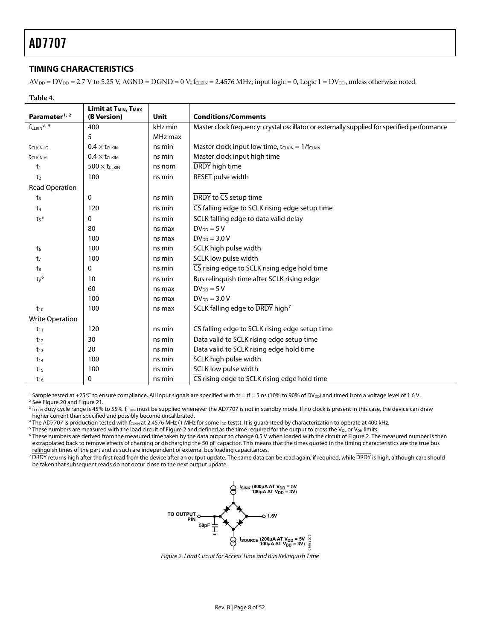### <span id="page-7-0"></span>**TIMING CHARACTERISTICS**

 $AV_{DD} = DV_{DD} = 2.7 V$  to 5.25 V, AGND = DGND = 0 V; f<sub>CLKIN</sub> = 2.4576 MHz; input logic = 0, Logic 1 = DV<sub>DD</sub>, unless otherwise noted.

**Table 4.** 

|                             | Limit at T <sub>MIN</sub> , T <sub>MAX</sub> |             |                                                                                             |
|-----------------------------|----------------------------------------------|-------------|---------------------------------------------------------------------------------------------|
| Parameter <sup>1, 2</sup>   | (B Version)                                  | <b>Unit</b> | <b>Conditions/Comments</b>                                                                  |
| $f_{CLKIN}$ <sup>3, 4</sup> | 400                                          | kHz min     | Master clock frequency: crystal oscillator or externally supplied for specified performance |
|                             | 5                                            | MHz max     |                                                                                             |
| t <sub>CLKIN LO</sub>       | $0.4 \times t_{CLKIN}$                       | ns min      | Master clock input low time, $t_{CLKIN} = 1/f_{CLKIN}$                                      |
| <b>t</b> CLKIN HI           | $0.4 \times t_{CLKIN}$                       | ns min      | Master clock input high time                                                                |
| $t_1$                       | $500 \times t_{CLKIN}$                       | ns nom      | DRDY high time                                                                              |
| t <sub>2</sub>              | 100                                          | ns min      | RESET pulse width                                                                           |
| <b>Read Operation</b>       |                                              |             |                                                                                             |
| t <sub>3</sub>              | 0                                            | ns min      | DRDY to CS setup time                                                                       |
| t <sub>4</sub>              | 120                                          | ns min      | CS falling edge to SCLK rising edge setup time                                              |
| t <sub>5</sub>              | 0                                            | ns min      | SCLK falling edge to data valid delay                                                       |
|                             | 80                                           | ns max      | $DV_{DD} = 5V$                                                                              |
|                             | 100                                          | ns max      | $DV_{DD} = 3.0 V$                                                                           |
| t <sub>6</sub>              | 100                                          | ns min      | SCLK high pulse width                                                                       |
| t <sub>7</sub>              | 100                                          | ns min      | SCLK low pulse width                                                                        |
| $t_8$                       | 0                                            | ns min      | CS rising edge to SCLK rising edge hold time                                                |
| t <sub>9</sub> 6            | 10                                           | ns min      | Bus relinquish time after SCLK rising edge                                                  |
|                             | 60                                           | ns max      | $DV_{DD} = 5V$                                                                              |
|                             | 100                                          | ns max      | $DV_{DD} = 3.0 V$                                                                           |
| $t_{10}$                    | 100                                          | ns max      | SCLK falling edge to DRDY high <sup>7</sup>                                                 |
| <b>Write Operation</b>      |                                              |             |                                                                                             |
| $t_{11}$                    | 120                                          | ns min      | CS falling edge to SCLK rising edge setup time                                              |
| $t_{12}$                    | 30                                           | ns min      | Data valid to SCLK rising edge setup time                                                   |
| $t_{13}$                    | 20                                           | ns min      | Data valid to SCLK rising edge hold time                                                    |
| $t_{14}$                    | 100                                          | ns min      | SCLK high pulse width                                                                       |
| $t_{15}$                    | 100                                          | ns min      | SCLK low pulse width                                                                        |
| $t_{16}$                    | 0                                            | ns min      | CS rising edge to SCLK rising edge hold time                                                |

<sup>1</sup> Sample tested at +25°C to ensure compliance. All input signals are specified with tr = tf = 5 ns (10% to 90% of DV<sub>DD</sub>) and timed from a voltage level of 1.6 V.<br><sup>2</sup> See Figure 20 and Figure 21

<sup>2</sup> Se[e Figure 20 a](#page-36-1)nd Figure 21.

 $^3$  f<sub>CLKIN</sub> duty cycle range is 45% to 55%. f<sub>CLKIN</sub> must be supplied whenever the AD7707 is not in standby mode. If no clock is present in this case, the device can draw higher current than specified and possibly become uncalibrated. 4

 $^4$  The AD7707 is production tested with f $_{\rm CLKIN}$  at 2.4576 MHz (1 MHz for some I $_{\rm DD}$  tests). It is guaranteed by characterization to operate at 400 kHz.

<sup>5</sup> These numbers are measured with the load circuit of Figure 2 and defined as the time required for the output to cross the V<sub>OL</sub> or V<sub>OH</sub> limits.

<sup>6</sup> These numbers are derived from the measured time taken by the data output to change 0.5 V when loaded with the circuit of Figure 2. The measured number is then extrapolated back to remove effects of charging or discharging the 50 pF capacitor. This means that the times quoted in the timing characteristics are the true bus relinquish times of the part and as such are independent of external bus loading capacitances.

 $^7$   $\overline{\rm DRDY}$  returns high after the first read from the device after an output update. The same data can be read again, if required, while  $\overline{\rm DRDY}$  is high, although care should be taken that subsequent reads do not occur close to the next output update.



Figure 2. Load Circuit for Access Time and Bus Relinquish Time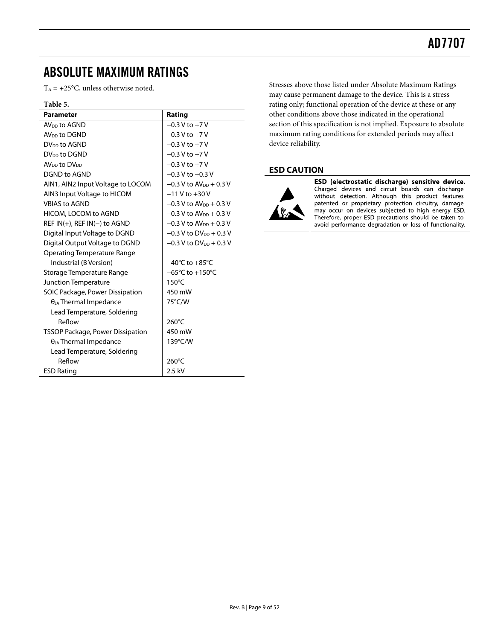## <span id="page-8-0"></span>ABSOLUTE MAXIMUM RATINGS

 $T_A = +25$ °C, unless otherwise noted.

#### **Table 5.**

| <b>Parameter</b>                     | Rating                                |
|--------------------------------------|---------------------------------------|
| AV <sub>DD</sub> to AGND             | $-0.3 V$ to $+7 V$                    |
| AV <sub>DD</sub> to DGND             | $-0.3$ V to $+7$ V                    |
| DV <sub>DD</sub> to AGND             | $-0.3 V$ to $+7 V$                    |
| DV <sub>DD</sub> to DGND             | $-0.3 V$ to $+7 V$                    |
| AV <sub>DD</sub> to DV <sub>DD</sub> | $-0.3$ V to $+7$ V                    |
| DGND to AGND                         | $-0.3$ V to $+0.3$ V                  |
| AIN1, AIN2 Input Voltage to LOCOM    | $-0.3$ V to AV <sub>pp</sub> $+0.3$ V |
| AIN3 Input Voltage to HICOM          | $-11$ V to $+30$ V                    |
| <b>VBIAS to AGND</b>                 | $-0.3$ V to AV <sub>DD</sub> + 0.3 V  |
| HICOM, LOCOM to AGND                 | $-0.3$ V to AV <sub>pp</sub> $+0.3$ V |
| REF $IN(+)$ , REF $IN(-)$ to AGND    | $-0.3$ V to AV <sub>DD</sub> + 0.3 V  |
| Digital Input Voltage to DGND        | $-0.3$ V to DV <sub>DD</sub> + 0.3 V  |
| Digital Output Voltage to DGND       | $-0.3$ V to DV <sub>pp</sub> + 0.3 V  |
| <b>Operating Temperature Range</b>   |                                       |
| Industrial (B Version)               | $-40^{\circ}$ C to $+85^{\circ}$ C    |
| Storage Temperature Range            | $-65^{\circ}$ C to $+150^{\circ}$ C   |
| Junction Temperature                 | $150^{\circ}$ C                       |
| SOIC Package, Power Dissipation      | 450 mW                                |
| $\theta_{JA}$ Thermal Impedance      | 75°C/W                                |
| Lead Temperature, Soldering          |                                       |
| Reflow                               | 260°C                                 |
| TSSOP Package, Power Dissipation     | 450 mW                                |
| $\theta_{JA}$ Thermal Impedance      | 139°C/W                               |
| Lead Temperature, Soldering          |                                       |
| Reflow                               | $260^{\circ}$ C                       |
| <b>ESD Rating</b>                    | 2.5 kV                                |

Stresses above those listed under Absolute Maximum Ratings may cause permanent damage to the device. This is a stress rating only; functional operation of the device at these or any other conditions above those indicated in the operational section of this specification is not implied. Exposure to absolute maximum rating conditions for extended periods may affect device reliability.

### **ESD CAUTION**



ESD (electrostatic discharge) sensitive device. Charged devices and circuit boards can discharge without detection. Although this product features patented or proprietary protection circuitry, damage may occur on devices subjected to high energy ESD. Therefore, proper ESD precautions should be taken to avoid performance degradation or loss of functionality.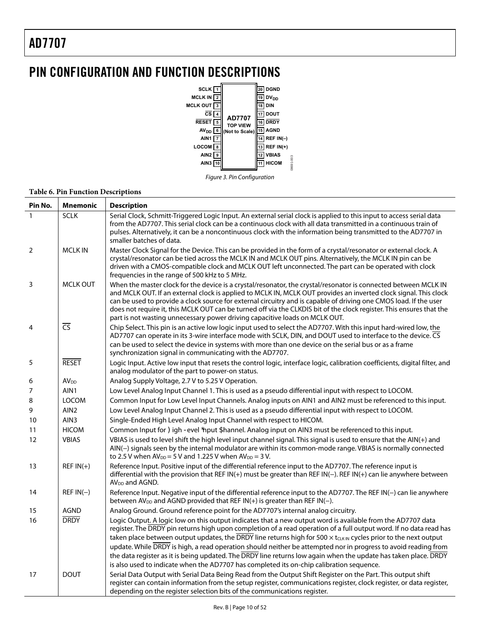# <span id="page-9-0"></span>PIN CONFIGURATION AND FUNCTION DESCRIPTIONS





#### **Table 6. Pin Function Descriptions**

| Pin No.      | <b>Mnemonic</b>        | <b>Description</b>                                                                                                                                                                                                                                                                                                                                                                                                                                                                                                                                              |
|--------------|------------------------|-----------------------------------------------------------------------------------------------------------------------------------------------------------------------------------------------------------------------------------------------------------------------------------------------------------------------------------------------------------------------------------------------------------------------------------------------------------------------------------------------------------------------------------------------------------------|
| $\mathbf{1}$ | <b>SCLK</b>            | Serial Clock, Schmitt-Triggered Logic Input. An external serial clock is applied to this input to access serial data<br>from the AD7707. This serial clock can be a continuous clock with all data transmitted in a continuous train of<br>pulses. Alternatively, it can be a noncontinuous clock with the information being transmitted to the AD7707 in<br>smaller batches of data.                                                                                                                                                                           |
| 2            | <b>MCLK IN</b>         | Master Clock Signal for the Device. This can be provided in the form of a crystal/resonator or external clock. A<br>crystal/resonator can be tied across the MCLK IN and MCLK OUT pins. Alternatively, the MCLK IN pin can be<br>driven with a CMOS-compatible clock and MCLK OUT left unconnected. The part can be operated with clock<br>frequencies in the range of 500 kHz to 5 MHz.                                                                                                                                                                        |
| 3            | <b>MCLK OUT</b>        | When the master clock for the device is a crystal/resonator, the crystal/resonator is connected between MCLK IN<br>and MCLK OUT. If an external clock is applied to MCLK IN, MCLK OUT provides an inverted clock signal. This clock<br>can be used to provide a clock source for external circuitry and is capable of driving one CMOS load. If the user<br>does not require it, this MCLK OUT can be turned off via the CLKDIS bit of the clock register. This ensures that the<br>part is not wasting unnecessary power driving capacitive loads on MCLK OUT. |
| 4            | $\overline{\text{CS}}$ | Chip Select. This pin is an active low logic input used to select the AD7707. With this input hard-wired low, the<br>AD7707 can operate in its 3-wire interface mode with SCLK, DIN, and DOUT used to interface to the device. CS<br>can be used to select the device in systems with more than one device on the serial bus or as a frame<br>synchronization signal in communicating with the AD7707.                                                                                                                                                          |
| 5            | <b>RESET</b>           | Logic Input. Active low input that resets the control logic, interface logic, calibration coefficients, digital filter, and<br>analog modulator of the part to power-on status.                                                                                                                                                                                                                                                                                                                                                                                 |
| 6            | <b>AV<sub>DD</sub></b> | Analog Supply Voltage, 2.7 V to 5.25 V Operation.                                                                                                                                                                                                                                                                                                                                                                                                                                                                                                               |
| 7            | AIN1                   | Low Level Analog Input Channel 1. This is used as a pseudo differential input with respect to LOCOM.                                                                                                                                                                                                                                                                                                                                                                                                                                                            |
| 8            | <b>LOCOM</b>           | Common Input for Low Level Input Channels. Analog inputs on AIN1 and AIN2 must be referenced to this input.                                                                                                                                                                                                                                                                                                                                                                                                                                                     |
| 9            | AIN <sub>2</sub>       | Low Level Analog Input Channel 2. This is used as a pseudo differential input with respect to LOCOM.                                                                                                                                                                                                                                                                                                                                                                                                                                                            |
| 10           | AIN3                   | Single-Ended High Level Analog Input Channel with respect to HICOM.                                                                                                                                                                                                                                                                                                                                                                                                                                                                                             |
| 11           | <b>HICOM</b>           | Common Input for : igh > evel ;nput 5hannel. Analog input on AIN3 must be referenced to this input.                                                                                                                                                                                                                                                                                                                                                                                                                                                             |
| 12           | <b>VBIAS</b>           | VBIAS is used to level shift the high level input channel signal. This signal is used to ensure that the AIN(+) and<br>AIN(-) signals seen by the internal modulator are within its common-mode range. VBIAS is normally connected<br>to 2.5 V when $AV_{DD} = 5$ V and 1.225 V when $AV_{DD} = 3$ V.                                                                                                                                                                                                                                                           |
| 13           | $REF IN(+)$            | Reference Input. Positive input of the differential reference input to the AD7707. The reference input is<br>differential with the provision that REF IN(+) must be greater than REF IN(-). REF IN(+) can lie anywhere between<br>$AVDD$ and AGND.                                                                                                                                                                                                                                                                                                              |
| 14           | $REF IN(-)$            | Reference Input. Negative input of the differential reference input to the AD7707. The REF IN(-) can lie anywhere<br>between $AV_{DD}$ and AGND provided that REF IN(+) is greater than REF IN(-).                                                                                                                                                                                                                                                                                                                                                              |
| 15           | AGND                   | Analog Ground. Ground reference point for the AD7707's internal analog circuitry.                                                                                                                                                                                                                                                                                                                                                                                                                                                                               |
| 16           | <b>DRDY</b>            | Logic Output. A logic low on this output indicates that a new output word is available from the AD7707 data                                                                                                                                                                                                                                                                                                                                                                                                                                                     |
|              |                        | register. The DRDY pin returns high upon completion of a read operation of a full output word. If no data read has                                                                                                                                                                                                                                                                                                                                                                                                                                              |
|              |                        | taken place between output updates, the $\overline{DRDY}$ line returns high for 500 $\times$ t <sub>cuk IN</sub> cycles prior to the next output                                                                                                                                                                                                                                                                                                                                                                                                                |
|              |                        | update. While DRDY is high, a read operation should neither be attempted nor in progress to avoid reading from                                                                                                                                                                                                                                                                                                                                                                                                                                                  |
|              |                        | the data register as it is being updated. The DRDY line returns low again when the update has taken place. DRDY                                                                                                                                                                                                                                                                                                                                                                                                                                                 |
|              |                        | is also used to indicate when the AD7707 has completed its on-chip calibration sequence.                                                                                                                                                                                                                                                                                                                                                                                                                                                                        |
| 17           | <b>DOUT</b>            | Serial Data Output with Serial Data Being Read from the Output Shift Register on the Part. This output shift<br>register can contain information from the setup register, communications register, clock register, or data register,<br>depending on the register selection bits of the communications register.                                                                                                                                                                                                                                                |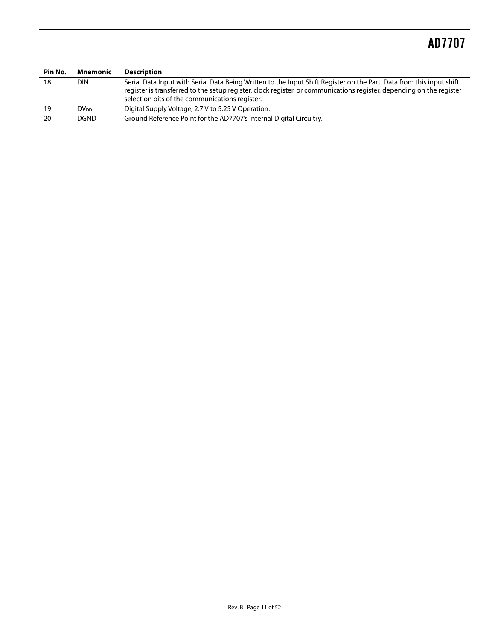| Pin No. | Mnemonic               | <b>Description</b>                                                                                                                                                                                                                                                                             |
|---------|------------------------|------------------------------------------------------------------------------------------------------------------------------------------------------------------------------------------------------------------------------------------------------------------------------------------------|
| 18      | <b>DIN</b>             | Serial Data Input with Serial Data Being Written to the Input Shift Register on the Part. Data from this input shift<br>register is transferred to the setup register, clock register, or communications register, depending on the register<br>selection bits of the communications register. |
| 19      | <b>DV<sub>DD</sub></b> | Digital Supply Voltage, 2.7 V to 5.25 V Operation.                                                                                                                                                                                                                                             |
| 20      | <b>DGND</b>            | Ground Reference Point for the AD7707's Internal Digital Circuitry.                                                                                                                                                                                                                            |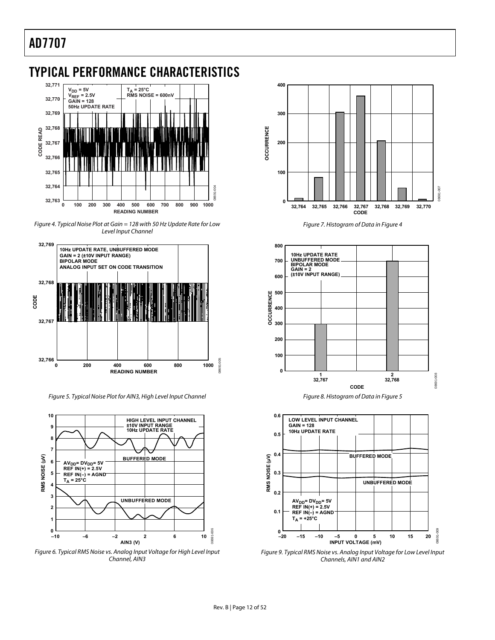## <span id="page-11-0"></span>TYPICAL PERFORMANCE CHARACTERISTICS



Figure 4. Typical Noise Plot at Gain = 128 with 50 Hz Update Rate for Low Level Input Channel

<span id="page-11-1"></span>

Figure 5. Typical Noise Plot for AIN3, High Level Input Channel Figure 8. Histogram of Data in [Figure 5](#page-11-2)

<span id="page-11-2"></span>

Figure 6. Typical RMS Noise vs. Analog Input Voltage for High Level Input Channel, AIN3



Figure 7. Histogram of Data in [Figure 4](#page-11-1)







Figure 9. Typical RMS Noise vs. Analog Input Voltage for Low Level Input Channels, AIN1 and AIN2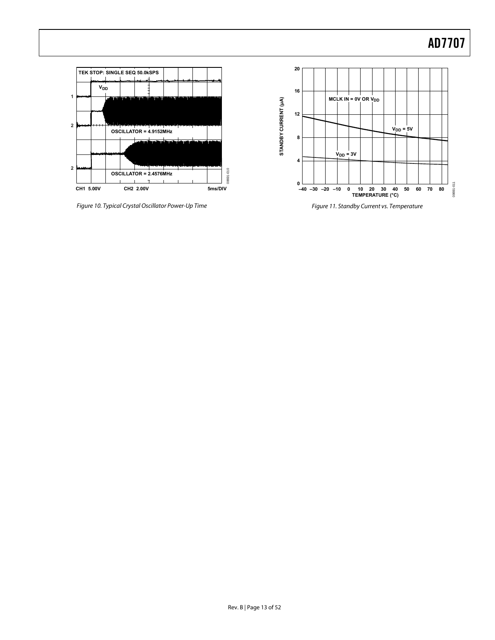

Figure 10. Typical Crystal Oscillator Power-Up Time



Figure 11. Standby Current vs. Temperature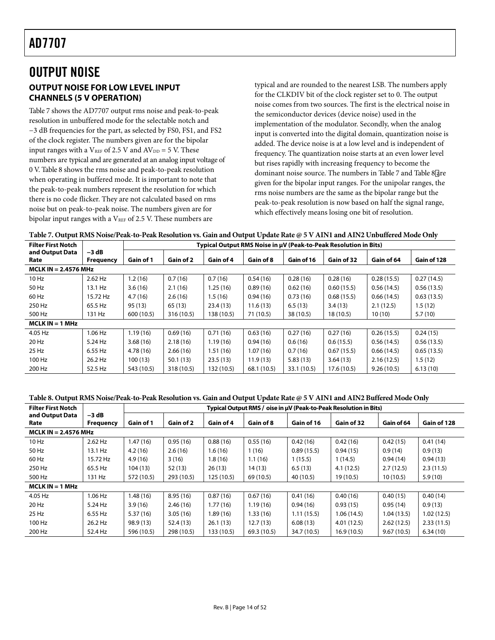## <span id="page-13-0"></span>OUTPUT NOISE **OUTPUT NOISE FOR LOW LEVEL INPUT CHANNELS (5 V OPERATION)**

[Table 7](#page-13-1) shows the AD7707 output rms noise and peak-to-peak resolution in unbuffered mode for the selectable notch and −3 dB frequencies for the part, as selected by FS0, FS1, and FS2 of the clock register. The numbers given are for the bipolar input ranges with a  $V_{REF}$  of 2.5 V and  $AV_{DD} = 5$  V. These numbers are typical and are generated at an analog input voltage of 0 V. [Table 8](#page-13-2) shows the rms noise and peak-to-peak resolution when operating in buffered mode. It is important to note that the peak-to-peak numbers represent the resolution for which there is no code flicker. They are not calculated based on rms noise but on peak-to-peak noise. The numbers given are for bipolar input ranges with a  $V_{REF}$  of 2.5 V. These numbers are

typical and are rounded to the nearest LSB. The numbers apply for the CLKDIV bit of the clock register set to 0. The output noise comes from two sources. The first is the electrical noise in the semiconductor devices (device noise) used in the implementation of the modulator. Secondly, when the analog input is converted into the digital domain, quantization noise is added. The device noise is at a low level and is independent of frequency. The quantization noise starts at an even lower level but rises rapidly with increasing frequency to become the dominant noise source. The numbers in [Table 7](#page-13-1) and [Table 8](#page-13-2) are given for the bipolar input ranges. For the unipolar ranges, the rms noise numbers are the same as the bipolar range but the peak-to-peak resolution is now based on half the signal range, which effectively means losing one bit of resolution.

| Table 7. Output RMS Noise/Peak-to-Peak Resolution vs. Gain and Output Update Rate @ 5 V AIN1 and AIN2 Unbuffered Mode Only |  |  |  |
|----------------------------------------------------------------------------------------------------------------------------|--|--|--|
|                                                                                                                            |  |  |  |

<span id="page-13-1"></span>

| <b>Filter First Notch</b> |                  |            |            |            |             |             | Typical Output RMS Noise in µV (Peak-to-Peak Resolution in Bits) |            |             |
|---------------------------|------------------|------------|------------|------------|-------------|-------------|------------------------------------------------------------------|------------|-------------|
| and Output Data           | -3 dB            |            |            |            |             |             |                                                                  |            |             |
| Rate                      | <b>Frequency</b> | Gain of 1  | Gain of 2  | Gain of 4  | Gain of 8   | Gain of 16  | Gain of 32                                                       | Gain of 64 | Gain of 128 |
| $MCLK IN = 2.4576 MHz$    |                  |            |            |            |             |             |                                                                  |            |             |
| $10$ Hz                   | 2.62 Hz          | 1.2(16)    | 0.7(16)    | 0.7(16)    | 0.54(16)    | 0.28(16)    | 0.28(16)                                                         | 0.28(15.5) | 0.27(14.5)  |
| 50 Hz                     | 13.1 Hz          | 3.6(16)    | 2.1(16)    | 1.25(16)   | 0.89(16)    | 0.62(16)    | 0.60(15.5)                                                       | 0.56(14.5) | 0.56(13.5)  |
| 60 Hz                     | 15.72 Hz         | 4.7(16)    | 2.6(16)    | 1.5(16)    | 0.94(16)    | 0.73(16)    | 0.68(15.5)                                                       | 0.66(14.5) | 0.63(13.5)  |
| 250 Hz                    | 65.5 Hz          | 95(13)     | 65 (13)    | 23.4(13)   | 11.6(13)    | 6.5(13)     | 3.4(13)                                                          | 2.1(12.5)  | 1.5(12)     |
| 500 Hz                    | 131 Hz           | 600 (10.5) | 316 (10.5) | 138 (10.5) | 71 (10.5)   | 38 (10.5)   | 18 (10.5)                                                        | 10(10)     | 5.7(10)     |
| $MCLK IN = 1 MHz$         |                  |            |            |            |             |             |                                                                  |            |             |
| 4.05 Hz                   | $1.06$ Hz        | 1.19(16)   | 0.69(16)   | 0.71(16)   | 0.63(16)    | 0.27(16)    | 0.27(16)                                                         | 0.26(15.5) | 0.24(15)    |
| 20 Hz                     | 5.24 Hz          | 3.68(16)   | 2.18(16)   | 1.19(16)   | 0.94(16)    | 0.6(16)     | 0.6(15.5)                                                        | 0.56(14.5) | 0.56(13.5)  |
| 25 Hz                     | 6.55 Hz          | 4.78(16)   | 2.66(16)   | 1.51(16)   | 1.07(16)    | 0.7(16)     | 0.67(15.5)                                                       | 0.66(14.5) | 0.65(13.5)  |
| 100 Hz                    | 26.2 Hz          | 100(13)    | 50.1(13)   | 23.5(13)   | 11.9(13)    | 5.83(13)    | 3.64(13)                                                         | 2.16(12.5) | 1.5(12)     |
| 200 Hz                    | 52.5 Hz          | 543 (10.5) | 318 (10.5) | 132 (10.5) | 68.1 (10.5) | 33.1 (10.5) | 17.6 (10.5)                                                      | 9.26(10.5) | 6.13(10)    |

#### **Table 8. Output RMS Noise/Peak-to-Peak Resolution vs. Gain and Output Update Rate @ 5 V AIN1 and AIN2 Buffered Mode Only**

<span id="page-13-2"></span>

| <b>Filter First Notch</b> |                             |            |            |            |             |             | Typical Output RMS @oise in µV (Peak-to-Peak Resolution in Bits) |            |             |
|---------------------------|-----------------------------|------------|------------|------------|-------------|-------------|------------------------------------------------------------------|------------|-------------|
| and Output Data<br>Rate   | $-3$ dB<br><b>Frequency</b> | Gain of 1  | Gain of 2  | Gain of 4  | Gain of 8   | Gain of 16  | Gain of 32                                                       | Gain of 64 | Gain of 128 |
| MCLK IN $= 2.4576$ MHz    |                             |            |            |            |             |             |                                                                  |            |             |
| $10$ Hz                   | $2.62$ Hz                   | 1.47(16)   | 0.95(16)   | 0.88(16)   | 0.55(16)    | 0.42(16)    | 0.42(16)                                                         | 0.42(15)   | 0.41(14)    |
| 50 Hz                     | 13.1 Hz                     | 4.2(16)    | 2.6(16)    | 1.6(16)    | 1(16)       | 0.89(15.5)  | 0.94(15)                                                         | 0.9(14)    | 0.9(13)     |
| 60 Hz                     | 15.72 Hz                    | 4.9(16)    | 3(16)      | 1.8(16)    | 1.1(16)     | 1(15.5)     | 1(14.5)                                                          | 0.94(14)   | 0.94(13)    |
| 250 Hz                    | 65.5 Hz                     | 104(13)    | 52 (13)    | 26(13)     | 14 (13)     | 6.5(13)     | 4.1(12.5)                                                        | 2.7(12.5)  | 2.3(11.5)   |
| 500 Hz                    | 131 Hz                      | 572 (10.5) | 293 (10.5) | 125(10.5)  | 69 (10.5)   | 40 (10.5)   | 19(10.5)                                                         | 10(10.5)   | 5.9(10)     |
| $MCLK IN = 1 MHz$         |                             |            |            |            |             |             |                                                                  |            |             |
| 4.05 Hz                   | $1.06$ Hz                   | 1.48(16)   | 8.95(16)   | 0.87(16)   | 0.67(16)    | 0.41(16)    | 0.40(16)                                                         | 0.40(15)   | 0.40(14)    |
| 20 Hz                     | 5.24 Hz                     | 3.9(16)    | 2.46(16)   | 1.77(16)   | 1.19(16)    | 0.94(16)    | 0.93(15)                                                         | 0.95(14)   | 0.9(13)     |
| 25 Hz                     | 6.55 Hz                     | 5.37(16)   | 3.05(16)   | 1.89(16)   | 1.33(16)    | 1.11(15.5)  | 1.06(14.5)                                                       | 1.04(13.5) | 1.02(12.5)  |
| 100 Hz                    | 26.2 Hz                     | 98.9 (13)  | 52.4(13)   | 26.1(13)   | 12.7(13)    | 6.08(13)    | 4.01(12.5)                                                       | 2.62(12.5) | 2.33(11.5)  |
| 200 Hz                    | 52.4 Hz                     | 596 (10.5) | 298 (10.5) | 133 (10.5) | 69.3 (10.5) | 34.7 (10.5) | 16.9(10.5)                                                       | 9.67(10.5) | 6.34(10)    |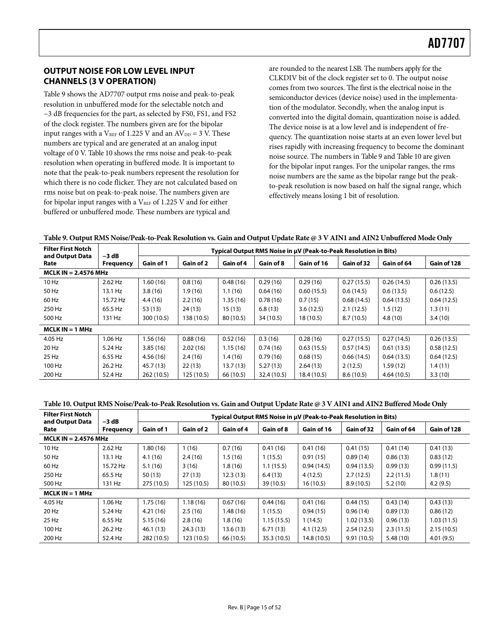### <span id="page-14-0"></span>**OUTPUT NOISE FOR LOW LEVEL INPUT CHANNELS (3 V OPERATION)**

[Table 9 s](#page-14-2)hows the AD7707 output rms noise and peak-to-peak resolution in unbuffered mode for the selectable notch and −3 dB frequencies for the part, as selected by FS0, FS1, and FS2 of the clock register. The numbers given are for the bipolar input ranges with a  $V_{REF}$  of 1.225 V and an  $AV_{DD} = 3$  V. These numbers are typical and are generated at an analog input voltage of 0 V. [Table 10](#page-14-1) shows the rms noise and peak-to-peak resolution when operating in buffered mode. It is important to note that the peak-to-peak numbers represent the resolution for which there is no code flicker. They are not calculated based on rms noise but on peak-to-peak noise. The numbers given are for bipolar input ranges with a  $V_{REF}$  of 1.225 V and for either buffered or unbuffered mode. These numbers are typical and

are rounded to the nearest LSB. The numbers apply for the CLKDIV bit of the clock register set to 0. The output noise comes from two sources. The first is the electrical noise in the semiconductor devices (device noise) used in the implementation of the modulator. Secondly, when the analog input is converted into the digital domain, quantization noise is added. The device noise is at a low level and is independent of frequency. The quantization noise starts at an even lower level but rises rapidly with increasing frequency to become the dominant noise source. The numbers i[n Table 9 a](#page-14-2)nd [Table 10](#page-14-1) are given for the bipolar input ranges. For the unipolar ranges, the rms noise numbers are the same as the bipolar range but the peakto-peak resolution is now based on half the signal range, which effectively means losing 1 bit of resolution.

| Table 9. Output RMS Noise/Peak-to-Peak Resolution vs. Gain and Output Update Rate @ 3 V AIN1 and AIN2 Unbuffered Mode Only |  |  |  |
|----------------------------------------------------------------------------------------------------------------------------|--|--|--|
|----------------------------------------------------------------------------------------------------------------------------|--|--|--|

<span id="page-14-2"></span>

| <b>Filter First Notch</b><br>and Output Data | $-3$ dB          |            |            |           |             | Typical Output RMS Noise in µV (Peak-to-Peak Resolution in Bits) |            |            |             |
|----------------------------------------------|------------------|------------|------------|-----------|-------------|------------------------------------------------------------------|------------|------------|-------------|
| Rate                                         | <b>Frequency</b> | Gain of 1  | Gain of 2  | Gain of 4 | Gain of 8   | Gain of 16                                                       | Gain of 32 | Gain of 64 | Gain of 128 |
| MCLK IN $= 2.4576$ MHz                       |                  |            |            |           |             |                                                                  |            |            |             |
| 10 Hz                                        | $2.62$ Hz        | 1.60(16)   | 0.8(16)    | 0.48(16)  | 0.29(16)    | 0.29(16)                                                         | 0.27(15.5) | 0.26(14.5) | 0.26(13.5)  |
| 50 Hz                                        | 13.1 Hz          | 3.8(16)    | 1.9(16)    | 1.1(16)   | 0.64(16)    | 0.60(15.5)                                                       | 0.6(14.5)  | 0.6(13.5)  | 0.6(12.5)   |
| 60 Hz                                        | 15.72 Hz         | 4.4(16)    | 2.2(16)    | 1.35(16)  | 0.78(16)    | 0.7(15)                                                          | 0.68(14.5) | 0.64(13.5) | 0.64(12.5)  |
| 250 Hz                                       | 65.5 Hz          | 53 (13)    | 24(13)     | 15(13)    | 6.8(13)     | 3.6(12.5)                                                        | 2.1(12.5)  | 1.5(12)    | 1.3(11)     |
| 500 Hz                                       | 131 Hz           | 300 (10.5) | 138 (10.5) | 80 (10.5) | 34 (10.5)   | 18 (10.5)                                                        | 8.7(10.5)  | 4.8(10)    | 3.4(10)     |
| $MCLK IN = 1 MHz$                            |                  |            |            |           |             |                                                                  |            |            |             |
| 4.05 Hz                                      | $1.06$ Hz        | 1.56(16)   | 0.88(16)   | 0.52(16)  | 0.3(16)     | 0.28(16)                                                         | 0.27(15.5) | 0.27(14.5) | 0.26(13.5)  |
| 20 Hz                                        | 5.24 Hz          | 3.85(16)   | 2.02(16)   | 1.15(16)  | 0.74(16)    | 0.63(15.5)                                                       | 0.57(14.5) | 0.61(13.5) | 0.58(12.5)  |
| 25 Hz                                        | 6.55 Hz          | 4.56(16)   | 2.4(16)    | 1.4(16)   | 0.79(16)    | 0.68(15)                                                         | 0.66(14.5) | 0.64(13.5) | 0.64(12.5)  |
| 100 Hz                                       | 26.2 Hz          | 45.7(13)   | 22(13)     | 13.7(13)  | 5.27(13)    | 2.64(13)                                                         | 2(12.5)    | 1.59(12)   | 1.4(11)     |
| 200 Hz                                       | 52.4 Hz          | 262 (10.5) | 125 (10.5) | 66 (10.5) | 32.4 (10.5) | 18.4 (10.5)                                                      | 8.6(10.5)  | 4.64(10.5) | 3.3(10)     |

#### **Table 10. Output RMS Noise/Peak-to-Peak Resolution vs. Gain and Output Update Rate @ 3 V AIN1 and AIN2 Buffered Mode Only**

<span id="page-14-1"></span>

| <b>Filter First Notch</b><br>and Output Data | $-3$ dB          |            |            |           |             | Typical Output RMS Noise in µV (Peak-to-Peak Resolution in Bits) |            |            |             |
|----------------------------------------------|------------------|------------|------------|-----------|-------------|------------------------------------------------------------------|------------|------------|-------------|
| Rate                                         | <b>Frequency</b> | Gain of 1  | Gain of 2  | Gain of 4 | Gain of 8   | Gain of 16                                                       | Gain of 32 | Gain of 64 | Gain of 128 |
| MCLK IN $= 2.4576$ MHz                       |                  |            |            |           |             |                                                                  |            |            |             |
| 10 Hz                                        | $2.62$ Hz        | 1.80(16)   | 1(16)      | 0.7(16)   | 0.41(16)    | 0.41(16)                                                         | 0.41(15)   | 0.41(14)   | 0.41(13)    |
| 50 Hz                                        | 13.1 Hz          | 4.1(16)    | 2.4(16)    | 1.5(16)   | 1(15.5)     | 0.91(15)                                                         | 0.89(14)   | 0.86(13)   | 0.83(12)    |
| 60 Hz                                        | 15.72 Hz         | 5.1(16)    | 3(16)      | 1.8(16)   | 1.1(15.5)   | 0.94(14.5)                                                       | 0.94(13.5) | 0.99(13)   | 0.99(11.5)  |
| 250 Hz                                       | 65.5 Hz          | 50(13)     | 27(13)     | 12.3(13)  | 6.4(13)     | 4(12.5)                                                          | 2.7(12.5)  | 2.2(11.5)  | 1.8(11)     |
| 500 Hz                                       | 131 Hz           | 275 (10.5) | 125 (10.5) | 80 (10.5) | 39 (10.5)   | 16(10.5)                                                         | 8.9(10.5)  | 5.2(10)    | 4.2(9.5)    |
| $MCLK IN = 1 MHz$                            |                  |            |            |           |             |                                                                  |            |            |             |
| 4.05 Hz                                      | $1.06$ Hz        | 1.75(16)   | 1.18(16)   | 0.67(16)  | 0.44(16)    | 0.41(16)                                                         | 0.44(15)   | 0.43(14)   | 0.43(13)    |
| 20 Hz                                        | $5.24$ Hz        | 4.21(16)   | 2.5(16)    | 1.48 (16) | 1(15.5)     | 0.94(15)                                                         | 0.96(14)   | 0.89(13)   | 0.86(12)    |
| 25 Hz                                        | 6.55 Hz          | 5.15(16)   | 2.8(16)    | 1.8(16)   | 1.15(15.5)  | 1 (14.5)                                                         | 1.02(13.5) | 0.96(13)   | 1.03(11.5)  |
| 100 Hz                                       | 26.2 Hz          | 46.1(13)   | 24.3(13)   | 13.6(13)  | 6.71(13)    | 4.1(12.5)                                                        | 2.54(12.5) | 2.3(11.5)  | 2.15(10.5)  |
| 200 Hz                                       | 52.4 Hz          | 282 (10.5) | 123(10.5)  | 66 (10.5) | 35.3 (10.5) | 14.8 (10.5)                                                      | 9.91(10.5) | 5.48(10)   | 4.01(9.5)   |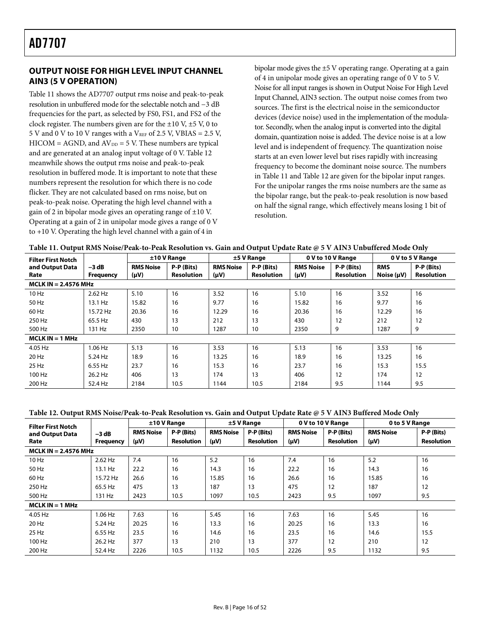### <span id="page-15-0"></span>**OUTPUT NOISE FOR HIGH LEVEL INPUT CHANNEL AIN3 (5 V OPERATION)**

[Table 11](#page-15-1) shows the AD7707 output rms noise and peak-to-peak resolution in unbuffered mode for the selectable notch and −3 dB frequencies for the part, as selected by FS0, FS1, and FS2 of the clock register. The numbers given are for the  $\pm 10$  V,  $\pm 5$  V, 0 to 5 V and 0 V to 10 V ranges with a  $V_{REF}$  of 2.5 V, VBIAS = 2.5 V,  $HICOM = AGND$ , and  $AV_{DD} = 5$  V. These numbers are typical and are generated at an analog input voltage of 0 V. [Table 12](#page-15-2) meanwhile shows the output rms noise and peak-to-peak resolution in buffered mode. It is important to note that these numbers represent the resolution for which there is no code flicker. They are not calculated based on rms noise, but on peak-to-peak noise. Operating the high level channel with a gain of 2 in bipolar mode gives an operating range of  $\pm 10$  V. Operating at a gain of 2 in unipolar mode gives a range of 0 V to +10 V. Operating the high level channel with a gain of 4 in

bipolar mode gives the ±5 V operating range. Operating at a gain of 4 in unipolar mode gives an operating range of 0 V to 5 V. Noise for all input ranges is shown in [Output Noise For High Level](#page-46-1)  [Input Channel, AIN3 s](#page-46-1)ection. The output noise comes from two sources. The first is the electrical noise in the semiconductor devices (device noise) used in the implementation of the modulator. Secondly, when the analog input is converted into the digital domain, quantization noise is added. The device noise is at a low level and is independent of frequency. The quantization noise starts at an even lower level but rises rapidly with increasing frequency to become the dominant noise source. The numbers in [Table 11](#page-15-1) and [Table 12](#page-15-2) are given for the bipolar input ranges. For the unipolar ranges the rms noise numbers are the same as the bipolar range, but the peak-to-peak resolution is now based on half the signal range, which effectively means losing 1 bit of resolution.

<span id="page-15-1"></span>

| <b>Filter First Notch</b> |                             |                               | ±10 V Range                     |                               | $±5$ V Range                    |                               | 0 V to 10 V Range               |                               | 0 V to 5 V Range                |
|---------------------------|-----------------------------|-------------------------------|---------------------------------|-------------------------------|---------------------------------|-------------------------------|---------------------------------|-------------------------------|---------------------------------|
| and Output Data<br>Rate   | $-3 dB$<br><b>Frequency</b> | <b>RMS Noise</b><br>$(\mu V)$ | P-P (Bits)<br><b>Resolution</b> | <b>RMS Noise</b><br>$(\mu V)$ | P-P (Bits)<br><b>Resolution</b> | <b>RMS Noise</b><br>$(\mu V)$ | P-P (Bits)<br><b>Resolution</b> | <b>RMS</b><br>Noise $(\mu V)$ | P-P (Bits)<br><b>Resolution</b> |
| MCLK IN $= 2.4576$ MHz    |                             |                               |                                 |                               |                                 |                               |                                 |                               |                                 |
| 10 Hz                     | 2.62 Hz                     | 5.10                          | 16                              | 3.52                          | 16                              | 5.10                          | 16                              | 3.52                          | 16                              |
| 50 Hz                     | 13.1 Hz                     | 15.82                         | 16                              | 9.77                          | 16                              | 15.82                         | 16                              | 9.77                          | 16                              |
| 60 Hz                     | 15.72 Hz                    | 20.36                         | 16                              | 12.29                         | 16                              | 20.36                         | 16                              | 12.29                         | 16                              |
| 250 Hz                    | 65.5 Hz                     | 430                           | 13                              | 212                           | 13                              | 430                           | 12                              | 212                           | 12                              |
| 500 Hz                    | 131 Hz                      | 2350                          | 10                              | 1287                          | 10                              | 2350                          | 9                               | 1287                          | 9                               |
| $MCLK IN = 1 MHz$         |                             |                               |                                 |                               |                                 |                               |                                 |                               |                                 |
| 4.05 Hz                   | $1.06$ Hz                   | 5.13                          | 16                              | 3.53                          | 16                              | 5.13                          | 16                              | 3.53                          | 16                              |
| 20 Hz                     | 5.24 Hz                     | 18.9                          | 16                              | 13.25                         | 16                              | 18.9                          | 16                              | 13.25                         | 16                              |
| 25 Hz                     | 6.55 Hz                     | 23.7                          | 16                              | 15.3                          | 16                              | 23.7                          | 16                              | 15.3                          | 15.5                            |
| 100 Hz                    | 26.2 Hz                     | 406                           | 13                              | 174                           | 13                              | 406                           | 12                              | 174                           | 12                              |
| 200 Hz                    | 52.4 Hz                     | 2184                          | 10.5                            | 1144                          | 10.5                            | 2184                          | 9.5                             | 1144                          | 9.5                             |

#### **Table 12. Output RMS Noise/Peak-to-Peak Resolution vs. Gain and Output Update Rate @ 5 V AIN3 Buffered Mode Only**

<span id="page-15-2"></span>

| <b>Filter First Notch</b> |                  |                  | ±10 V Range       |                  | $±5$ V Range      |                  | 0 V to 10 V Range | 0 to 5 V Range   |                   |
|---------------------------|------------------|------------------|-------------------|------------------|-------------------|------------------|-------------------|------------------|-------------------|
| and Output Data           | $-3$ dB          | <b>RMS Noise</b> | P-P (Bits)        | <b>RMS Noise</b> | P-P (Bits)        | <b>RMS Noise</b> | P-P (Bits)        | <b>RMS Noise</b> | P-P (Bits)        |
| Rate                      | <b>Frequency</b> | (W)              | <b>Resolution</b> | (µV)             | <b>Resolution</b> | (µV)             | <b>Resolution</b> | (µV)             | <b>Resolution</b> |
| MCLK IN $= 2.4576$ MHz    |                  |                  |                   |                  |                   |                  |                   |                  |                   |
| 10 Hz                     | $2.62$ Hz        | 7.4              | 16                | 5.2              | 16                | 7.4              | 16                | 5.2              | 16                |
| 50 Hz                     | 13.1 Hz          | 22.2             | 16                | 14.3             | 16                | 22.2             | 16                | 14.3             | 16                |
| 60 Hz                     | 15.72 Hz         | 26.6             | 16                | 15.85            | 16                | 26.6             | 16                | 15.85            | 16                |
| 250 Hz                    | 65.5 Hz          | 475              | 13                | 187              | 13                | 475              | 12                | 187              | 12                |
| 500 Hz                    | 131 Hz           | 2423             | 10.5              | 1097             | 10.5              | 2423             | 9.5               | 1097             | 9.5               |
| $MCLK IN = 1 MHz$         |                  |                  |                   |                  |                   |                  |                   |                  |                   |
| 4.05 Hz                   | $1.06$ Hz        | 7.63             | 16                | 5.45             | 16                | 7.63             | 16                | 5.45             | 16                |
| 20 Hz                     | 5.24 Hz          | 20.25            | 16                | 13.3             | 16                | 20.25            | 16                | 13.3             | 16                |
| 25 Hz                     | 6.55 Hz          | 23.5             | 16                | 14.6             | 16                | 23.5             | 16                | 14.6             | 15.5              |
| 100 Hz                    | 26.2 Hz          | 377              | 13                | 210              | 13                | 377              | 12                | 210              | 12                |
| 200 Hz                    | 52.4 Hz          | 2226             | 10.5              | 1132             | 10.5              | 2226             | 9.5               | 1132             | 9.5               |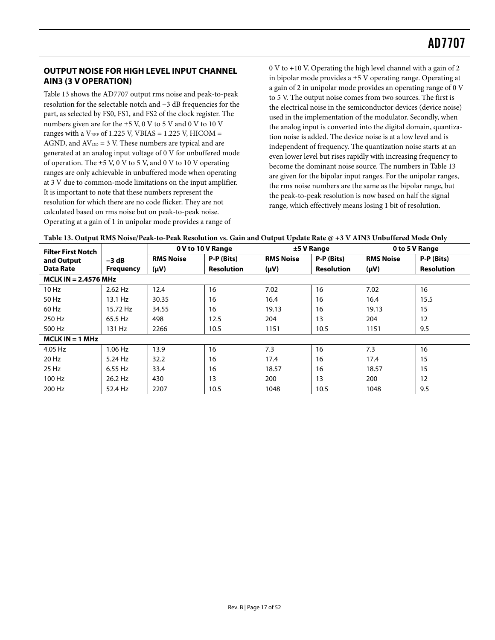### <span id="page-16-0"></span>**OUTPUT NOISE FOR HIGH LEVEL INPUT CHANNEL AIN3 (3 V OPERATION)**

[Table 13](#page-16-1) shows the AD7707 output rms noise and peak-to-peak resolution for the selectable notch and −3 dB frequencies for the part, as selected by FS0, FS1, and FS2 of the clock register. The numbers given are for the ±5 V, 0 V to 5 V and 0 V to 10 V ranges with a  $V_{REF}$  of 1.225 V, VBIAS = 1.225 V, HICOM = AGND, and  $AV_{DD} = 3$  V. These numbers are typical and are generated at an analog input voltage of 0 V for unbuffered mode of operation. The  $\pm$ 5 V, 0 V to 5 V, and 0 V to 10 V operating ranges are only achievable in unbuffered mode when operating at 3 V due to common-mode limitations on the input amplifier. It is important to note that these numbers represent the resolution for which there are no code flicker. They are not calculated based on rms noise but on peak-to-peak noise. Operating at a gain of 1 in unipolar mode provides a range of

0 V to +10 V. Operating the high level channel with a gain of 2 in bipolar mode provides a ±5 V operating range. Operating at a gain of 2 in unipolar mode provides an operating range of 0 V to 5 V. The output noise comes from two sources. The first is the electrical noise in the semiconductor devices (device noise) used in the implementation of the modulator. Secondly, when the analog input is converted into the digital domain, quantization noise is added. The device noise is at a low level and is independent of frequency. The quantization noise starts at an even lower level but rises rapidly with increasing frequency to become the dominant noise source. The numbers in [Table 13](#page-16-1)  are given for the bipolar input ranges. For the unipolar ranges, the rms noise numbers are the same as the bipolar range, but the peak-to-peak resolution is now based on half the signal range, which effectively means losing 1 bit of resolution.

| Table 13. Output RMS Noise/Peak-to-Peak Resolution vs. Gain and Output Update Rate @ +3 V AIN3 Unbuffered Mode Only |
|---------------------------------------------------------------------------------------------------------------------|
|                                                                                                                     |

<span id="page-16-1"></span>

| <b>Filter First Notch</b> |                        |                  | 0 V to 10 V Range | 0 to 5 V Range<br>$±5$ V Range |                   |                  |                   |  |  |
|---------------------------|------------------------|------------------|-------------------|--------------------------------|-------------------|------------------|-------------------|--|--|
| and Output                | $-3$ dB                | <b>RMS Noise</b> | P-P (Bits)        | <b>RMS Noise</b>               | P-P (Bits)        | <b>RMS Noise</b> | P-P (Bits)        |  |  |
| <b>Data Rate</b>          | <b>Frequency</b>       | $(\mu V)$        | <b>Resolution</b> | $(\mu V)$                      | <b>Resolution</b> | $(\mu V)$        | <b>Resolution</b> |  |  |
|                           | $MCLK IN = 2.4576 MHz$ |                  |                   |                                |                   |                  |                   |  |  |
| 10 Hz                     | $2.62$ Hz              | 12.4             | 16                | 7.02                           | 16                | 7.02             | 16                |  |  |
| 50 Hz                     | 13.1 Hz                | 30.35            | 16                | 16.4                           | 16                | 16.4             | 15.5              |  |  |
| 60 Hz                     | 15.72 Hz               | 34.55            | 16                | 19.13                          | 16                | 19.13            | 15                |  |  |
| 250 Hz                    | 65.5 Hz                | 498              | 12.5              | 204                            | 13                | 204              | 12                |  |  |
| 500 Hz                    | 131 Hz                 | 2266             | 10.5              | 1151                           | 10.5              | 1151             | 9.5               |  |  |
| $MCLK IN = 1 MHz$         |                        |                  |                   |                                |                   |                  |                   |  |  |
| 4.05 Hz                   | $1.06$ Hz              | 13.9             | 16                | 7.3                            | 16                | 7.3              | 16                |  |  |
| 20 Hz                     | $5.24$ Hz              | 32.2             | 16                | 17.4                           | 16                | 17.4             | 15                |  |  |
| 25 Hz                     | 6.55 Hz                | 33.4             | 16                | 18.57                          | 16                | 18.57            | 15                |  |  |
| 100 Hz                    | 26.2 Hz                | 430              | 13                | 200                            | 13                | 200              | 12                |  |  |
| 200 Hz                    | 52.4 Hz                | 2207             | 10.5              | 1048                           | 10.5              | 1048             | 9.5               |  |  |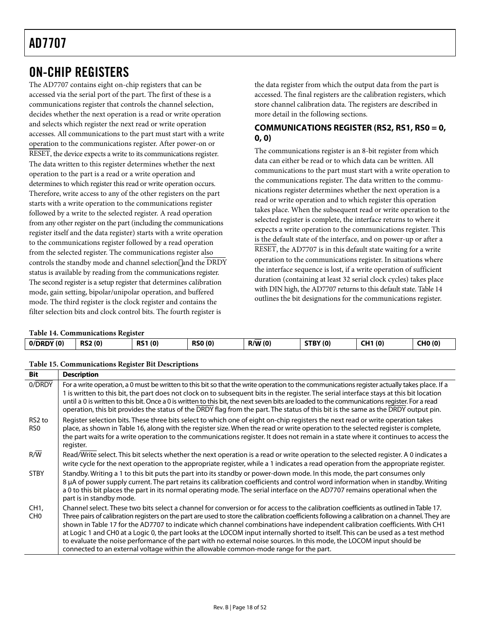## <span id="page-17-0"></span>ON-CHIP REGISTERS

The AD7707 contains eight on-chip registers that can be accessed via the serial port of the part. The first of these is a communications register that controls the channel selection, decides whether the next operation is a read or write operation and selects which register the next read or write operation accesses. All communications to the part must start with a write operation to the communications register. After power-on or RESET, the device expects a write to its communications register. The data written to this register determines whether the next operation to the part is a read or a write operation and determines to which register this read or write operation occurs. Therefore, write access to any of the other registers on the part starts with a write operation to the communications register followed by a write to the selected register. A read operation from any other register on the part (including the communications register itself and the data register) starts with a write operation to the communications register followed by a read operation from the selected register. The communications register also controls the standby mode and channel selectionl and the DRDY status is available by reading from the communications register. The second register is a setup register that determines calibration mode, gain setting, bipolar/unipolar operation, and buffered mode. The third register is the clock register and contains the filter selection bits and clock control bits. The fourth register is

the data register from which the output data from the part is accessed. The final registers are the calibration registers, which store channel calibration data. The registers are described in more detail in the following sections.

### **COMMUNICATIONS REGISTER (RS2, RS1, RS0 = 0, 0, 0)**

The communications register is an 8-bit register from which data can either be read or to which data can be written. All communications to the part must start with a write operation to the communications register. The data written to the communications register determines whether the next operation is a read or write operation and to which register this operation takes place. When the subsequent read or write operation to the selected register is complete, the interface returns to where it expects a write operation to the communications register. This is the default state of the interface, and on power-up or after a RESET, the AD7707 is in this default state waiting for a write operation to the communications register. In situations where the interface sequence is lost, if a write operation of sufficient duration (containing at least 32 serial clock cycles) takes place with DIN high, the AD7707 returns to this default state. [Table 14](#page-17-1) outlines the bit designations for the communications register.

#### **Table 14. Communications Register**

<span id="page-17-1"></span>

| 0/DRDY(0) | <b>RS2(0)</b> | <b>RS1(0)</b> | <b>RSO (0)</b><br>$\sim$ | R/W(0) | <b>STBY (0)</b> | <b>CH1 (0)</b><br>ו הש<br>$\sim$ | <b>CHO(0)</b> |
|-----------|---------------|---------------|--------------------------|--------|-----------------|----------------------------------|---------------|
|           |               |               |                          |        |                 |                                  |               |

| Table 15. Communications Register Bit Descriptions |  |  |
|----------------------------------------------------|--|--|
|                                                    |  |  |

| <b>Bit</b>                            | <b>Description</b>                                                                                                                                                                                                                                                                                                                                                                                                                                                                                                                                                                                                                                                                                                                                                             |
|---------------------------------------|--------------------------------------------------------------------------------------------------------------------------------------------------------------------------------------------------------------------------------------------------------------------------------------------------------------------------------------------------------------------------------------------------------------------------------------------------------------------------------------------------------------------------------------------------------------------------------------------------------------------------------------------------------------------------------------------------------------------------------------------------------------------------------|
| 0/DRDY                                | For a write operation, a 0 must be written to this bit so that the write operation to the communications register actually takes place. If a<br>1 is written to this bit, the part does not clock on to subsequent bits in the register. The serial interface stays at this bit location<br>until a 0 is written to this bit. Once a 0 is written to this bit, the next seven bits are loaded to the communications register. For a read<br>operation, this bit provides the status of the DRDY flag from the part. The status of this bit is the same as the DRDY output pin.                                                                                                                                                                                                 |
| RS <sub>2</sub> to<br>RS <sub>0</sub> | Register selection bits. These three bits select to which one of eight on-chip registers the next read or write operation takes<br>place, as shown in Table 16, along with the register size. When the read or write operation to the selected register is complete,<br>the part waits for a write operation to the communications register. It does not remain in a state where it continues to access the<br>register.                                                                                                                                                                                                                                                                                                                                                       |
| R/W                                   | Read/Write select. This bit selects whether the next operation is a read or write operation to the selected register. A 0 indicates a<br>write cycle for the next operation to the appropriate register, while a 1 indicates a read operation from the appropriate register.                                                                                                                                                                                                                                                                                                                                                                                                                                                                                                   |
| <b>STBY</b>                           | Standby. Writing a 1 to this bit puts the part into its standby or power-down mode. In this mode, the part consumes only<br>8 µA of power supply current. The part retains its calibration coefficients and control word information when in standby. Writing<br>a 0 to this bit places the part in its normal operating mode. The serial interface on the AD7707 remains operational when the<br>part is in standby mode.                                                                                                                                                                                                                                                                                                                                                     |
| CH <sub>1</sub><br>C <sub>H</sub> O   | Channel select. These two bits select a channel for conversion or for access to the calibration coefficients as outlined in Table 17.<br>Three pairs of calibration registers on the part are used to store the calibration coefficients following a calibration on a channel. They are<br>shown in Table 17 for the AD7707 to indicate which channel combinations have independent calibration coefficients. With CH1<br>at Logic 1 and CH0 at a Logic 0, the part looks at the LOCOM input internally shorted to itself. This can be used as a test method<br>to evaluate the noise performance of the part with no external noise sources. In this mode, the LOCOM input should be<br>connected to an external voltage within the allowable common-mode range for the part. |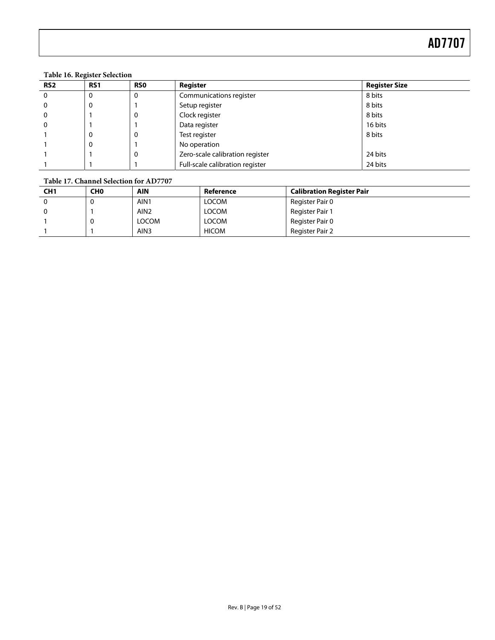#### **Table 16. Register Selection**

<span id="page-18-0"></span>

| RS <sub>2</sub> | RS <sub>1</sub> | <b>RSO</b> | Register                        | <b>Register Size</b> |
|-----------------|-----------------|------------|---------------------------------|----------------------|
| $\overline{0}$  |                 | $\Omega$   | Communications register         | 8 bits               |
| $\Omega$        | 0               |            | Setup register                  | 8 bits               |
| $\Omega$        |                 | 0          | Clock register                  | 8 bits               |
| 0               |                 |            | Data register                   | 16 bits              |
|                 | -0              | 0          | Test register                   | 8 bits               |
|                 | 0               |            | No operation                    |                      |
|                 |                 | $\Omega$   | Zero-scale calibration register | 24 bits              |
|                 |                 |            | Full-scale calibration register | 24 bits              |

#### **Table 17. Channel Selection for AD7707**

<span id="page-18-1"></span>

| CH <sub>1</sub> | CH <sub>0</sub> | <b>AIN</b>       | Reference    | <b>Calibration Register Pair</b> |
|-----------------|-----------------|------------------|--------------|----------------------------------|
|                 |                 | AIN1             | <b>LOCOM</b> | Register Pair 0                  |
|                 |                 | AIN <sub>2</sub> | <b>LOCOM</b> | Register Pair 1                  |
|                 |                 | <b>LOCOM</b>     | <b>LOCOM</b> | Register Pair 0                  |
|                 |                 | AIN <sub>3</sub> | <b>HICOM</b> | Register Pair 2                  |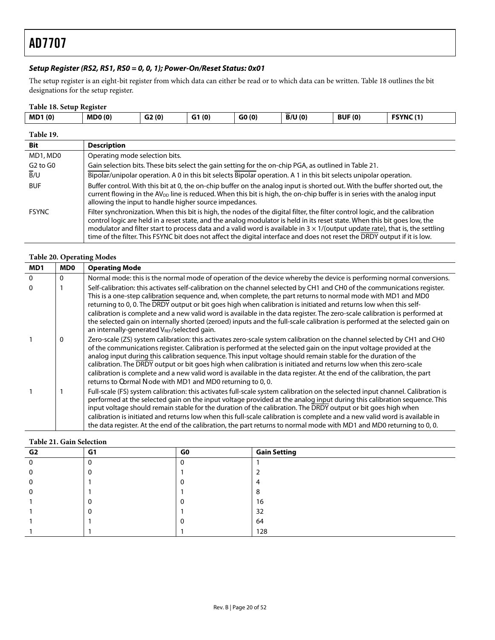#### <span id="page-19-2"></span>**Setup Register (RS2, RS1, RS0 = 0, 0, 1); Power-On/Reset Status: 0x01**

The setup register is an eight-bit register from which data can either be read or to which data can be written. [Table 18](#page-19-0) outlines the bit designations for the setup register.

#### **Table 18. Setup Register**

<span id="page-19-0"></span>

| <b>MD1(0)</b>                    | <b>MDO(0)</b>                                                                                                                                                                                                                                                                                                                                                                                                                                                                                                                    | G2(0)                          | G1(0) | GO(0) | B/U(0) | <b>BUF (0)</b> | FSYNC(1) |  |  |
|----------------------------------|----------------------------------------------------------------------------------------------------------------------------------------------------------------------------------------------------------------------------------------------------------------------------------------------------------------------------------------------------------------------------------------------------------------------------------------------------------------------------------------------------------------------------------|--------------------------------|-------|-------|--------|----------------|----------|--|--|
| Table 19.                        |                                                                                                                                                                                                                                                                                                                                                                                                                                                                                                                                  |                                |       |       |        |                |          |  |  |
| Bit                              | <b>Description</b>                                                                                                                                                                                                                                                                                                                                                                                                                                                                                                               |                                |       |       |        |                |          |  |  |
| MD1, MD0                         |                                                                                                                                                                                                                                                                                                                                                                                                                                                                                                                                  | Operating mode selection bits. |       |       |        |                |          |  |  |
| G <sub>2</sub> to G <sub>0</sub> | Gain selection bits. These bits select the gain setting for the on-chip PGA, as outlined in Table 21.                                                                                                                                                                                                                                                                                                                                                                                                                            |                                |       |       |        |                |          |  |  |
| B/U                              | Bipolar/unipolar operation. A 0 in this bit selects Bipolar operation. A 1 in this bit selects unipolar operation.                                                                                                                                                                                                                                                                                                                                                                                                               |                                |       |       |        |                |          |  |  |
| <b>BUF</b>                       | Buffer control. With this bit at 0, the on-chip buffer on the analog input is shorted out. With the buffer shorted out, the<br>current flowing in the AV <sub>DD</sub> line is reduced. When this bit is high, the on-chip buffer is in series with the analog input<br>allowing the input to handle higher source impedances.                                                                                                                                                                                                   |                                |       |       |        |                |          |  |  |
| <b>FSYNC</b>                     | Filter synchronization. When this bit is high, the nodes of the digital filter, the filter control logic, and the calibration<br>control logic are held in a reset state, and the analog modulator is held in its reset state. When this bit goes low, the<br>modulator and filter start to process data and a valid word is available in $3 \times 1$ /(output update rate), that is, the settling<br>time of the filter. This FSYNC bit does not affect the digital interface and does not reset the DRDY output if it is low. |                                |       |       |        |                |          |  |  |

#### **Table 20. Operating Modes**

| MD1 | <b>MD0</b> | <b>Operating Mode</b>                                                                                                                                                                                                                                                                                                                                                                                                                                                                                                                                                                                                                                                       |
|-----|------------|-----------------------------------------------------------------------------------------------------------------------------------------------------------------------------------------------------------------------------------------------------------------------------------------------------------------------------------------------------------------------------------------------------------------------------------------------------------------------------------------------------------------------------------------------------------------------------------------------------------------------------------------------------------------------------|
| 0   | 0          | Normal mode: this is the normal mode of operation of the device whereby the device is performing normal conversions.                                                                                                                                                                                                                                                                                                                                                                                                                                                                                                                                                        |
| 0   |            | Self-calibration: this activates self-calibration on the channel selected by CH1 and CH0 of the communications register.<br>This is a one-step calibration sequence and, when complete, the part returns to normal mode with MD1 and MD0<br>returning to 0, 0. The DRDY output or bit goes high when calibration is initiated and returns low when this self-<br>calibration is complete and a new valid word is available in the data register. The zero-scale calibration is performed at<br>the selected gain on internally shorted (zeroed) inputs and the full-scale calibration is performed at the selected gain on<br>an internally-generated VREF/selected gain.   |
|     | 0          | Zero-scale (ZS) system calibration: this activates zero-scale system calibration on the channel selected by CH1 and CH0<br>of the communications register. Calibration is performed at the selected gain on the input voltage provided at the<br>analog input during this calibration sequence. This input voltage should remain stable for the duration of the<br>calibration. The DRDY output or bit goes high when calibration is initiated and returns low when this zero-scale<br>calibration is complete and a new valid word is available in the data register. At the end of the calibration, the part<br>returns to `ormal ode with MD1 and MD0 returning to 0, 0. |
|     |            | Full-scale (FS) system calibration: this activates full-scale system calibration on the selected input channel. Calibration is<br>performed at the selected gain on the input voltage provided at the analog input during this calibration sequence. This<br>input voltage should remain stable for the duration of the calibration. The DRDY output or bit goes high when<br>calibration is initiated and returns low when this full-scale calibration is complete and a new valid word is available in<br>the data register. At the end of the calibration, the part returns to normal mode with MD1 and MD0 returning to 0,0.                                            |

#### **Table 21. Gain Selection**

<span id="page-19-1"></span>

| G <sub>2</sub> | G1 | G0 | <b>Gain Setting</b> |
|----------------|----|----|---------------------|
|                |    |    |                     |
|                |    |    |                     |
|                |    |    | ୵                   |
|                |    |    | C<br>Ο              |
|                |    |    | 16                  |
|                |    |    | 32                  |
|                |    |    | 64                  |
|                |    |    | 128                 |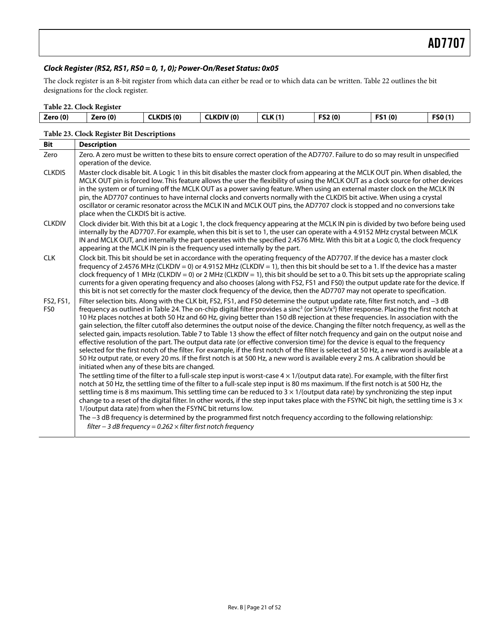#### **Clock Register (RS2, RS1, RS0 = 0, 1, 0); Power-On/Reset Status: 0x05**

The clock register is an 8-bit register from which data can either be read or to which data can be written. [Table 22](#page-20-0) outlines the bit designations for the clock register.

<span id="page-20-0"></span>

| Table 22. Clock Register |          |                   |                  |                |        |               |        |
|--------------------------|----------|-------------------|------------------|----------------|--------|---------------|--------|
| Zero (0)                 | Zero (0) | <b>CLKDIS (0)</b> | <b>CLKDIV(0)</b> | <b>CLK (1)</b> | FS2(0) | <b>FS1(0)</b> | FSO(1) |

#### **Table 23. Clock Register Bit Descriptions**

| <b>Bit</b>                   | <b>Description</b>                                                                                                                                                                                                                                                                                                                                                                                                                                                                                                                                                                                                                                                                                                                                                                                                                                                                                                                                                                                                                                                                                                                                                                          |
|------------------------------|---------------------------------------------------------------------------------------------------------------------------------------------------------------------------------------------------------------------------------------------------------------------------------------------------------------------------------------------------------------------------------------------------------------------------------------------------------------------------------------------------------------------------------------------------------------------------------------------------------------------------------------------------------------------------------------------------------------------------------------------------------------------------------------------------------------------------------------------------------------------------------------------------------------------------------------------------------------------------------------------------------------------------------------------------------------------------------------------------------------------------------------------------------------------------------------------|
| Zero                         | Zero. A zero must be written to these bits to ensure correct operation of the AD7707. Failure to do so may result in unspecified<br>operation of the device.                                                                                                                                                                                                                                                                                                                                                                                                                                                                                                                                                                                                                                                                                                                                                                                                                                                                                                                                                                                                                                |
| <b>CLKDIS</b>                | Master clock disable bit. A Logic 1 in this bit disables the master clock from appearing at the MCLK OUT pin. When disabled, the<br>MCLK OUT pin is forced low. This feature allows the user the flexibility of using the MCLK OUT as a clock source for other devices<br>in the system or of turning off the MCLK OUT as a power saving feature. When using an external master clock on the MCLK IN<br>pin, the AD7707 continues to have internal clocks and converts normally with the CLKDIS bit active. When using a crystal<br>oscillator or ceramic resonator across the MCLK IN and MCLK OUT pins, the AD7707 clock is stopped and no conversions take<br>place when the CLKDIS bit is active.                                                                                                                                                                                                                                                                                                                                                                                                                                                                                       |
| <b>CLKDIV</b>                | Clock divider bit. With this bit at a Logic 1, the clock frequency appearing at the MCLK IN pin is divided by two before being used<br>internally by the AD7707. For example, when this bit is set to 1, the user can operate with a 4.9152 MHz crystal between MCLK<br>IN and MCLK OUT, and internally the part operates with the specified 2.4576 MHz. With this bit at a Logic 0, the clock frequency<br>appearing at the MCLK IN pin is the frequency used internally by the part.                                                                                                                                                                                                                                                                                                                                                                                                                                                                                                                                                                                                                                                                                                      |
| <b>CLK</b>                   | Clock bit. This bit should be set in accordance with the operating frequency of the AD7707. If the device has a master clock<br>frequency of 2.4576 MHz (CLKDIV = 0) or 4.9152 MHz (CLKDIV = 1), then this bit should be set to a 1. If the device has a master<br>clock frequency of 1 MHz (CLKDIV = 0) or 2 MHz (CLKDIV = 1), this bit should be set to a 0. This bit sets up the appropriate scaling<br>currents for a given operating frequency and also chooses (along with FS2, FS1 and FS0) the output update rate for the device. If<br>this bit is not set correctly for the master clock frequency of the device, then the AD7707 may not operate to specification.                                                                                                                                                                                                                                                                                                                                                                                                                                                                                                               |
| FS2, FS1,<br>FS <sub>0</sub> | Filter selection bits. Along with the CLK bit, FS2, FS1, and FS0 determine the output update rate, filter first notch, and -3 dB<br>frequency as outlined in Table 24. The on-chip digital filter provides a sinc <sup>3</sup> (or Sinx/x <sup>3</sup> ) filter response. Placing the first notch at<br>10 Hz places notches at both 50 Hz and 60 Hz, giving better than 150 dB rejection at these frequencies. In association with the<br>gain selection, the filter cutoff also determines the output noise of the device. Changing the filter notch frequency, as well as the<br>selected gain, impacts resolution. Table 7 to Table 13 show the effect of filter notch frequency and gain on the output noise and<br>effective resolution of the part. The output data rate (or effective conversion time) for the device is equal to the frequency<br>selected for the first notch of the filter. For example, if the first notch of the filter is selected at 50 Hz, a new word is available at a<br>50 Hz output rate, or every 20 ms. If the first notch is at 500 Hz, a new word is available every 2 ms. A calibration should be<br>initiated when any of these bits are changed. |
|                              | The settling time of the filter to a full-scale step input is worst-case $4 \times 1/$ (output data rate). For example, with the filter first<br>notch at 50 Hz, the settling time of the filter to a full-scale step input is 80 ms maximum. If the first notch is at 500 Hz, the<br>settling time is 8 ms maximum. This settling time can be reduced to $3 \times 1$ /(output data rate) by synchronizing the step input<br>change to a reset of the digital filter. In other words, if the step input takes place with the FSYNC bit high, the settling time is $3 \times$<br>1/(output data rate) from when the FSYNC bit returns low.<br>The -3 dB frequency is determined by the programmed first notch frequency according to the following relationship:<br>filter - 3 dB frequency = $0.262 \times$ filter first notch frequency                                                                                                                                                                                                                                                                                                                                                   |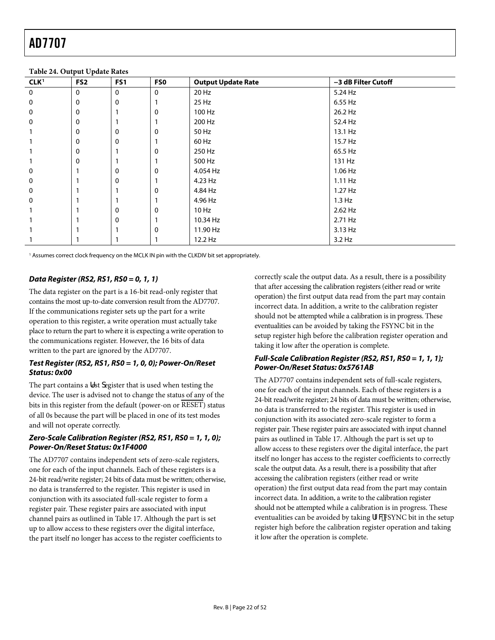<span id="page-21-0"></span>

| CLK <sup>1</sup> | $\overline{\phantom{a}}$<br>$\ddot{\phantom{1}}$<br>FS <sub>2</sub> | FS <sub>1</sub> | <b>FSO</b>   | <b>Output Update Rate</b> | -3 dB Filter Cutoff |
|------------------|---------------------------------------------------------------------|-----------------|--------------|---------------------------|---------------------|
| $\mathbf 0$      | $\mathbf 0$                                                         | $\mathbf{0}$    | $\mathbf{0}$ | 20 Hz                     | 5.24 Hz             |
| $\mathbf 0$      | 0                                                                   | 0               |              | 25 Hz                     | 6.55 Hz             |
| 0                | 0                                                                   |                 | 0            | 100 Hz                    | 26.2 Hz             |
| 0                | 0                                                                   |                 |              | 200 Hz                    | 52.4 Hz             |
|                  | 0                                                                   | 0               | $\Omega$     | 50 Hz                     | 13.1 Hz             |
|                  | 0                                                                   | $\mathbf{0}$    |              | 60 Hz                     | 15.7 Hz             |
|                  | 0                                                                   |                 | 0            | 250 Hz                    | 65.5 Hz             |
|                  | 0                                                                   |                 |              | 500 Hz                    | 131 Hz              |
| $\mathbf 0$      |                                                                     | 0               | $\Omega$     | 4.054 Hz                  | 1.06 Hz             |
| 0                |                                                                     | 0               |              | 4.23 Hz                   | $1.11$ Hz           |
| $\mathbf 0$      |                                                                     |                 | 0            | 4.84 Hz                   | 1.27 Hz             |
| $\mathbf 0$      |                                                                     |                 |              | 4.96 Hz                   | 1.3 Hz              |
|                  |                                                                     | 0               | $\mathbf 0$  | $10$ Hz                   | 2.62 Hz             |
|                  |                                                                     | 0               |              | 10.34 Hz                  | 2.71 Hz             |
|                  |                                                                     |                 | $\mathbf 0$  | 11.90 Hz                  | 3.13 Hz             |
|                  |                                                                     |                 |              | 12.2 Hz                   | 3.2 Hz              |

#### **Table 24. Output Update Rates**

1 Assumes correct clock frequency on the MCLK IN pin with the CLKDIV bit set appropriately.

#### **Data Register (RS2, RS1, RS0 = 0, 1, 1)**

The data register on the part is a 16-bit read-only register that contains the most up-to-date conversion result from the AD7707. If the communications register sets up the part for a write operation to this register, a write operation must actually take place to return the part to where it is expecting a write operation to the communications register. However, the 16 bits of data written to the part are ignored by the AD7707.

#### **Test Register (RS2, RS1, RS0 = 1, 0, 0); Power-On/Reset Status: 0x00**

The part contains a fest degister that is used when testing the device. The user is advised not to change the status of any of the bits in this register from the default (power-on or RESET) status of all 0s because the part will be placed in one of its test modes and will not operate correctly.

#### **Zero-Scale Calibration Register (RS2, RS1, RS0 = 1, 1, 0); Power-On/Reset Status: 0x1F4000**

The AD7707 contains independent sets of zero-scale registers, one for each of the input channels. Each of these registers is a 24-bit read/write register; 24 bits of data must be written; otherwise, no data is transferred to the register. This register is used in conjunction with its associated full-scale register to form a register pair. These register pairs are associated with input channel pairs as outlined in [Table 17](#page-18-1). Although the part is set up to allow access to these registers over the digital interface, the part itself no longer has access to the register coefficients to

correctly scale the output data. As a result, there is a possibility that after accessing the calibration registers (either read or write operation) the first output data read from the part may contain incorrect data. In addition, a write to the calibration register should not be attempted while a calibration is in progress. These eventualities can be avoided by taking the FSYNC bit in the setup register high before the calibration register operation and taking it low after the operation is complete.

#### **Full-Scale Calibration Register (RS2, RS1, RS0 = 1, 1, 1); Power-On/Reset Status: 0x5761AB**

The AD7707 contains independent sets of full-scale registers, one for each of the input channels. Each of these registers is a 24-bit read/write register; 24 bits of data must be written; otherwise, no data is transferred to the register. This register is used in conjunction with its associated zero-scale register to form a register pair. These register pairs are associated with input channel pairs as outlined in [Table 17](#page-18-1). Although the part is set up to allow access to these registers over the digital interface, the part itself no longer has access to the register coefficients to correctly scale the output data. As a result, there is a possibility that after accessing the calibration registers (either read or write operation) the first output data read from the part may contain incorrect data. In addition, a write to the calibration register should not be attempted while a calibration is in progress. These eventualities can be avoided by taking fZWFSYNC bit in the setup register high before the calibration register operation and taking it low after the operation is complete.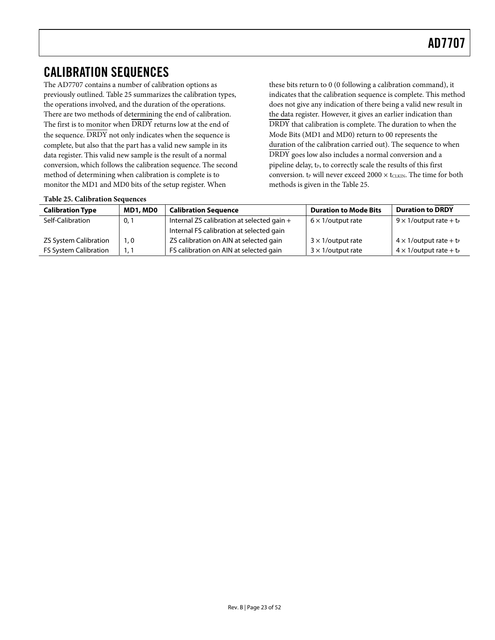## <span id="page-22-2"></span><span id="page-22-0"></span>CALIBRATION SEQUENCES

The AD7707 contains a number of calibration options as previously outlined. [Table 25](#page-22-1) summarizes the calibration types, the operations involved, and the duration of the operations. There are two methods of determining the end of calibration. The first is to monitor when  $\overline{DRDY}$  returns low at the end of the sequence. DRDY not only indicates when the sequence is complete, but also that the part has a valid new sample in its data register. This valid new sample is the result of a normal conversion, which follows the calibration sequence. The second method of determining when calibration is complete is to monitor the MD1 and MD0 bits of the setup register. When

these bits return to 0 (0 following a calibration command), it indicates that the calibration sequence is complete. This method does not give any indication of there being a valid new result in the data register. However, it gives an earlier indication than DRDY that calibration is complete. The duration to when the Mode Bits (MD1 and MD0) return to 00 represents the duration of the calibration carried out). The sequence to when DRDY goes low also includes a normal conversion and a pipeline delay, t<sub>P</sub>, to correctly scale the results of this first conversion.  $t_{P}$  will never exceed 2000  $\times$  t<sub>CLKIN</sub>. The time for both methods is given in the [Table 25](#page-22-1).

| <b>Table 25. Calibration Sequences</b> |  |
|----------------------------------------|--|
|                                        |  |

<span id="page-22-1"></span>

| <b>Calibration Type</b>      | MD1, MD0 | <b>Calibration Sequence</b>                | <b>Duration to Mode Bits</b> | <b>Duration to DRDY</b>                    |
|------------------------------|----------|--------------------------------------------|------------------------------|--------------------------------------------|
| Self-Calibration             | 0,1      | Internal ZS calibration at selected gain + | $6 \times 1$ /output rate    | $9 \times 1$ /output rate + t <sub>P</sub> |
|                              |          | Internal FS calibration at selected gain   |                              |                                            |
| <b>ZS System Calibration</b> | ۱. 0     | ZS calibration on AIN at selected gain     | $3 \times 1$ /output rate    | $4 \times 1$ /output rate + t <sub>P</sub> |
| <b>FS System Calibration</b> | 1. 1     | FS calibration on AIN at selected gain     | $3 \times 1$ /output rate    | $4 \times 1$ /output rate + t <sub>P</sub> |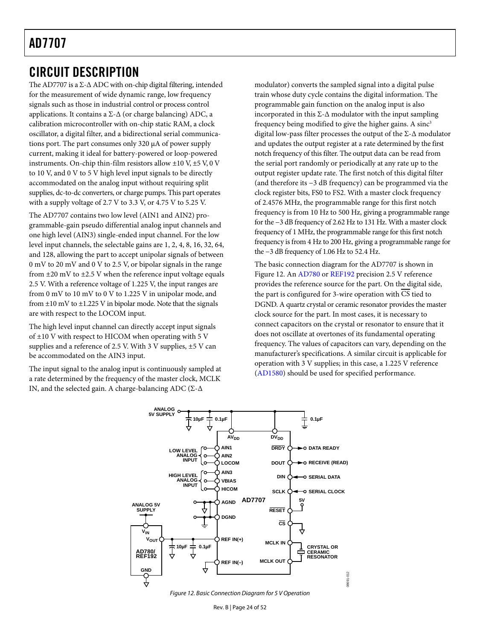## <span id="page-23-0"></span>CIRCUIT DESCRIPTION

The AD7707 is a  $\Sigma$ - $\Delta$  ADC with on-chip digital filtering, intended for the measurement of wide dynamic range, low frequency signals such as those in industrial control or process control applications. It contains a Σ-Δ (or charge balancing) ADC, a calibration microcontroller with on-chip static RAM, a clock oscillator, a digital filter, and a bidirectional serial communications port. The part consumes only 320 μA of power supply current, making it ideal for battery-powered or loop-powered instruments. On-chip thin-film resistors allow  $\pm 10$  V,  $\pm 5$  V, 0 V to 10 V, and 0 V to 5 V high level input signals to be directly accommodated on the analog input without requiring split supplies, dc-to-dc converters, or charge pumps. This part operates with a supply voltage of 2.7 V to 3.3 V, or 4.75 V to 5.25 V.

The AD7707 contains two low level (AIN1 and AIN2) programmable-gain pseudo differential analog input channels and one high level (AIN3) single-ended input channel. For the low level input channels, the selectable gains are 1, 2, 4, 8, 16, 32, 64, and 128, allowing the part to accept unipolar signals of between 0 mV to 20 mV and 0 V to 2.5 V, or bipolar signals in the range from  $\pm 20$  mV to  $\pm 2.5$  V when the reference input voltage equals 2.5 V. With a reference voltage of 1.225 V, the input ranges are from 0 mV to 10 mV to 0 V to 1.225 V in unipolar mode, and from  $\pm 10$  mV to  $\pm 1.225$  V in bipolar mode. Note that the signals are with respect to the LOCOM input.

The high level input channel can directly accept input signals of ±10 V with respect to HICOM when operating with 5 V supplies and a reference of 2.5 V. With 3 V supplies, ±5 V can be accommodated on the AIN3 input.

The input signal to the analog input is continuously sampled at a rate determined by the frequency of the master clock, MCLK IN, and the selected gain. A charge-balancing ADC (Σ-Δ

modulator) converts the sampled signal into a digital pulse train whose duty cycle contains the digital information. The programmable gain function on the analog input is also incorporated in this  $\Sigma$ - $\Delta$  modulator with the input sampling frequency being modified to give the higher gains. A sinc<sup>3</sup> digital low-pass filter processes the output of the Σ-Δ modulator and updates the output register at a rate determined by the first notch frequency of this filter. The output data can be read from the serial port randomly or periodically at any rate up to the output register update rate. The first notch of this digital filter (and therefore its −3 dB frequency) can be programmed via the clock register bits, FS0 to FS2. With a master clock frequency of 2.4576 MHz, the programmable range for this first notch frequency is from 10 Hz to 500 Hz, giving a programmable range for the −3 dB frequency of 2.62 Hz to 131 Hz. With a master clock frequency of 1 MHz, the programmable range for this first notch frequency is from 4 Hz to 200 Hz, giving a programmable range for the −3 dB frequency of 1.06 Hz to 52.4 Hz.

The basic connection diagram for the AD7707 is shown in [Figure 12](#page-23-1). An [AD780](http://www.analog.com/ad780) or [REF192](http://www.analog.com/ref192) precision 2.5 V reference provides the reference source for the part. On the digital side, the part is configured for 3-wire operation with CS tied to DGND. A quartz crystal or ceramic resonator provides the master clock source for the part. In most cases, it is necessary to connect capacitors on the crystal or resonator to ensure that it does not oscillate at overtones of its fundamental operating frequency. The values of capacitors can vary, depending on the manufacturer's specifications. A similar circuit is applicable for operation with 3 V supplies; in this case, a 1.225 V reference ([AD1580\)](http://www.analog.com/ad1580) should be used for specified performance.



<span id="page-23-1"></span>Figure 12. Basic Connection Diagram for 5 V Operation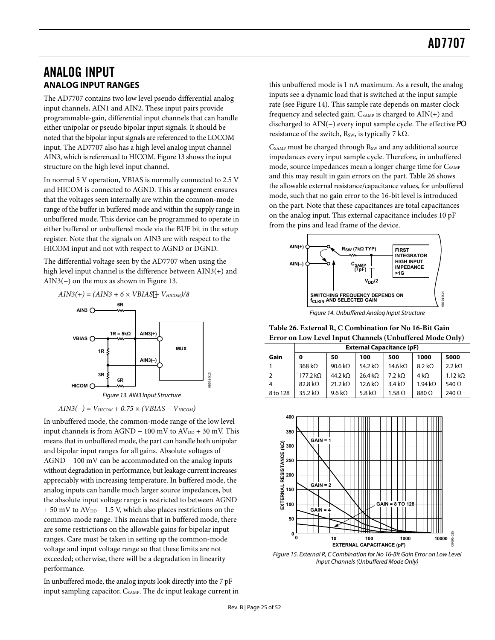## <span id="page-24-0"></span>ANALOG INPUT **ANALOG INPUT RANGES**

The AD7707 contains two low level pseudo differential analog input channels, AIN1 and AIN2. These input pairs provide programmable-gain, differential input channels that can handle either unipolar or pseudo bipolar input signals. It should be noted that the bipolar input signals are referenced to the LOCOM input. The AD7707 also has a high level analog input channel AIN3, which is referenced to HICOM. [Figure 13](#page-24-1) shows the input structure on the high level input channel.

In normal 5 V operation, VBIAS is normally connected to 2.5 V and HICOM is connected to AGND. This arrangement ensures that the voltages seen internally are within the common-mode range of the buffer in buffered mode and within the supply range in unbuffered mode. This device can be programmed to operate in either buffered or unbuffered mode via the BUF bit in the setup register. Note that the signals on AIN3 are with respect to the HICOM input and not with respect to AGND or DGND.

The differential voltage seen by the AD7707 when using the high level input channel is the difference between AIN3(+) and AIN3(−) on the mux as shown in [Figure 13](#page-24-1).

<span id="page-24-3"></span><span id="page-24-2"></span>



*AIN3(−) = VHICOM + 0.75 × (VBIAS − VHICOM)* 

<span id="page-24-1"></span>In unbuffered mode, the common-mode range of the low level input channels is from AGND – 100 mV to  $AV_{DD}$  + 30 mV. This means that in unbuffered mode, the part can handle both unipolar and bipolar input ranges for all gains. Absolute voltages of AGND − 100 mV can be accommodated on the analog inputs without degradation in performance, but leakage current increases appreciably with increasing temperature. In buffered mode, the analog inputs can handle much larger source impedances, but the absolute input voltage range is restricted to between AGND  $+ 50$  mV to  $AV_{DD} - 1.5$  V, which also places restrictions on the common-mode range. This means that in buffered mode, there are some restrictions on the allowable gains for bipolar input ranges. Care must be taken in setting up the common-mode voltage and input voltage range so that these limits are not exceeded; otherwise, there will be a degradation in linearity performance.

In unbuffered mode, the analog inputs look directly into the 7 pF input sampling capacitor, C<sub>SAMP</sub>. The dc input leakage current in this unbuffered mode is 1 nA maximum. As a result, the analog inputs see a dynamic load that is switched at the input sample rate (see [Figure 14](#page-24-2)). This sample rate depends on master clock frequency and selected gain.  $C_{SAMP}$  is charged to  $AIN(+)$  and discharged to AIN(−) every input sample cycle. The effective a` resistance of the switch, R<sub>SW</sub>, is typically 7 k $\Omega$ .

CSAMP must be charged through R<sub>SW</sub> and any additional source impedances every input sample cycle. Therefore, in unbuffered mode, source impedances mean a longer charge time for CSAMP and this may result in gain errors on the part. [Table 26](#page-24-3) shows the allowable external resistance/capacitance values, for unbuffered mode, such that no gain error to the 16-bit level is introduced on the part. Note that these capacitances are total capacitances on the analog input. This external capacitance includes 10 pF from the pins and lead frame of the device.



Figure 14. Unbuffered Analog Input Structure

**Table 26. External R, C Combination for No 16-Bit Gain Error on Low Level Input Channels (Unbuffered Mode Only)** 

|          | <b>External Capacitance (pF)</b> |                 |                     |                 |                        |               |  |  |  |  |  |
|----------|----------------------------------|-----------------|---------------------|-----------------|------------------------|---------------|--|--|--|--|--|
| Gain     | 0                                | 50              | 100                 | 500             | 1000                   | 5000          |  |  |  |  |  |
|          | 368 k $\Omega$                   | 90.6 k $\Omega$ | 54.2 k $\Omega$     | 14.6 k $\Omega$ | $8.2 k\Omega$          | $2.2 k\Omega$ |  |  |  |  |  |
| 2        | $177.2 k\Omega$                  | 44.2 k $\Omega$ | 26.4 k <sub>2</sub> | 7.2 kO          | 4 k $\Omega$           | 1.12 kO       |  |  |  |  |  |
| 4        | 82.8 k <sub>0</sub>              | $21.2 k\Omega$  | 12.6 k $\Omega$     | $3.4 k\Omega$   | $1.94 \text{ k}\Omega$ | 540 $\Omega$  |  |  |  |  |  |
| 8 to 128 | 35.2 kO                          | 9.6 k $\Omega$  | 5.8 k $\Omega$      | $1.58\Omega$    | 880 Q                  | $240 \Omega$  |  |  |  |  |  |



Figure 15. External R, C Combination for No 16-Bit Gain Error on Low Level Input Channels (Unbuffered Mode Only)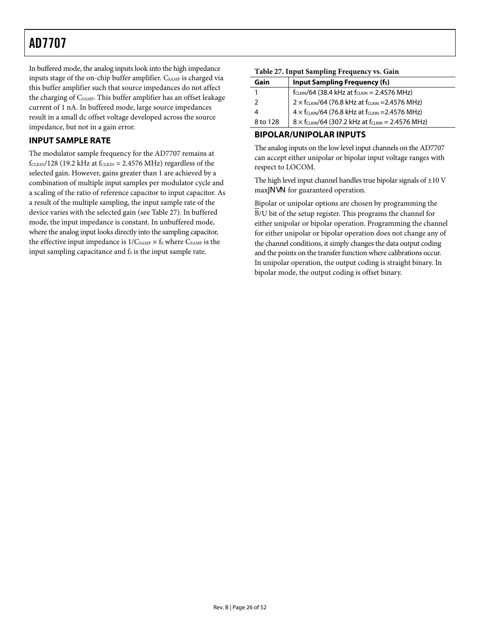<span id="page-25-1"></span><span id="page-25-0"></span>In buffered mode, the analog inputs look into the high impedance inputs stage of the on-chip buffer amplifier. CSAMP is charged via this buffer amplifier such that source impedances do not affect the charging of C<sub>SAMP</sub>. This buffer amplifier has an offset leakage current of 1 nA. In buffered mode, large source impedances result in a small dc offset voltage developed across the source impedance, but not in a gain error.

### **INPUT SAMPLE RATE**

The modulator sample frequency for the AD7707 remains at  $f_{CLKIN}/128$  (19.2 kHz at  $f_{CLKIN}$  = 2.4576 MHz) regardless of the selected gain. However, gains greater than 1 are achieved by a combination of multiple input samples per modulator cycle and a scaling of the ratio of reference capacitor to input capacitor. As a result of the multiple sampling, the input sample rate of the device varies with the selected gain (see [Table 27](#page-25-1)). In buffered mode, the input impedance is constant. In unbuffered mode, where the analog input looks directly into the sampling capacitor, the effective input impedance is  $1/C_{\text{SAMP}} \times f_S$  where  $C_{\text{SAMP}}$  is the input sampling capacitance and fs is the input sample rate.

#### **Table 27. Input Sampling Frequency vs. Gain**

| Gain          | <b>Input Sampling Frequency (fs)</b>                            |
|---------------|-----------------------------------------------------------------|
|               | $f_{CLKIN}/64$ (38.4 kHz at $f_{CLKIN} = 2.4576$ MHz)           |
| $\mathcal{P}$ | $2 \times f_{CLKIN}/64$ (76.8 kHz at $f_{CLKIN}$ =2.4576 MHz)   |
| 4             | $4 \times f_{CLKIN}/64$ (76.8 kHz at $f_{CLKIN}$ =2.4576 MHz)   |
| 8 to 128      | $8 \times f_{CLKIN}/64$ (307.2 kHz at $f_{CLKIN} = 2.4576$ MHz) |

### **BIPOLAR/UNIPOLAR INPUTS**

The analog inputs on the low level input channels on the AD7707 can accept either unipolar or bipolar input voltage ranges with respect to LOCOM.

The high level input channel handles true bipolar signals of  $\pm 10$  V  $max$  $\boxed{g}$  for guaranteed operation.

Bipolar or unipolar options are chosen by programming the  $\overline{B}/U$  bit of the setup register. This programs the channel for either unipolar or bipolar operation. Programming the channel for either unipolar or bipolar operation does not change any of the channel conditions, it simply changes the data output coding and the points on the transfer function where calibrations occur. In unipolar operation, the output coding is straight binary. In bipolar mode, the output coding is offset binary.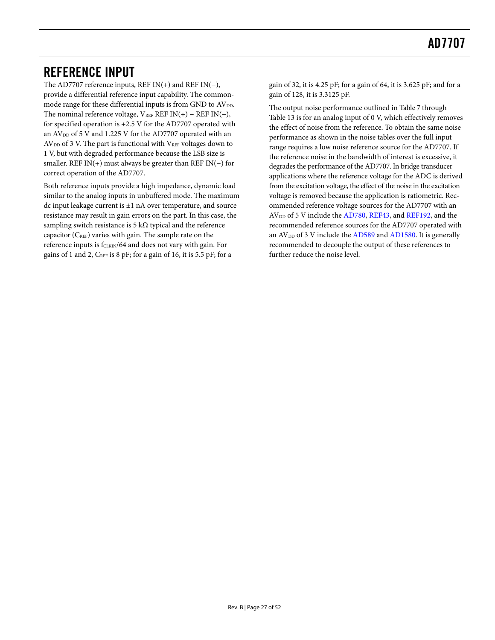## <span id="page-26-0"></span>REFERENCE INPUT

The AD7707 reference inputs, REF IN(+) and REF IN(−), provide a differential reference input capability. The commonmode range for these differential inputs is from GND to  $AV_{DD}$ . The nominal reference voltage,  $V_{REF}$  REF IN(+) – REF IN(−), for specified operation is +2.5 V for the AD7707 operated with an AV<sub>DD</sub> of 5 V and 1.225 V for the AD7707 operated with an  $AV<sub>DD</sub>$  of 3 V. The part is functional with  $V<sub>REF</sub>$  voltages down to 1 V, but with degraded performance because the LSB size is smaller. REF IN(+) must always be greater than REF IN(−) for correct operation of the AD7707.

Both reference inputs provide a high impedance, dynamic load similar to the analog inputs in unbuffered mode. The maximum dc input leakage current is ±1 nA over temperature, and source resistance may result in gain errors on the part. In this case, the sampling switch resistance is 5 kΩ typical and the reference capacitor (CREF) varies with gain. The sample rate on the reference inputs is f<sub>CLKIN</sub>/64 and does not vary with gain. For gains of 1 and 2,  $C_{REF}$  is 8 pF; for a gain of 16, it is 5.5 pF; for a

gain of 32, it is 4.25 pF; for a gain of 64, it is 3.625 pF; and for a gain of 128, it is 3.3125 pF.

The output noise performance outlined in [Table 7](#page-13-1) through [Table 13](#page-16-1) is for an analog input of 0 V, which effectively removes the effect of noise from the reference. To obtain the same noise performance as shown in the noise tables over the full input range requires a low noise reference source for the AD7707. If the reference noise in the bandwidth of interest is excessive, it degrades the performance of the AD7707. In bridge transducer applications where the reference voltage for the ADC is derived from the excitation voltage, the effect of the noise in the excitation voltage is removed because the application is ratiometric. Recommended reference voltage sources for the AD7707 with an AV<sub>DD</sub> of 5 V include the [AD780](http://www.analog.com/ad780), [REF43](http://www.analog.com/ref43), and [REF192,](http://www.analog.com/ref192) and the recommended reference sources for the AD7707 operated with an  $AV_{DD}$  of 3 V include the  $AD589$  and  $AD1580$ . It is generally recommended to decouple the output of these references to further reduce the noise level.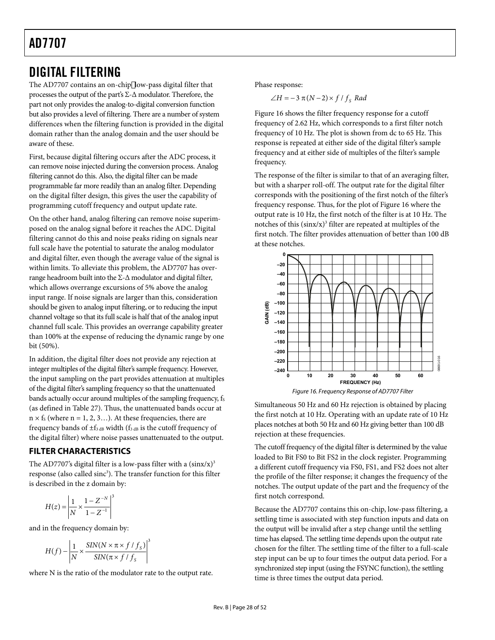## <span id="page-27-0"></span>DIGITAL FILTERING

The AD7707 contains an on-chip low-pass digital filter that processes the output of the part's  $\Sigma$ - $\Delta$  modulator. Therefore, the part not only provides the analog-to-digital conversion function but also provides a level of filtering. There are a number of system differences when the filtering function is provided in the digital domain rather than the analog domain and the user should be aware of these.

First, because digital filtering occurs after the ADC process, it can remove noise injected during the conversion process. Analog filtering cannot do this. Also, the digital filter can be made programmable far more readily than an analog filter. Depending on the digital filter design, this gives the user the capability of programming cutoff frequency and output update rate.

On the other hand, analog filtering can remove noise superimposed on the analog signal before it reaches the ADC. Digital filtering cannot do this and noise peaks riding on signals near full scale have the potential to saturate the analog modulator and digital filter, even though the average value of the signal is within limits. To alleviate this problem, the AD7707 has overrange headroom built into the  $\Sigma$ - $\Delta$  modulator and digital filter, which allows overrange excursions of 5% above the analog input range. If noise signals are larger than this, consideration should be given to analog input filtering, or to reducing the input channel voltage so that its full scale is half that of the analog input channel full scale. This provides an overrange capability greater than 100% at the expense of reducing the dynamic range by one bit (50%).

<span id="page-27-1"></span>In addition, the digital filter does not provide any rejection at integer multiples of the digital filter's sample frequency. However, the input sampling on the part provides attenuation at multiples of the digital filter's sampling frequency so that the unattenuated bands actually occur around multiples of the sampling frequency, fs (as defined in [Table 27](#page-25-1)). Thus, the unattenuated bands occur at  $n \times f_s$  (where  $n = 1, 2, 3...$ ). At these frequencies, there are frequency bands of  $\pm f_3$  dB width ( $f_3$  dB is the cutoff frequency of the digital filter) where noise passes unattenuated to the output.

### **FILTER CHARACTERISTICS**

The AD7707's digital filter is a low-pass filter with a  $(sinx/x)^3$ response (also called sinc<sup>3</sup>). The transfer function for this filter is described in the z domain by:

$$
H(z) = \left| \frac{1}{N} \times \frac{1 - Z^{-N}}{1 - Z^{-1}} \right|^3
$$

and in the frequency domain by:

$$
H(f) - \left| \frac{1}{N} \times \frac{SIN(N \times \pi \times f / f_S)}{SIN(\pi \times f / f_S)} \right|^3
$$

where N is the ratio of the modulator rate to the output rate.

Phase response:

 $\angle H = -3 \pi (N-2) \times f / f_s$  *Rad* 

[Figure 16](#page-27-1) shows the filter frequency response for a cutoff frequency of 2.62 Hz, which corresponds to a first filter notch frequency of 10 Hz. The plot is shown from dc to 65 Hz. This response is repeated at either side of the digital filter's sample frequency and at either side of multiples of the filter's sample frequency.

The response of the filter is similar to that of an averaging filter, but with a sharper roll-off. The output rate for the digital filter corresponds with the positioning of the first notch of the filter's frequency response. Thus, for the plot of [Figure 16](#page-27-1) where the output rate is 10 Hz, the first notch of the filter is at 10 Hz. The notches of this  $(sinx/x)^3$  filter are repeated at multiples of the first notch. The filter provides attenuation of better than 100 dB at these notches.





Simultaneous 50 Hz and 60 Hz rejection is obtained by placing the first notch at 10 Hz. Operating with an update rate of 10 Hz places notches at both 50 Hz and 60 Hz giving better than 100 dB rejection at these frequencies.

The cutoff frequency of the digital filter is determined by the value loaded to Bit FS0 to Bit FS2 in the clock register. Programming a different cutoff frequency via FS0, FS1, and FS2 does not alter the profile of the filter response; it changes the frequency of the notches. The output update of the part and the frequency of the first notch correspond.

Because the AD7707 contains this on-chip, low-pass filtering, a settling time is associated with step function inputs and data on the output will be invalid after a step change until the settling time has elapsed. The settling time depends upon the output rate chosen for the filter. The settling time of the filter to a full-scale step input can be up to four times the output data period. For a synchronized step input (using the FSYNC function), the settling time is three times the output data period.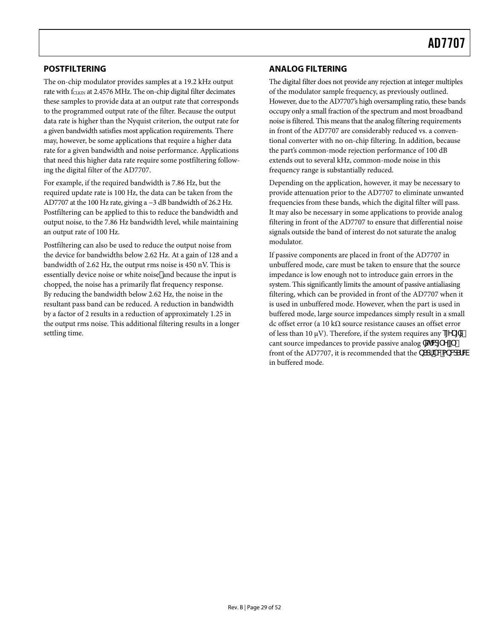### <span id="page-28-0"></span>**POSTFILTERING**

The on-chip modulator provides samples at a 19.2 kHz output rate with  $f_{CLKIN}$  at 2.4576 MHz. The on-chip digital filter decimates these samples to provide data at an output rate that corresponds to the programmed output rate of the filter. Because the output data rate is higher than the Nyquist criterion, the output rate for a given bandwidth satisfies most application requirements. There may, however, be some applications that require a higher data rate for a given bandwidth and noise performance. Applications that need this higher data rate require some postfiltering following the digital filter of the AD7707.

For example, if the required bandwidth is 7.86 Hz, but the required update rate is 100 Hz, the data can be taken from the AD7707 at the 100 Hz rate, giving a −3 dB bandwidth of 26.2 Hz. Postfiltering can be applied to this to reduce the bandwidth and output noise, to the 7.86 Hz bandwidth level, while maintaining an output rate of 100 Hz.

Postfiltering can also be used to reduce the output noise from the device for bandwidths below 2.62 Hz. At a gain of 128 and a bandwidth of 2.62 Hz, the output rms noise is 450 nV. This is essentially device noise or white noisel and because the input is chopped, the noise has a primarily flat frequency response. By reducing the bandwidth below 2.62 Hz, the noise in the resultant pass band can be reduced. A reduction in bandwidth by a factor of 2 results in a reduction of approximately 1.25 in the output rms noise. This additional filtering results in a longer settling time.

### **ANALOG FILTERING**

The digital filter does not provide any rejection at integer multiples of the modulator sample frequency, as previously outlined. However, due to the AD7707's high oversampling ratio, these bands occupy only a small fraction of the spectrum and most broadband noise is filtered. This means that the analog filtering requirements in front of the AD7707 are considerably reduced vs. a conventional converter with no on-chip filtering. In addition, because the part's common-mode rejection performance of 100 dB extends out to several kHz, common-mode noise in this frequency range is substantially reduced.

Depending on the application, however, it may be necessary to provide attenuation prior to the AD7707 to eliminate unwanted frequencies from these bands, which the digital filter will pass. It may also be necessary in some applications to provide analog filtering in front of the AD7707 to ensure that differential noise signals outside the band of interest do not saturate the analog modulator.

If passive components are placed in front of the AD7707 in unbuffered mode, care must be taken to ensure that the source impedance is low enough not to introduce gain errors in the system. This significantly limits the amount of passive antialiasing filtering, which can be provided in front of the AD7707 when it is used in unbuffered mode. However, when the part is used in buffered mode, large source impedances simply result in a small dc offset error (a 10 kΩ source resistance causes an offset error of less than 10  $\mu$ V). Therefore, if the system requires any e $\overline{Y}$  [X $\overline{Z}$ ] cant source impedances to provide passive analog  $\mathbb{X}^{\uparrow} \mathbb{M}^{\uparrow}$  Y front of the AD7707, it is recommended that the **bScFTV&bV&FFW** in buffered mode.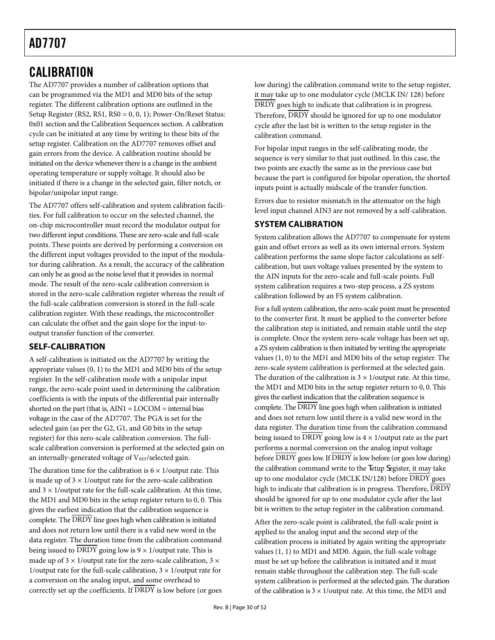## <span id="page-29-0"></span>**CALIBRATION**

The AD7707 provides a number of calibration options that can be programmed via the MD1 and MD0 bits of the setup register. The different calibration options are outlined in the [Setup Register \(RS2, RS1, RS0 = 0, 0, 1\); Power-On/Reset Status:](#page-19-2)  [0x01](#page-19-2) section and the [Calibration Sequences](#page-22-2) section. A calibration cycle can be initiated at any time by writing to these bits of the setup register. Calibration on the AD7707 removes offset and gain errors from the device. A calibration routine should be initiated on the device whenever there is a change in the ambient operating temperature or supply voltage. It should also be initiated if there is a change in the selected gain, filter notch, or bipolar/unipolar input range.

The AD7707 offers self-calibration and system calibration facilities. For full calibration to occur on the selected channel, the on-chip microcontroller must record the modulator output for two different input conditions. These are zero-scale and full-scale points. These points are derived by performing a conversion on the different input voltages provided to the input of the modulator during calibration. As a result, the accuracy of the calibration can only be as good as the noise level that it provides in normal mode. The result of the zero-scale calibration conversion is stored in the zero-scale calibration register whereas the result of the full-scale calibration conversion is stored in the full-scale calibration register. With these readings, the microcontroller can calculate the offset and the gain slope for the input-tooutput transfer function of the converter.

### **SELF-CALIBRATION**

A self-calibration is initiated on the AD7707 by writing the appropriate values (0, 1) to the MD1 and MD0 bits of the setup register. In the self-calibration mode with a unipolar input range, the zero-scale point used in determining the calibration coefficients is with the inputs of the differential pair internally shorted on the part (that is,  $AIN1 = LOCOM =$  internal bias voltage in the case of the AD7707. The PGA is set for the selected gain (as per the G2, G1, and G0 bits in the setup register) for this zero-scale calibration conversion. The fullscale calibration conversion is performed at the selected gain on an internally-generated voltage of  $V_{REF}/selected$  gain.

The duration time for the calibration is  $6 \times 1$ /output rate. This is made up of  $3 \times 1$ /output rate for the zero-scale calibration and  $3 \times 1$ /output rate for the full-scale calibration. At this time, the MD1 and MD0 bits in the setup register return to 0, 0. This gives the earliest indication that the calibration sequence is complete. The DRDY line goes high when calibration is initiated and does not return low until there is a valid new word in the data register. The duration time from the calibration command being issued to  $\overline{DRDY}$  going low is  $9 \times 1$ /output rate. This is made up of  $3 \times 1$ /output rate for the zero-scale calibration,  $3 \times$ 1/output rate for the full-scale calibration,  $3 \times 1$ /output rate for a conversion on the analog input, and some overhead to correctly set up the coefficients. If DRDY is low before (or goes low during) the calibration command write to the setup register, it may take up to one modulator cycle (MCLK IN/ 128) before DRDY goes high to indicate that calibration is in progress. Therefore, DRDY should be ignored for up to one modulator cycle after the last bit is written to the setup register in the calibration command.

For bipolar input ranges in the self-calibrating mode, the sequence is very similar to that just outlined. In this case, the two points are exactly the same as in the previous case but because the part is configured for bipolar operation, the shorted inputs point is actually midscale of the transfer function.

Errors due to resistor mismatch in the attenuator on the high level input channel AIN3 are not removed by a self-calibration.

### **SYSTEM CALIBRATION**

System calibration allows the AD7707 to compensate for system gain and offset errors as well as its own internal errors. System calibration performs the same slope factor calculations as selfcalibration, but uses voltage values presented by the system to the AIN inputs for the zero-scale and full-scale points. Full system calibration requires a two-step process, a ZS system calibration followed by an FS system calibration.

For a full system calibration, the zero-scale point must be presented to the converter first. It must be applied to the converter before the calibration step is initiated, and remain stable until the step is complete. Once the system zero-scale voltage has been set up, a ZS system calibration is then initiated by writing the appropriate values (1, 0) to the MD1 and MD0 bits of the setup register. The zero-scale system calibration is performed at the selected gain. The duration of the calibration is  $3 \times 1$ /output rate. At this time, the MD1 and MD0 bits in the setup register return to 0, 0. This gives the earliest indication that the calibration sequence is complete. The DRDY line goes high when calibration is initiated and does not return low until there is a valid new word in the data register. The duration time from the calibration command being issued to  $\overline{DRDY}$  going low is  $4 \times 1$ /output rate as the part performs a normal conversion on the analog input voltage before DRDY goes low. If DRDY is low before (or goes low during) the calibration command write to the eetup degister, it may take up to one modulator cycle (MCLK IN/128) before DRDY goes high to indicate that calibration is in progress. Therefore,  $\overline{DRDY}$ should be ignored for up to one modulator cycle after the last bit is written to the setup register in the calibration command.

After the zero-scale point is calibrated, the full-scale point is applied to the analog input and the second step of the calibration process is initiated by again writing the appropriate values (1, 1) to MD1 and MD0. Again, the full-scale voltage must be set up before the calibration is initiated and it must remain stable throughout the calibration step. The full-scale system calibration is performed at the selected gain. The duration of the calibration is  $3 \times 1$ /output rate. At this time, the MD1 and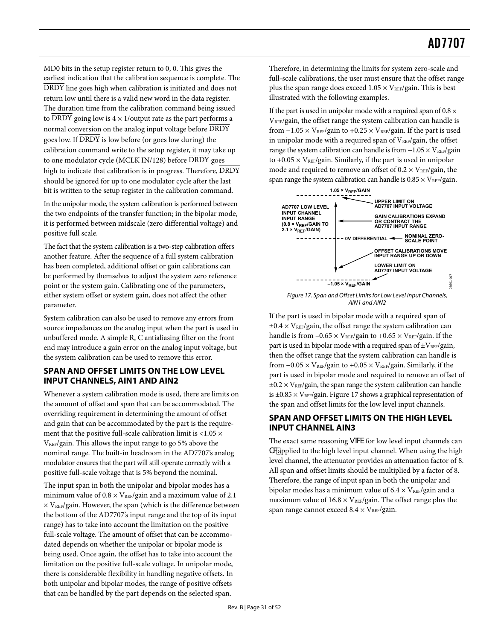<span id="page-30-0"></span>MD0 bits in the setup register return to 0, 0. This gives the earliest indication that the calibration sequence is complete. The DRDY line goes high when calibration is initiated and does not return low until there is a valid new word in the data register. The duration time from the calibration command being issued to DRDY going low is  $4 \times 1$ /output rate as the part performs a normal conversion on the analog input voltage before DRDY goes low. If DRDY is low before (or goes low during) the calibration command write to the setup register, it may take up to one modulator cycle (MCLK IN/128) before DRDY goes high to indicate that calibration is in progress. Therefore, DRDY should be ignored for up to one modulator cycle after the last bit is written to the setup register in the calibration command.

In the unipolar mode, the system calibration is performed between the two endpoints of the transfer function; in the bipolar mode, it is performed between midscale (zero differential voltage) and positive full scale.

The fact that the system calibration is a two-step calibration offers another feature. After the sequence of a full system calibration has been completed, additional offset or gain calibrations can be performed by themselves to adjust the system zero reference point or the system gain. Calibrating one of the parameters, either system offset or system gain, does not affect the other parameter.

<span id="page-30-1"></span>System calibration can also be used to remove any errors from source impedances on the analog input when the part is used in unbuffered mode. A simple R, C antialiasing filter on the front end may introduce a gain error on the analog input voltage, but the system calibration can be used to remove this error.

### **SPAN AND OFFSET LIMITS ON THE LOW LEVEL INPUT CHANNELS, AIN1 AND AIN2**

Whenever a system calibration mode is used, there are limits on the amount of offset and span that can be accommodated. The overriding requirement in determining the amount of offset and gain that can be accommodated by the part is the requirement that the positive full-scale calibration limit is  $<$ 1.05  $\times$  $V_{REF}/$ gain. This allows the input range to go 5% above the nominal range. The built-in headroom in the AD7707's analog modulator ensures that the part will still operate correctly with a positive full-scale voltage that is 5% beyond the nominal.

The input span in both the unipolar and bipolar modes has a minimum value of  $0.8 \times V_{REF}/$ gain and a maximum value of 2.1  $\times$  V<sub>REF</sub>/gain. However, the span (which is the difference between the bottom of the AD7707's input range and the top of its input range) has to take into account the limitation on the positive full-scale voltage. The amount of offset that can be accommodated depends on whether the unipolar or bipolar mode is being used. Once again, the offset has to take into account the limitation on the positive full-scale voltage. In unipolar mode, there is considerable flexibility in handling negative offsets. In both unipolar and bipolar modes, the range of positive offsets that can be handled by the part depends on the selected span.

Therefore, in determining the limits for system zero-scale and full-scale calibrations, the user must ensure that the offset range plus the span range does exceed  $1.05 \times V_{REF}/g$ ain. This is best illustrated with the following examples.

If the part is used in unipolar mode with a required span of  $0.8 \times$ VREF/gain, the offset range the system calibration can handle is from  $-1.05 \times V_{REF}/$ gain to  $+0.25 \times V_{REF}/$ gain. If the part is used in unipolar mode with a required span of  $V_{REF}/g$ ain, the offset range the system calibration can handle is from -1.05 × VREF/gain to  $+0.05 \times V_{REF}/$ gain. Similarly, if the part is used in unipolar mode and required to remove an offset of  $0.2 \times V_{REF}/g$ ain, the span range the system calibration can handle is  $0.85 \times V_{REF}/g$ ain.



If the part is used in bipolar mode with a required span of  $\pm 0.4 \times V_{REF}/$ gain, the offset range the system calibration can handle is from  $-0.65 \times V_{REF}/g$ ain to  $+0.65 \times V_{REF}/g$ ain. If the part is used in bipolar mode with a required span of  $\pm V_{REF}/g$ ain, then the offset range that the system calibration can handle is from  $-0.05 \times V_{REF}/g$ ain to  $+0.05 \times V_{REF}/g$ ain. Similarly, if the part is used in bipolar mode and required to remove an offset of  $\pm 0.2 \times V_{REF}/$ gain, the span range the system calibration can handle is  $\pm 0.85 \times V_{REF}/g$ ain. [Figure 17](#page-30-1) shows a graphical representation of the span and offset limits for the low level input channels.

### **SPAN AND OFFSET LIMITS ON THE HIGH LEVEL INPUT CHANNEL AIN3**

The exact same reasoning geW for low level input channels can TWpplied to the high level input channel. When using the high level channel, the attenuator provides an attenuation factor of 8. All span and offset limits should be multiplied by a factor of 8. Therefore, the range of input span in both the unipolar and bipolar modes has a minimum value of  $6.4 \times V_{REF}/g$ ain and a maximum value of  $16.8 \times V_{REF}/g$ ain. The offset range plus the span range cannot exceed  $8.4 \times V_{REF}/g$ ain.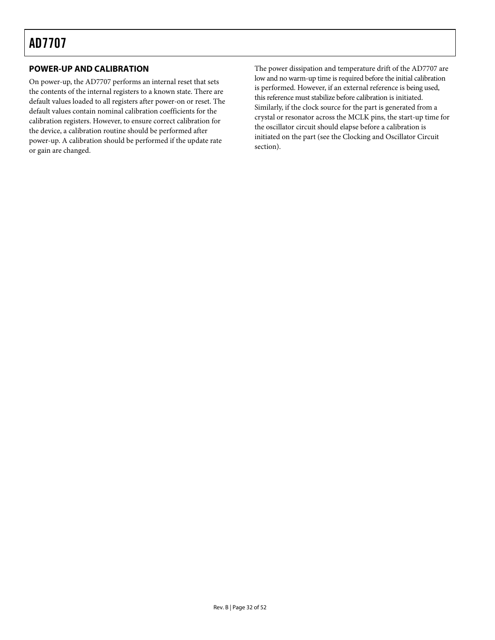### <span id="page-31-0"></span>**POWER-UP AND CALIBRATION**

On power-up, the AD7707 performs an internal reset that sets the contents of the internal registers to a known state. There are default values loaded to all registers after power-on or reset. The default values contain nominal calibration coefficients for the calibration registers. However, to ensure correct calibration for the device, a calibration routine should be performed after power-up. A calibration should be performed if the update rate or gain are changed.

The power dissipation and temperature drift of the AD7707 are low and no warm-up time is required before the initial calibration is performed. However, if an external reference is being used, this reference must stabilize before calibration is initiated. Similarly, if the clock source for the part is generated from a crystal or resonator across the MCLK pins, the start-up time for the oscillator circuit should elapse before a calibration is initiated on the part (see the [Clocking and Oscillator Circuit](#page-32-2) section).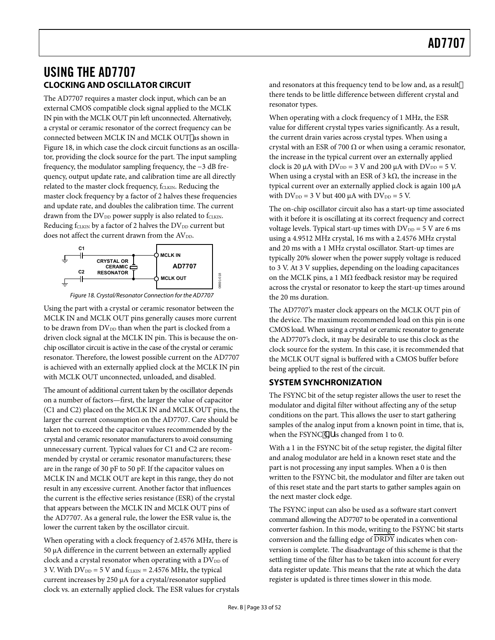## <span id="page-32-1"></span><span id="page-32-0"></span>USING THE AD7707 **CLOCKING AND OSCILLATOR CIRCUIT**

<span id="page-32-2"></span>The AD7707 requires a master clock input, which can be an external CMOS compatible clock signal applied to the MCLK IN pin with the MCLK OUT pin left unconnected. Alternatively, a crystal or ceramic resonator of the correct frequency can be connected between MCLK IN and MCLK OUT as shown in [Figure 18](#page-32-3), in which case the clock circuit functions as an oscillator, providing the clock source for the part. The input sampling frequency, the modulator sampling frequency, the −3 dB frequency, output update rate, and calibration time are all directly related to the master clock frequency, fCLKIN. Reducing the master clock frequency by a factor of 2 halves these frequencies and update rate, and doubles the calibration time. The current drawn from the DV<sub>DD</sub> power supply is also related to fCLKIN. Reducing  $f_{CLKIN}$  by a factor of 2 halves the  $DV_{DD}$  current but does not affect the current drawn from the AVDD.



Figure 18. Crystal/Resonator Connection for the AD7707

<span id="page-32-3"></span>Using the part with a crystal or ceramic resonator between the MCLK IN and MCLK OUT pins generally causes more current to be drawn from  $DV_{DD}$  than when the part is clocked from a driven clock signal at the MCLK IN pin. This is because the onchip oscillator circuit is active in the case of the crystal or ceramic resonator. Therefore, the lowest possible current on the AD7707 is achieved with an externally applied clock at the MCLK IN pin with MCLK OUT unconnected, unloaded, and disabled.

The amount of additional current taken by the oscillator depends on a number of factors—first, the larger the value of capacitor (C1 and C2) placed on the MCLK IN and MCLK OUT pins, the larger the current consumption on the AD7707. Care should be taken not to exceed the capacitor values recommended by the crystal and ceramic resonator manufacturers to avoid consuming unnecessary current. Typical values for C1 and C2 are recommended by crystal or ceramic resonator manufacturers; these are in the range of 30 pF to 50 pF. If the capacitor values on MCLK IN and MCLK OUT are kept in this range, they do not result in any excessive current. Another factor that influences the current is the effective series resistance (ESR) of the crystal that appears between the MCLK IN and MCLK OUT pins of the AD7707. As a general rule, the lower the ESR value is, the lower the current taken by the oscillator circuit.

When operating with a clock frequency of 2.4576 MHz, there is 50 μA difference in the current between an externally applied clock and a crystal resonator when operating with a  $DV_{DD}$  of 3 V. With  $DV_{DD} = 5$  V and  $f_{CLKIN} = 2.4576$  MHz, the typical current increases by 250 μA for a crystal/resonator supplied clock vs. an externally applied clock. The ESR values for crystals and resonators at this frequency tend to be low and, as a result there tends to be little difference between different crystal and resonator types.

When operating with a clock frequency of 1 MHz, the ESR value for different crystal types varies significantly. As a result, the current drain varies across crystal types. When using a crystal with an ESR of 700  $\Omega$  or when using a ceramic resonator, the increase in the typical current over an externally applied clock is 20 μA with  $DV_{DD} = 3$  V and 200 μA with  $DV_{DD} = 5$  V. When using a crystal with an ESR of 3 k $\Omega$ , the increase in the typical current over an externally applied clock is again 100 μA with  $DV_{DD} = 3 V$  but 400  $\mu A$  with  $DV_{DD} = 5 V$ .

The on-chip oscillator circuit also has a start-up time associated with it before it is oscillating at its correct frequency and correct voltage levels. Typical start-up times with  $DV_{DD} = 5 V$  are 6 ms using a 4.9512 MHz crystal, 16 ms with a 2.4576 MHz crystal and 20 ms with a 1 MHz crystal oscillator. Start-up times are typically 20% slower when the power supply voltage is reduced to 3 V. At 3 V supplies, depending on the loading capacitances on the MCLK pins, a 1 M $\Omega$  feedback resistor may be required across the crystal or resonator to keep the start-up times around the 20 ms duration.

The AD7707's master clock appears on the MCLK OUT pin of the device. The maximum recommended load on this pin is one CMOS load. When using a crystal or ceramic resonator to generate the AD7707's clock, it may be desirable to use this clock as the clock source for the system. In this case, it is recommended that the MCLK OUT signal is buffered with a CMOS buffer before being applied to the rest of the circuit.

## **SYSTEM SYNCHRONIZATION**

The FSYNC bit of the setup register allows the user to reset the modulator and digital filter without affecting any of the setup conditions on the part. This allows the user to start gathering samples of the analog input from a known point in time, that is, when the FSYNC T[f is changed from 1 to 0.

With a 1 in the FSYNC bit of the setup register, the digital filter and analog modulator are held in a known reset state and the part is not processing any input samples. When a 0 is then written to the FSYNC bit, the modulator and filter are taken out of this reset state and the part starts to gather samples again on the next master clock edge.

The FSYNC input can also be used as a software start convert command allowing the AD7707 to be operated in a conventional converter fashion. In this mode, writing to the FSYNC bit starts conversion and the falling edge of DRDY indicates when conversion is complete. The disadvantage of this scheme is that the settling time of the filter has to be taken into account for every data register update. This means that the rate at which the data register is updated is three times slower in this mode.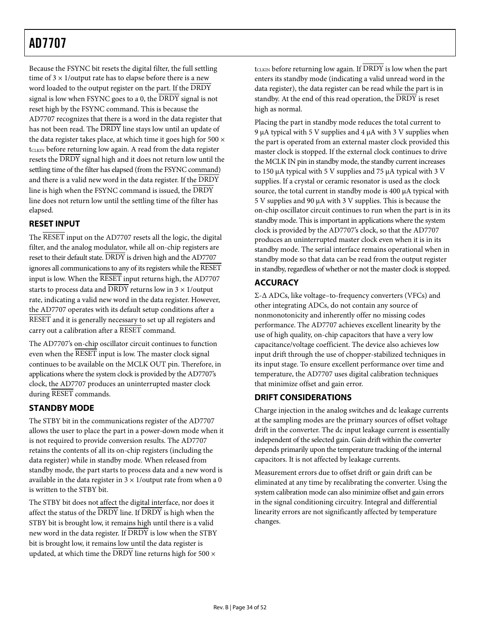<span id="page-33-1"></span><span id="page-33-0"></span>Because the FSYNC bit resets the digital filter, the full settling time of  $3 \times 1$ /output rate has to elapse before there is a new word loaded to the output register on the part. If the DRDY signal is low when FSYNC goes to a 0, the  $\overline{DRDY}$  signal is not reset high by the FSYNC command. This is because the AD7707 recognizes that there is a word in the data register that has not been read. The  $\overline{DRDY}$  line stays low until an update of the data register takes place, at which time it goes high for  $500 \times$  $t<sub>CLKIN</sub>$  before returning low again. A read from the data register resets the DRDY signal high and it does not return low until the settling time of the filter has elapsed (from the FSYNC command) and there is a valid new word in the data register. If the DRDY line is high when the FSYNC command is issued, the DRDY line does not return low until the settling time of the filter has elapsed.

### **RESET INPUT**

The RESET input on the AD7707 resets all the logic, the digital filter, and the analog modulator, while all on-chip registers are reset to their default state. DRDY is driven high and the AD7707 ignores all communications to any of its registers while the RESET input is low. When the RESET input returns high, the AD7707 starts to process data and  $\overline{DRDY}$  returns low in  $3 \times 1$ /output rate, indicating a valid new word in the data register. However, the AD7707 operates with its default setup conditions after a RESET and it is generally necessary to set up all registers and carry out a calibration after a RESET command.

The AD7707's on-chip oscillator circuit continues to function even when the RESET input is low. The master clock signal continues to be available on the MCLK OUT pin. Therefore, in applications where the system clock is provided by the AD7707's clock, the AD7707 produces an uninterrupted master clock during RESET commands.

## **STANDBY MODE**

The STBY bit in the communications register of the AD7707 allows the user to place the part in a power-down mode when it is not required to provide conversion results. The AD7707 retains the contents of all its on-chip registers (including the data register) while in standby mode. When released from standby mode, the part starts to process data and a new word is available in the data register in  $3 \times 1$ /output rate from when a 0 is written to the STBY bit.

The STBY bit does not affect the digital interface, nor does it affect the status of the DRDY line. If DRDY is high when the STBY bit is brought low, it remains high until there is a valid new word in the data register. If DRDY is low when the STBY bit is brought low, it remains low until the data register is updated, at which time the  $\overline{DRDY}$  line returns high for 500  $\times$ 

 $t<sub>CLKIN</sub>$  before returning low again. If  $\overline{DRDY}$  is low when the part enters its standby mode (indicating a valid unread word in the data register), the data register can be read while the part is in standby. At the end of this read operation, the  $\overline{DRDY}$  is reset high as normal.

Placing the part in standby mode reduces the total current to 9 μA typical with 5 V supplies and 4 μA with 3 V supplies when the part is operated from an external master clock provided this master clock is stopped. If the external clock continues to drive the MCLK IN pin in standby mode, the standby current increases to 150 μA typical with 5 V supplies and 75 μA typical with 3 V supplies. If a crystal or ceramic resonator is used as the clock source, the total current in standby mode is 400 μA typical with 5 V supplies and 90 μA with 3 V supplies. This is because the on-chip oscillator circuit continues to run when the part is in its standby mode. This is important in applications where the system clock is provided by the AD7707's clock, so that the AD7707 produces an uninterrupted master clock even when it is in its standby mode. The serial interface remains operational when in standby mode so that data can be read from the output register in standby, regardless of whether or not the master clock is stopped.

## **ACCURACY**

Σ-Δ ADCs, like voltage–to-frequency converters (VFCs) and other integrating ADCs, do not contain any source of nonmonotonicity and inherently offer no missing codes performance. The AD7707 achieves excellent linearity by the use of high quality, on-chip capacitors that have a very low capacitance/voltage coefficient. The device also achieves low input drift through the use of chopper-stabilized techniques in its input stage. To ensure excellent performance over time and temperature, the AD7707 uses digital calibration techniques that minimize offset and gain error.

### **DRIFT CONSIDERATIONS**

Charge injection in the analog switches and dc leakage currents at the sampling modes are the primary sources of offset voltage drift in the converter. The dc input leakage current is essentially independent of the selected gain. Gain drift within the converter depends primarily upon the temperature tracking of the internal capacitors. It is not affected by leakage currents.

Measurement errors due to offset drift or gain drift can be eliminated at any time by recalibrating the converter. Using the system calibration mode can also minimize offset and gain errors in the signal conditioning circuitry. Integral and differential linearity errors are not significantly affected by temperature changes.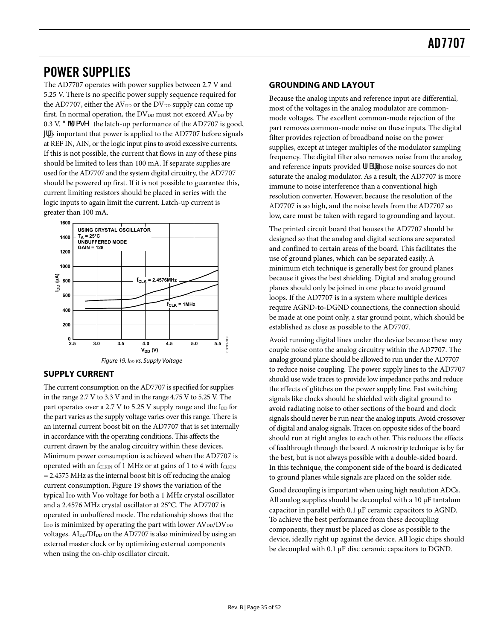## <span id="page-34-0"></span>POWER SUPPLIES

The AD7707 operates with power supplies between 2.7 V and 5.25 V. There is no specific power supply sequence required for the AD7707, either the  $AV_{DD}$  or the  $DV_{DD}$  supply can come up first. In normal operation, the  $DV_{DD}$  must not exceed  $AV_{DD}$  by 0.3 V. 3 'fZagYZ the latch-up performance of the AD7707 is good, If is important that power is applied to the AD7707 before signals at REF IN, AIN, or the logic input pins to avoid excessive currents. If this is not possible, the current that flows in any of these pins should be limited to less than 100 mA. If separate supplies are used for the AD7707 and the system digital circuitry, the AD7707 should be powered up first. If it is not possible to guarantee this, current limiting resistors should be placed in series with the logic inputs to again limit the current. Latch-up current is greater than 100 mA.



### <span id="page-34-1"></span>**SUPPLY CURRENT**

The current consumption on the AD7707 is specified for supplies in the range 2.7 V to 3.3 V and in the range 4.75 V to 5.25 V. The part operates over a 2.7 V to 5.25 V supply range and the  $I_{DD}$  for the part varies as the supply voltage varies over this range. There is an internal current boost bit on the AD7707 that is set internally in accordance with the operating conditions. This affects the current drawn by the analog circuitry within these devices. Minimum power consumption is achieved when the AD7707 is operated with an  $f_{CLKIN}$  of 1 MHz or at gains of 1 to 4 with  $f_{CLKIN}$ = 2.4575 MHz as the internal boost bit is off reducing the analog current consumption. [Figure 19](#page-34-1) shows the variation of the typical I<sub>DD</sub> with V<sub>DD</sub> voltage for both a 1 MHz crystal oscillator and a 2.4576 MHz crystal oscillator at 25°C. The AD7707 is operated in unbuffered mode. The relationship shows that the  $I_{DD}$  is minimized by operating the part with lower  $AV_{DD}/DV_{DD}$ voltages. AI<sub>DD</sub>/DI<sub>DD</sub> on the AD7707 is also minimized by using an external master clock or by optimizing external components when using the on-chip oscillator circuit.

#### **GROUNDING AND LAYOUT**

Because the analog inputs and reference input are differential, most of the voltages in the analog modulator are commonmode voltages. The excellent common-mode rejection of the part removes common-mode noise on these inputs. The digital filter provides rejection of broadband noise on the power supplies, except at integer multiples of the modulator sampling frequency. The digital filter also removes noise from the analog and reference inputs provided fZSf those noise sources do not saturate the analog modulator. As a result, the AD7707 is more immune to noise interference than a conventional high resolution converter. However, because the resolution of the AD7707 is so high, and the noise levels from the AD7707 so low, care must be taken with regard to grounding and layout.

The printed circuit board that houses the AD7707 should be designed so that the analog and digital sections are separated and confined to certain areas of the board. This facilitates the use of ground planes, which can be separated easily. A minimum etch technique is generally best for ground planes because it gives the best shielding. Digital and analog ground planes should only be joined in one place to avoid ground loops. If the AD7707 is in a system where multiple devices require AGND-to-DGND connections, the connection should be made at one point only, a star ground point, which should be established as close as possible to the AD7707.

Avoid running digital lines under the device because these may couple noise onto the analog circuitry within the AD7707. The analog ground plane should be allowed to run under the AD7707 to reduce noise coupling. The power supply lines to the AD7707 should use wide traces to provide low impedance paths and reduce the effects of glitches on the power supply line. Fast switching signals like clocks should be shielded with digital ground to avoid radiating noise to other sections of the board and clock signals should never be run near the analog inputs. Avoid crossover of digital and analog signals. Traces on opposite sides of the board should run at right angles to each other. This reduces the effects of feedthrough through the board. A microstrip technique is by far the best, but is not always possible with a double-sided board. In this technique, the component side of the board is dedicated to ground planes while signals are placed on the solder side.

Good decoupling is important when using high resolution ADCs. All analog supplies should be decoupled with a 10 μF tantalum capacitor in parallel with 0.1 μF ceramic capacitors to AGND. To achieve the best performance from these decoupling components, they must be placed as close as possible to the device, ideally right up against the device. All logic chips should be decoupled with 0.1 μF disc ceramic capacitors to DGND.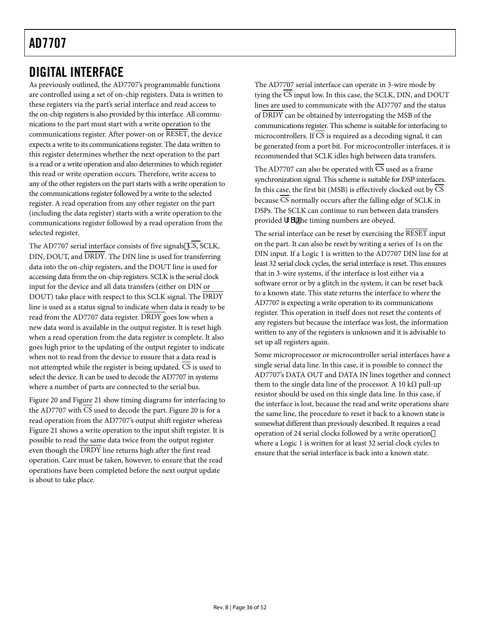## <span id="page-35-0"></span>DIGITAL INTERFACE

As previously outlined, the AD7707's programmable functions are controlled using a set of on-chip registers. Data is written to these registers via the part's serial interface and read access to the on-chip registers is also provided by this interface. All communications to the part must start with a write operation to the communications register. After power-on or RESET, the device expects a write to its communications register. The data written to this register determines whether the next operation to the part is a read or a write operation and also determines to which register this read or write operation occurs. Therefore, write access to any of the other registers on the part starts with a write operation to the communications register followed by a write to the selected register. A read operation from any other register on the part (including the data register) starts with a write operation to the communications register followed by a read operation from the selected register.

The AD7707 serial interface consists of five signals,  $\overline{\text{CS}}$ ,  $\overline{\text{SCLK}}$ , DIN, DOUT, and DRDY. The DIN line is used for transferring data into the on-chip registers, and the DOUT line is used for accessing data from the on-chip registers. SCLK is the serial clock input for the device and all data transfers (either on DIN or DOUT) take place with respect to this SCLK signal. The DRDY line is used as a status signal to indicate when data is ready to be read from the AD7707 data register. DRDY goes low when a new data word is available in the output register. It is reset high when a read operation from the data register is complete. It also goes high prior to the updating of the output register to indicate when not to read from the device to ensure that a data read is not attempted while the register is being updated.  $\overline{CS}$  is used to select the device. It can be used to decode the AD7707 in systems where a number of parts are connected to the serial bus.

[Figure 20](#page-36-1) and [Figure 21](#page-36-2) show timing diagrams for interfacing to theAD7707 with CS used to decode the part. Figure 20 is for a read operation from the AD7707's output shift register whereas [Figure 21](#page-36-2) shows a write operation to the input shift register. It is possible to read the same data twice from the output register even though the DRDY line returns high after the first read operation. Care must be taken, however, to ensure that the read operations have been completed before the next output update is about to take place.

The AD7707 serial interface can operate in 3-wire mode by tying the  $\overline{\text{CS}}$  input low. In this case, the SCLK, DIN, and DOUT lines are used to communicate with the AD7707 and the status of DRDY can be obtained by interrogating the MSB of the communications register. This scheme is suitable for interfacing to microcontrollers. If  $\overline{CS}$  is required as a decoding signal, it can be generated from a port bit. For microcontroller interfaces, it is recommended that SCLK idles high between data transfers.

The AD7707 can also be operated with  $\overline{\text{CS}}$  used as a frame synchronization signal. This scheme is suitable for DSP interfaces. In this case, the first bit (MSB) is effectively clocked out by  $\overline{\text{CS}}$ because  $\overline{\text{CS}}$  normally occurs after the falling edge of SCLK in DSPs. The SCLK can continue to run between data transfers provided fZSf the timing numbers are obeyed.

The serial interface can be reset by exercising the RESET input on the part. It can also be reset by writing a series of 1s on the DIN input. If a Logic 1 is written to the AD7707 DIN line for at least 32 serial clock cycles, the serial interface is reset. This ensures that in 3-wire systems, if the interface is lost either via a software error or by a glitch in the system, it can be reset back to a known state. This state returns the interface to where the AD7707 is expecting a write operation to its communications register. This operation in itself does not reset the contents of any registers but because the interface was lost, the information written to any of the registers is unknown and it is advisable to set up all registers again.

Some microprocessor or microcontroller serial interfaces have a single serial data line. In this case, it is possible to connect the AD7707's DATA OUT and DATA IN lines together and connect them to the single data line of the processor. A 10 k $\Omega$  pull-up resistor should be used on this single data line. In this case, if the interface is lost, because the read and write operations share the same line, the procedure to reset it back to a known state is somewhat different than previously described. It requires a read operation of 24 serial clocks followed by a write operation where a Logic 1 is written for at least 32 serial clock cycles to ensure that the serial interface is back into a known state.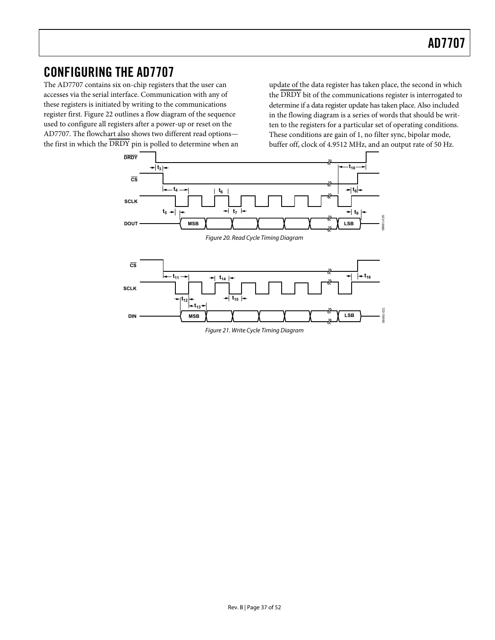## <span id="page-36-0"></span>CONFIGURING THE AD7707

The AD7707 contains six on-chip registers that the user can accesses via the serial interface. Communication with any of these registers is initiated by writing to the communications register first. [Figure 22](#page-37-0) outlines a flow diagram of the sequence used to configure all registers after a power-up or reset on the AD7707. The flowchart also shows two different read options the first in which the  $\overline{DRDY}$  pin is polled to determine when an update of the data register has taken place, the second in which the  $\overline{\text{DRDY}}$  bit of the communications register is interrogated to determine if a data register update has taken place. Also included in the flowing diagram is a series of words that should be written to the registers for a particular set of operating conditions. These conditions are gain of 1, no filter sync, bipolar mode, buffer off, clock of 4.9512 MHz, and an output rate of 50 Hz.

<span id="page-36-2"></span><span id="page-36-1"></span>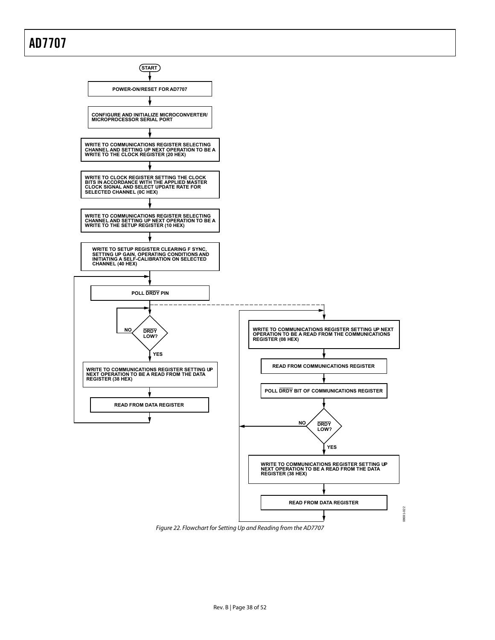

<span id="page-37-0"></span>Figure 22. Flowchart for Setting Up and Reading from the AD7707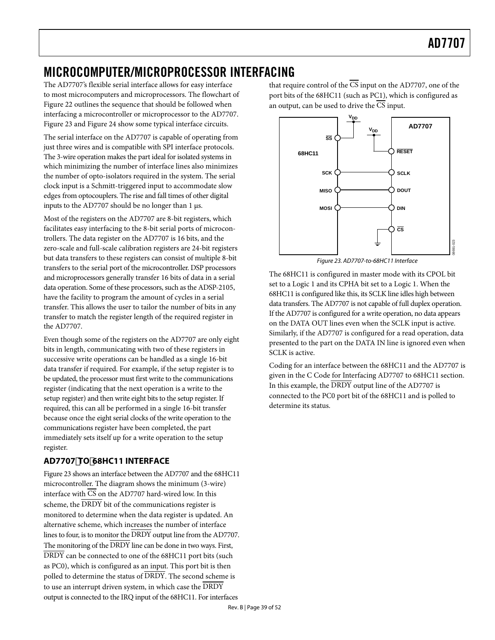## <span id="page-38-0"></span>MICROCOMPUTER/MICROPROCESSOR INTERFACING

The AD7707's flexible serial interface allows for easy interface to most microcomputers and microprocessors. The flowchart of [Figure 22](#page-37-0) outlines the sequence that should be followed when interfacing a microcontroller or microprocessor to the AD7707. [Figure 23](#page-38-1) and [Figure 24](#page-39-1) show some typical interface circuits.

The serial interface on the AD7707 is capable of operating from just three wires and is compatible with SPI interface protocols. The 3-wire operation makes the part ideal for isolated systems in which minimizing the number of interface lines also minimizes the number of opto-isolators required in the system. The serial clock input is a Schmitt-triggered input to accommodate slow edges from optocouplers. The rise and fall times of other digital inputs to the AD7707 should be no longer than 1 μs.

<span id="page-38-1"></span>Most of the registers on the AD7707 are 8-bit registers, which facilitates easy interfacing to the 8-bit serial ports of microcontrollers. The data register on the AD7707 is 16 bits, and the zero-scale and full-scale calibration registers are 24-bit registers but data transfers to these registers can consist of multiple 8-bit transfers to the serial port of the microcontroller. DSP processors and microprocessors generally transfer 16 bits of data in a serial data operation. Some of these processors, such as the ADSP-2105, have the facility to program the amount of cycles in a serial transfer. This allows the user to tailor the number of bits in any transfer to match the register length of the required register in the AD7707.

Even though some of the registers on the AD7707 are only eight bits in length, communicating with two of these registers in successive write operations can be handled as a single 16-bit data transfer if required. For example, if the setup register is to be updated, the processor must first write to the communications register (indicating that the next operation is a write to the setup register) and then write eight bits to the setup register. If required, this can all be performed in a single 16-bit transfer because once the eight serial clocks of the write operation to the communications register have been completed, the part immediately sets itself up for a write operation to the setup register.

## **[AD7707](#page-38-1)TO68HC11 INTERFACE**

Figure 23 shows an interface between the AD7707 and the 68HC11 microcontroller. The diagram shows the minimum (3-wire) interface with  $\overline{\text{CS}}$  on the AD7707 hard-wired low. In this scheme, the DRDY bit of the communications register is monitored to determine when the data register is updated. An alternative scheme, which increases the number of interface lines to four, is to monitor the DRDY output line from the AD7707. The monitoring of the  $\overline{\text{DRDY}}$  line can be done in two ways. First, DRDY can be connected to one of the 68HC11 port bits (such as PC0), which is configured as an input. This port bit is then polled to determine the status of DRDY. The second scheme is to use an interrupt driven system, in which case the DRDY output is connected to the IRQ input of the 68HC11. For interfaces

that require control of the  $\overline{\text{CS}}$  input on the AD7707, one of the port bits of the 68HC11 (such as PC1), which is configured as an output, can be used to drive the  $\overline{\text{CS}}$  input.



Figure 23. AD7707-to-68HC11 Interface

The 68HC11 is configured in master mode with its CPOL bit set to a Logic 1 and its CPHA bit set to a Logic 1. When the 68HC11 is configured like this, its SCLK line idles high between data transfers. The AD7707 is not capable of full duplex operation. If the AD7707 is configured for a write operation, no data appears on the DATA OUT lines even when the SCLK input is active. Similarly, if the AD7707 is configured for a read operation, data presented to the part on the DATA IN line is ignored even when SCLK is active.

Coding for an interface between the 68HC11 and the AD7707 is given in the [C Code for Interfacing AD7707 to 68HC11](#page-40-1) section. In this example, the DRDY output line of the AD7707 is connected to the PC0 port bit of the 68HC11 and is polled to determine its status.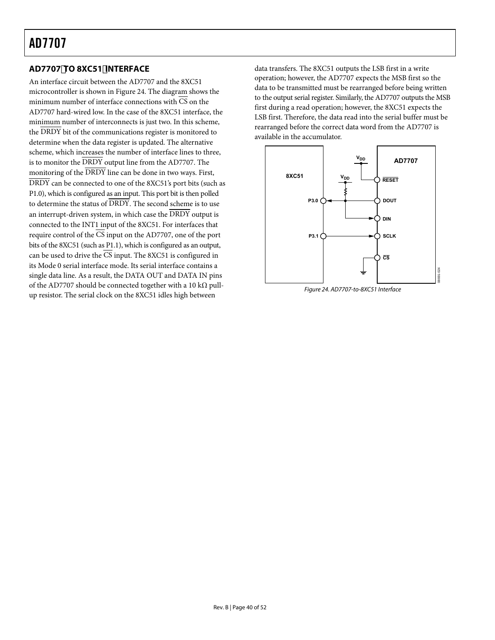## <span id="page-39-0"></span>**AD7707TO 8XC51INTERFACE**

<span id="page-39-1"></span>An interface circuit between the AD7707 and the 8XC51 microcontroller is shown in [Figure 24.](#page-39-1) The diagram shows the minimum number of interface connections with  $\overline{CS}$  on the AD7707 hard-wired low. In the case of the 8XC51 interface, the minimum number of interconnects is just two. In this scheme, the DRDY bit of the communications register is monitored to determine when the data register is updated. The alternative scheme, which increases the number of interface lines to three, is to monitor the DRDY output line from the AD7707. The monitoring of the DRDY line can be done in two ways. First, DRDY can be connected to one of the 8XC51's port bits (such as P1.0), which is configured as an input. This port bit is then polled to determine the status of  $\overline{DRDY}$ . The second scheme is to use an interrupt-driven system, in which case the  $\overline{\rm DRDY}$  output is connected to the INT1 input of the 8XC51. For interfaces that require control of the CS input on the AD7707, one of the port bits of the 8XC51 (such as P1.1), which is configured as an output, can be used to drive the  $\overline{CS}$  input. The 8XC51 is configured in its Mode 0 serial interface mode. Its serial interface contains a single data line. As a result, the DATA OUT and DATA IN pins of the AD7707 should be connected together with a 10 k $\Omega$  pullup resistor. The serial clock on the 8XC51 idles high between

data transfers. The 8XC51 outputs the LSB first in a write operation; however, the AD7707 expects the MSB first so the data to be transmitted must be rearranged before being written to the output serial register. Similarly, the AD7707 outputs the MSB first during a read operation; however, the 8XC51 expects the LSB first. Therefore, the data read into the serial buffer must be rearranged before the correct data word from the AD7707 is available in the accumulator.



Figure 24. AD7707-to-8XC51 Interface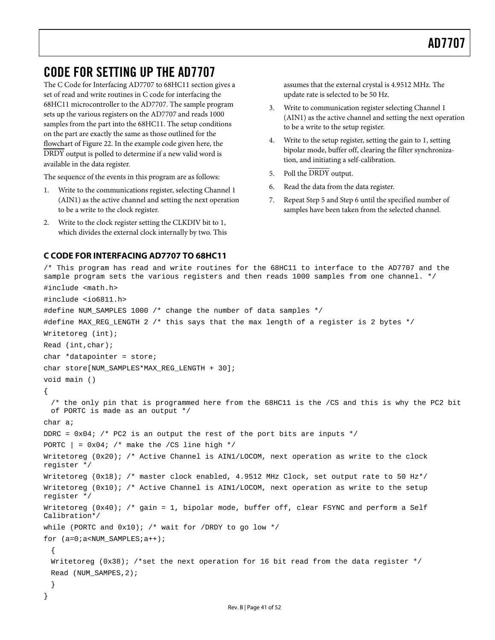## <span id="page-40-0"></span>CODE FOR SETTING UP THE AD7707

The [C Code for Interfacing AD7707 to 68HC11](#page-40-1) section gives a set of read and write routines in C code for interfacing the 68HC11 microcontroller to the AD7707. The sample program sets up the various registers on the AD7707 and reads 1000 samples from the part into the 68HC11. The setup conditions on the part are exactly the same as those outlined for the flowchart of [Figure 22](#page-37-0). In the example code given here, the DRDY output is polled to determine if a new valid word is available in the data register.

The sequence of the events in this program are as follows:

- 1. Write to the communications register, selecting Channel 1 (AIN1) as the active channel and setting the next operation to be a write to the clock register.
- 2. Write to the clock register setting the CLKDIV bit to 1, which divides the external clock internally by two. This

#### <span id="page-40-1"></span>**C CODE FOR INTERFACING AD7707 TO 68HC11**

assumes that the external crystal is 4.9512 MHz. The update rate is selected to be 50 Hz.

- 3. Write to communication register selecting Channel 1 (AIN1) as the active channel and setting the next operation to be a write to the setup register.
- 4. Write to the setup register, setting the gain to 1, setting bipolar mode, buffer off, clearing the filter synchronization, and initiating a self-calibration.
- 5. Poll the DRDY output.
- 6. Read the data from the data register.
- 7. Repeat Step 5 and Step 6 until the specified number of samples have been taken from the selected channel.

```
/* This program has read and write routines for the 68HC11 to interface to the AD7707 and the 
sample program sets the various registers and then reads 1000 samples from one channel. */ 
#include <math.h> 
#include <io6811.h> 
#define NUM_SAMPLES 1000 /* change the number of data samples */ 
#define MAX_REG_LENGTH 2 /* this says that the max length of a register is 2 bytes */ 
Writetoreg (int); 
Read (int,char); 
char *datapointer = store; 
char store[NUM_SAMPLES*MAX_REG_LENGTH + 30]; 
void main () 
{ 
 /* the only pin that is programmed here from the 68HC11 is the /CS and this is why the PC2 bit 
 of PORTC is made as an output */ 
char a; 
DDRC = 0x04; /* PC2 is an output the rest of the port bits are inputs */
PORTC \vert = 0x04; /* make the /CS line high */
Writetoreg (0x20); /* Active Channel is AIN1/LOCOM, next operation as write to the clock
register */ 
Writetoreg (0x18); /* master clock enabled, 4.9512 MHz Clock, set output rate to 50 Hz*/
Writetoreg (0x10); /* Active Channel is AIN1/LOCOM, next operation as write to the setup
register */ 
Writetoreg (0x40); /* gain = 1, bipolar mode, buffer off, clear FSYNC and perform a Self
Calibration*/ 
while (PORTC and 0x10); /* wait for /DRDY to go low */
for (a=0ia<NUM SAMPLES;a++);
 { 
 Writetoreg (0x38); /*set the next operation for 16 bit read from the data register */
 Read (NUM_SAMPES,2); 
  } 
}
```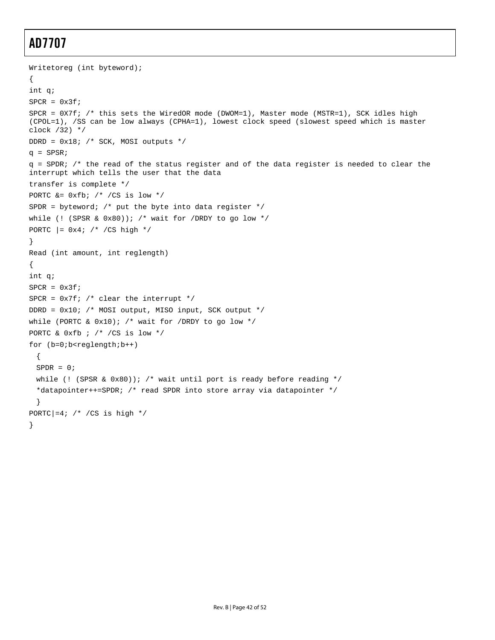```
Writetoreg (int byteword); 
{ 
int q; 
SPCR = 0x3f;SPCR = 0X7f; /* this sets the WiredOR mode (DWOM=1), Master mode (MSTR=1), SCK idles high
(CPOL=1), /SS can be low always (CPHA=1), lowest clock speed (slowest speed which is master 
clock /32) */ 
DDRD = 0x18; /* SCK, MOSI outputs */ 
q = SPSR;
q = SPDR; /* the read of the status register and of the data register is needed to clear the 
interrupt which tells the user that the data 
transfer is complete */ 
PORTC &= 0xfb; /* /CS is low */
SPDR = byteword; /* put the byte into data register */
while (! (SPSR & 0x80)); /* wait for /DRDY to go low */
PORTC |= 0x4; /* /CS high */
} 
Read (int amount, int reglength) 
{ 
int q; 
SPCR = 0x3f;SPCR = 0x7f; /* clear the interrupt */
DDRD = 0x10; /* MOSI output, MISO input, SCK output */ 
while (PORTC & 0x10); /* wait for /DRDY to go low */
PORTC & 0xfb ; /* /CS is low */
for (b=0,b<regular>reglength:b++){ 
 SPPR = 0;while (! (SPSR & 0x80)); /* wait until port is ready before reading */
 *datapointer++=SPDR; /* read SPDR into store array via datapointer */ 
 } 
PORTC|=4; /* /CS is high */
}
```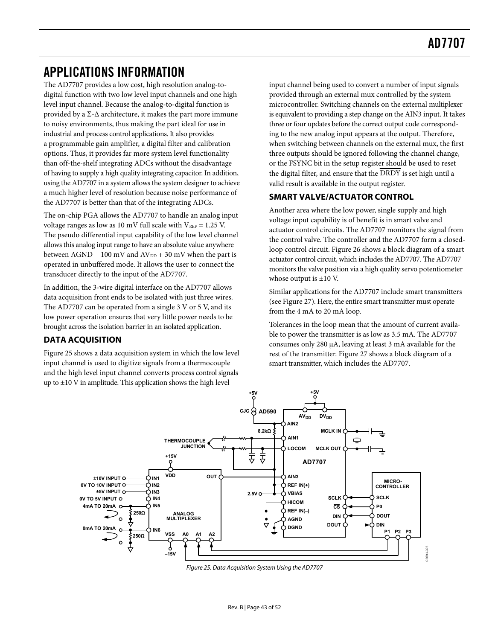## <span id="page-42-0"></span>APPLICATIONS INFORMATION

The AD7707 provides a low cost, high resolution analog-todigital function with two low level input channels and one high level input channel. Because the analog-to-digital function is provided by a Σ-Δ architecture, it makes the part more immune to noisy environments, thus making the part ideal for use in industrial and process control applications. It also provides a programmable gain amplifier, a digital filter and calibration options. Thus, it provides far more system level functionality than off-the-shelf integrating ADCs without the disadvantage of having to supply a high quality integrating capacitor. In addition, using the AD7707 in a system allows the system designer to achieve a much higher level of resolution because noise performance of the AD7707 is better than that of the integrating ADCs.

The on-chip PGA allows the AD7707 to handle an analog input voltage ranges as low as 10 mV full scale with  $V_{REF} = 1.25$  V. The pseudo differential input capability of the low level channel allows this analog input range to have an absolute value anywhere between AGND – 100 mV and  $AV_{DD}$  + 30 mV when the part is operated in unbuffered mode. It allows the user to connect the transducer directly to the input of the AD7707.

In addition, the 3-wire digital interface on the AD7707 allows data acquisition front ends to be isolated with just three wires. The AD7707 can be operated from a single 3 V or 5 V, and its low power operation ensures that very little power needs to be brought across the isolation barrier in an isolated application.

### **DATA ACQUISITION**

[Figure 25](#page-42-1) shows a data acquisition system in which the low level input channel is used to digitize signals from a thermocouple and the high level input channel converts process control signals up to ±10 V in amplitude. This application shows the high level

input channel being used to convert a number of input signals provided through an external mux controlled by the system microcontroller. Switching channels on the external multiplexer is equivalent to providing a step change on the AIN3 input. It takes three or four updates before the correct output code corresponding to the new analog input appears at the output. Therefore, when switching between channels on the external mux, the first three outputs should be ignored following the channel change, or the FSYNC bit in the setup register should be used to reset the digital filter, and ensure that the DRDY is set high until a valid result is available in the output register.

### **SMART VALVE/ACTUATOR CONTROL**

Another area where the low power, single supply and high voltage input capability is of benefit is in smart valve and actuator control circuits. The AD7707 monitors the signal from the control valve. The controller and the AD7707 form a closedloop control circuit. [Figure 26](#page-43-0) shows a block diagram of a smart actuator control circuit, which includes the AD7707. The AD7707 monitors the valve position via a high quality servo potentiometer whose output is ±10 V.

Similar applications for the AD7707 include smart transmitters (see [Figure 27](#page-43-1)). Here, the entire smart transmitter must operate from the 4 mA to 20 mA loop.

Tolerances in the loop mean that the amount of current available to power the transmitter is as low as 3.5 mA. The AD7707 consumes only 280 μA, leaving at least 3 mA available for the rest of the transmitter. [Figure 27](#page-43-1) shows a block diagram of a smart transmitter, which includes the AD7707.



<span id="page-42-1"></span>Figure 25. Data Acquisition System Using the AD7707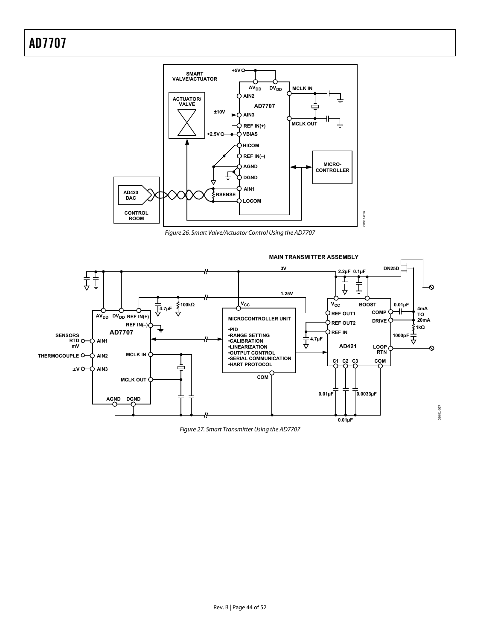

Figure 26. Smart Valve/Actuator Control Using the AD7707

<span id="page-43-1"></span><span id="page-43-0"></span>

Figure 27. Smart Transmitter Using the AD7707

08691-027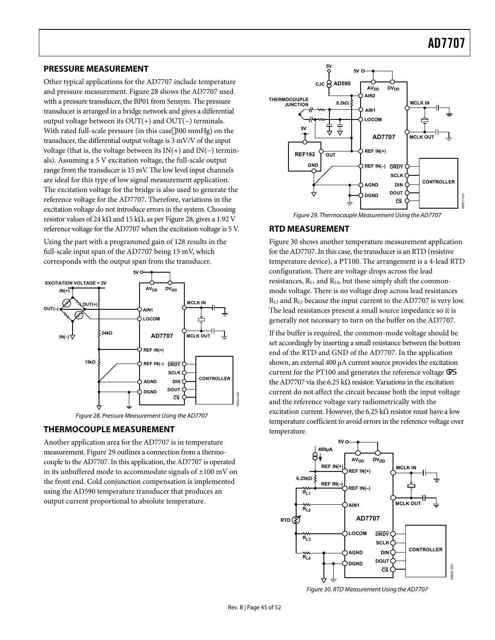#### <span id="page-44-0"></span>**PRESSURE MEASUREMENT**

Other typical applications for the AD7707 include temperature and pressure measurement. [Figure 28](#page-44-1) shows the AD7707 used with a pressure transducer, the BP01 from Sensym. The pressure transducer is arranged in a bridge network and gives a differential output voltage between its OUT(+) and OUT(−) terminals. With rated full-scale pressure (in this case 300 mmHg) on the transducer, the differential output voltage is 3 mV/V of the input voltage (that is, the voltage between its IN(+) and IN(−) terminals). Assuming a 5 V excitation voltage, the full-scale output range from the transducer is 15 mV. The low level input channels are ideal for this type of low signal measurement application. The excitation voltage for the bridge is also used to generate the reference voltage for the AD7707. Therefore, variations in the excitation voltage do not introduce errors in the system. Choosing resistor values of 24 kΩ and 15 kΩ, as per [Figure 28](#page-44-1), gives a 1.92 V reference voltage for the AD7707 when the excitation voltage is 5 V.

<span id="page-44-2"></span>Using the part with a programmed gain of 128 results in the full-scale input span of the AD7707 being 15 mV, which corresponds with the output span from the transducer.



Figure 28. Pressure Measurement Using the AD7707

#### <span id="page-44-1"></span>**THERMOCOUPLE MEASUREMENT**

<span id="page-44-3"></span>Another application area for the AD7707 is in temperature measurement. [Figure 29](#page-44-2) outlines a connection from a thermocouple to the AD7707. In this application, the AD7707 is operated in its unbuffered mode to accommodate signals of  $\pm 100$  mV on the front end. Cold conjunction compensation is implemented using the AD590 temperature transducer that produces an output current proportional to absolute temperature.





#### **RTD MEASUREMENT**

[Figure 30](#page-44-3) shows another temperature measurement application for the AD7707. In this case, the transducer is an RTD (resistive temperature device), a PT100. The arrangement is a 4-lead RTD configuration. There are voltage drops across the lead resistances, RL1 and RL4, but these simply shift the commonmode voltage. There is no voltage drop across lead resistances RL2 and RL3 because the input current to the AD7707 is very low. The lead resistances present a small source impedance so it is generally not necessary to turn on the buffer on the AD7707.

If the buffer is required, the common-mode voltage should be set accordingly by inserting a small resistance between the bottom end of the RTD and GND of the AD7707. In the application shown, an external 400 μA current source provides the excitation current for the PT100 and generates the reference voltage Xad the AD7707 via the 6.25 kΩ resistor. Variations in the excitation current do not affect the circuit because both the input voltage and the reference voltage vary radiometrically with the excitation current. However, the 6.25 kΩ resistor must have a low temperature coefficient to avoid errors in the reference voltage over temperature.



Figure 30. RTD Measurement Using the AD7707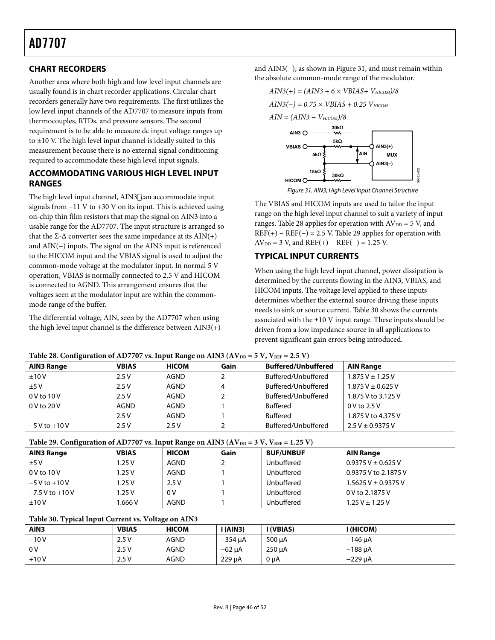### <span id="page-45-0"></span>**CHART RECORDERS**

Another area where both high and low level input channels are usually found is in chart recorder applications. Circular chart recorders generally have two requirements. The first utilizes the low level input channels of the AD7707 to measure inputs from thermocouples, RTDs, and pressure sensors. The second requirement is to be able to measure dc input voltage ranges up to  $\pm 10$  V. The high level input channel is ideally suited to this measurement because there is no external signal conditioning required to accommodate these high level input signals.

### **ACCOMMODATING VARIOUS HIGH LEVEL INPUT RANGES**

<span id="page-45-1"></span>The high level input channel, AIN3 can accommodate input signals from −11 V to +30 V on its input. This is achieved using on-chip thin film resistors that map the signal on AIN3 into a usable range for the AD7707. The input structure is arranged so that the Σ- $Δ$  converter sees the same impedance at its  $AIN(+)$ and AIN(−) inputs. The signal on the AIN3 input is referenced to the HICOM input and the VBIAS signal is used to adjust the common-mode voltage at the modulator input. In normal 5 V operation, VBIAS is normally connected to 2.5 V and HICOM is connected to AGND. This arrangement ensures that the voltages seen at the modulator input are within the commonmode range of the buffer.

The differential voltage, AIN, seen by the AD7707 when using the high level input channel is the difference between AIN3(+) and AIN3(−), as shown in [Figure 31,](#page-45-1) and must remain within the absolute common-mode range of the modulator.



Figure 31. AIN3, High Level Input Channel Structure

08691-031

The VBIAS and HICOM inputs are used to tailor the input range on the high level input channel to suit a variety of input ranges. [Table 28](#page-45-2) applies for operation with  $AV<sub>DD</sub> = 5 V$ , and  $REF(+) - REF(-) = 2.5$  V. [Table 29](#page-45-3) applies for operation with  $AV<sub>DD</sub> = 3 V$ , and  $REF(+) - REF(-) = 1.25 V$ .

### **TYPICAL INPUT CURRENTS**

When using the high level input channel, power dissipation is determined by the currents flowing in the AIN3, VBIAS, and HICOM inputs. The voltage level applied to these inputs determines whether the external source driving these inputs needs to sink or source current. [Table 30](#page-45-4) shows the currents associated with the ±10 V input range. These inputs should be driven from a low impedance source in all applications to prevent significant gain errors being introduced.

<span id="page-45-2"></span>

| <b>TWORK TO:</b> COMMEMORATION OF TAP 17 OF THE RULES ON TALLAPTINE TO 13 THE EXIST 1 |              |              |      |                            |                         |  |  |  |  |  |
|---------------------------------------------------------------------------------------|--------------|--------------|------|----------------------------|-------------------------|--|--|--|--|--|
| <b>AIN3 Range</b>                                                                     | <b>VBIAS</b> | <b>HICOM</b> | Gain | <b>Buffered/Unbuffered</b> | <b>AIN Range</b>        |  |  |  |  |  |
| ±10V                                                                                  | 2.5V         | AGND         |      | Buffered/Unbuffered        | $1.875V \pm 1.25V$      |  |  |  |  |  |
| ±5V                                                                                   | 2.5V         | <b>AGND</b>  | 4    | Buffered/Unbuffered        | $1.875$ V $\pm$ 0.625 V |  |  |  |  |  |
| $0V$ to $10V$                                                                         | 2.5V         | <b>AGND</b>  |      | Buffered/Unbuffered        | 1.875 V to 3.125 V      |  |  |  |  |  |
| 0 V to 20 V                                                                           | AGND         | <b>AGND</b>  |      | <b>Buffered</b>            | 0 V to 2.5 V            |  |  |  |  |  |
|                                                                                       | 2.5V         | AGND         |      | <b>Buffered</b>            | 1.875 V to 4.375 V      |  |  |  |  |  |
| $-5V$ to $+10V$                                                                       | 2.5V         | 2.5V         |      | Buffered/Unbuffered        | $2.5 V \pm 0.9375 V$    |  |  |  |  |  |

|  | Table 28. Configuration of AD7707 vs. Input Range on AIN3 ( $AV_{DD} = 5 V$ , $V_{REF} = 2.5 V$ ) |
|--|---------------------------------------------------------------------------------------------------|
|  |                                                                                                   |

Table 29. Configuration of AD7707 vs. Input Range on AIN3 ( $AV_{DD} = 3 V$ ,  $V_{REF} = 1.25 V$ )

<span id="page-45-3"></span>

| <b>AIN3 Range</b>   | <b>VBIAS</b> | <b>HICOM</b> | Gain | <b>BUF/UNBUF</b> | <b>AIN Range</b>          |
|---------------------|--------------|--------------|------|------------------|---------------------------|
| ±5V                 | .25 V        | <b>AGND</b>  | ∠    | Unbuffered       | $0.9375V + 0.625V$        |
| $0V$ to $10V$       | 1.25V        | <b>AGND</b>  |      | Unbuffered       | 0.9375 V to 2.1875 V      |
| $-5$ V to $+10$ V   | I.25 V       | 2.5V         |      | Unbuffered       | $1.5625$ V $\pm$ 0.9375 V |
| $-7.5$ V to $+10$ V | .25 V        | 0V           |      | Unbuffered       | 0 V to 2.1875 V           |
| ±10V                | .666V        | <b>AGND</b>  |      | Unbuffered       | $1.25$ V $\pm$ 1.25 V     |

**Table 30. Typical Input Current vs. Voltage on AIN3** 

<span id="page-45-4"></span>

| $\overline{\phantom{a}}$<br>AIN <sub>3</sub> | <b>VBIAS</b> | <b>HICOM</b> | (AIN3)       | (VBIAS)     | I (HICOM)      |
|----------------------------------------------|--------------|--------------|--------------|-------------|----------------|
| $-10V$                                       | 2.5V         | <b>AGND</b>  | $-354 \mu A$ | $500 \mu A$ | $-146$ $\mu$ A |
| 0V                                           | 2.5V         | <b>AGND</b>  | $-62 \mu A$  | $250 \mu A$ | $-188$ uA      |
| $+10V$                                       | 2.5V         | <b>AGND</b>  | 229 uA       | $0 \mu A$   | $-229$ uA      |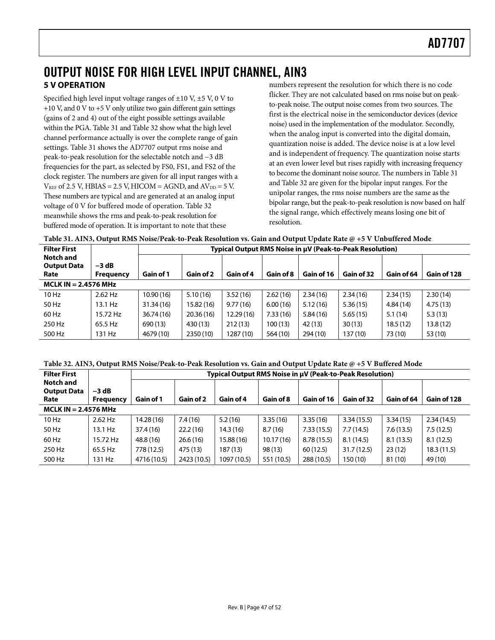## <span id="page-46-1"></span><span id="page-46-0"></span>OUTPUT NOISE FOR HIGH LEVEL INPUT CHANNEL, AIN3 **5 V OPERATION**

Specified high level input voltage ranges of  $\pm 10$  V,  $\pm 5$  V, 0 V to +10 V, and 0 V to +5 V only utilize two gain different gain settings (gains of 2 and 4) out of the eight possible settings available within the PGA. [Table 31](#page-46-2) and [Table 32](#page-46-3) show what the high level channel performance actually is over the complete range of gain settings. [Table 31](#page-46-2) shows the AD7707 output rms noise and peak-to-peak resolution for the selectable notch and −3 dB frequencies for the part, as selected by FS0, FS1, and FS2 of the clock register. The numbers are given for all input ranges with a  $V<sub>REF</sub>$  of 2.5 V, HBIAS = 2.5 V, HICOM = AGND, and  $AV<sub>DD</sub>$  = 5 V. These numbers are typical and are generated at an analog input voltage of 0 V for buffered mode of operation. [Table 32](#page-46-3) meanwhile shows the rms and peak-to-peak resolution for buffered mode of operation. It is important to note that these

numbers represent the resolution for which there is no code flicker. They are not calculated based on rms noise but on peakto-peak noise. The output noise comes from two sources. The first is the electrical noise in the semiconductor devices (device noise) used in the implementation of the modulator. Secondly, when the analog input is converted into the digital domain, quantization noise is added. The device noise is at a low level and is independent of frequency. The quantization noise starts at an even lower level but rises rapidly with increasing frequency to become the dominant noise source. The numbers in [Table 31](#page-46-2) and [Table 32](#page-46-3) are given for the bipolar input ranges. For the unipolar ranges, the rms noise numbers are the same as the bipolar range, but the peak-to-peak resolution is now based on half the signal range, which effectively means losing one bit of resolution.

<span id="page-46-2"></span>

|                     | Table 31. AIN3, Output RMS Noise/Peak-to-Peak Resolution vs. Gain and Output Update Rate @ +5 V Unbuffered Mode |  |  |  |  |  |                                                          |  |  |  |  |
|---------------------|-----------------------------------------------------------------------------------------------------------------|--|--|--|--|--|----------------------------------------------------------|--|--|--|--|
| <b>Filter First</b> |                                                                                                                 |  |  |  |  |  | Typical Output RMS Noise in µV (Peak-to-Peak Resolution) |  |  |  |  |
| Natale and          |                                                                                                                 |  |  |  |  |  |                                                          |  |  |  |  |

| Notch and<br><b>Output Data</b> | $-3$ dB          |            |            |           |           |            |            |            |             |
|---------------------------------|------------------|------------|------------|-----------|-----------|------------|------------|------------|-------------|
| Rate                            | <b>Frequency</b> | Gain of 1  | Gain of 2  | Gain of 4 | Gain of 8 | Gain of 16 | Gain of 32 | Gain of 64 | Gain of 128 |
| $MCLK IN = 2.4576 MHz$          |                  |            |            |           |           |            |            |            |             |
| 10 Hz                           | $2.62$ Hz        | 10.90(16)  | 5.10(16)   | 3.52(16)  | 2.62(16)  | 2.34(16)   | 2.34(16)   | 2.34(15)   | 2.30(14)    |
| 50 Hz                           | 13.1 Hz          | 31.34(16)  | 15.82 (16) | 9.77(16)  | 6.00(16)  | 5.12(16)   | 5.36(15)   | 4.84(14)   | 4.75(13)    |
| 60 Hz                           | 15.72 Hz         | 36.74 (16) | 20.36(16)  | 12.29(16) | 7.33(16)  | 5.84(16)   | 5.65(15)   | 5.1(14)    | 5.3(13)     |
| 250 Hz                          | 65.5 Hz          | 690 (13)   | 430 (13)   | 212(13)   | 100 (13)  | 42 (13)    | 30(13)     | 18.5(12)   | 13.8(12)    |
| 500 Hz                          | 131 Hz           | 4679 (10)  | 2350 (10)  | 1287 (10) | 564 (10)  | 294 (10)   | 137 (10)   | 73 (10)    | 53 (10)     |

| Table 32. AIN3, Output RMS Noise/Peak-to-Peak Resolution vs. Gain and Output Update Rate @ +5 V Buffered Mode |  |  |
|---------------------------------------------------------------------------------------------------------------|--|--|
|---------------------------------------------------------------------------------------------------------------|--|--|

<span id="page-46-3"></span>

| <b>Filter First</b>        | Typical Output RMS Noise in µV (Peak-to-Peak Resolution) |             |             |             |            |            |            |            |             |
|----------------------------|----------------------------------------------------------|-------------|-------------|-------------|------------|------------|------------|------------|-------------|
| Notch and                  |                                                          |             |             |             |            |            |            |            |             |
| <b>Output Data</b><br>Rate | $-3$ dB<br><b>Frequency</b>                              | Gain of 1   | Gain of 2   | Gain of 4   | Gain of 8  | Gain of 16 | Gain of 32 | Gain of 64 | Gain of 128 |
|                            |                                                          |             |             |             |            |            |            |            |             |
| MCLK IN $= 2.4576$ MHz     |                                                          |             |             |             |            |            |            |            |             |
| 10 Hz                      | $2.62$ Hz                                                | 14.28 (16)  | 7.4(16)     | 5.2(16)     | 3.35(16)   | 3.35(16)   | 3.34(15.5) | 3.34(15)   | 2.34(14.5)  |
| 50 Hz                      | 13.1 Hz                                                  | 37.4 (16)   | 22.2(16)    | 14.3(16)    | 8.7(16)    | 7.33(15.5) | 7.7(14.5)  | 7.6(13.5)  | 7.5(12.5)   |
| 60 Hz                      | 15.72 Hz                                                 | 48.8 (16)   | 26.6(16)    | 15.88 (16)  | 10.17(16)  | 8.78(15.5) | 8.1(14.5)  | 8.1(13.5)  | 8.1(12.5)   |
| 250 Hz                     | 65.5 Hz                                                  | 778 (12.5)  | 475 (13)    | 187 (13)    | 98(13)     | 60(12.5)   | 31.7(12.5) | 23(12)     | 18.3 (11.5) |
| 500 Hz                     | 131 Hz                                                   | 4716 (10.5) | 2423 (10.5) | 1097 (10.5) | 551 (10.5) | 288 (10.5) | 150(10)    | 81 (10)    | 49 (10)     |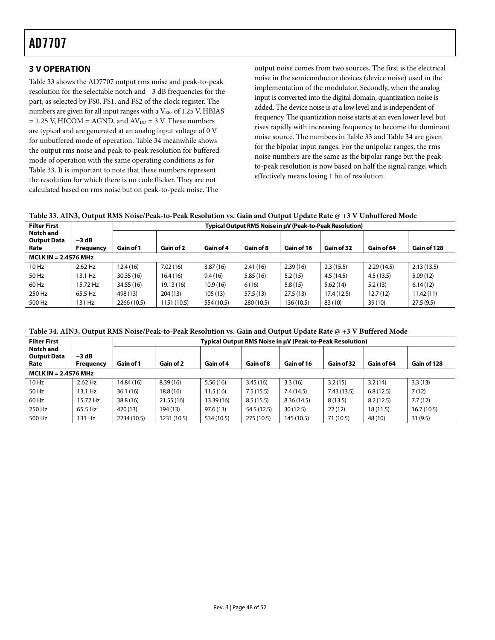### <span id="page-47-0"></span>**3 V OPERATION**

[Table 33](#page-47-1) shows the AD7707 output rms noise and peak-to-peak resolution for the selectable notch and −3 dB frequencies for the part, as selected by FS0, FS1, and FS2 of the clock register. The numbers are given for all input ranges with a VREF of 1.25 V, HBIAS  $= 1.25$  V, HICOM = AGND, and AV<sub>DD</sub> = 3 V. These numbers are typical and are generated at an analog input voltage of 0 V for unbuffered mode of operation. [Table 34](#page-47-2) meanwhile shows the output rms noise and peak-to-peak resolution for buffered mode of operation with the same operating conditions as for [Table 33.](#page-47-1) It is important to note that these numbers represent the resolution for which there is no code flicker. They are not calculated based on rms noise but on peak-to-peak noise. The

output noise comes from two sources. The first is the electrical noise in the semiconductor devices (device noise) used in the implementation of the modulator. Secondly, when the analog input is converted into the digital domain, quantization noise is added. The device noise is at a low level and is independent of frequency. The quantization noise starts at an even lower level but rises rapidly with increasing frequency to become the dominant noise source. The numbers in [Table 33](#page-47-1) and [Table 34](#page-47-2) are given for the bipolar input ranges. For the unipolar ranges, the rms noise numbers are the same as the bipolar range but the peakto-peak resolution is now based on half the signal range, which effectively means losing 1 bit of resolution.

**Table 33. AIN3, Output RMS Noise/Peak-to-Peak Resolution vs. Gain and Output Update Rate @ +3 V Unbuffered Mode** 

<span id="page-47-1"></span>

| <b>Filter First</b>                            |                             | Typical Output RMS Noise in µV (Peak-to-Peak Resolution) |             |            |            |            |             |            |             |
|------------------------------------------------|-----------------------------|----------------------------------------------------------|-------------|------------|------------|------------|-------------|------------|-------------|
| <b>Notch and</b><br><b>Output Data</b><br>Rate | $-3$ dB<br><b>Frequency</b> | Gain of 1                                                | Gain of 2   | Gain of 4  | Gain of 8  | Gain of 16 | Gain of 32  | Gain of 64 | Gain of 128 |
| MCLK IN $= 2.4576$ MHz                         |                             |                                                          |             |            |            |            |             |            |             |
| $10$ Hz                                        | $2.62$ Hz                   | 12.4(16)                                                 | 7.02(16)    | 3.87(16)   | 2.41(16)   | 2.39(16)   | 2.3(15.5)   | 2.29(14.5) | 2.13(13.5)  |
| 50 Hz                                          | 13.1 Hz                     | 30.35(16)                                                | 16.4(16)    | 9.4(16)    | 5.85(16)   | 5.2(15)    | 4.5(14.5)   | 4.5(13.5)  | 5.09(12)    |
| 60 Hz                                          | 15.72 Hz                    | 34.55 (16)                                               | 19.13 (16)  | 10.9(16)   | 6(16)      | 5.8(15)    | 5.62(14)    | 5.2(13)    | 6.14(12)    |
| 250 Hz                                         | 65.5 Hz                     | 498 (13)                                                 | 204(13)     | 105 (13)   | 57.5 (13)  | 27.5(13)   | 17.4 (12.5) | 12.7(12)   | 11.42(11)   |
| 500 Hz                                         | 131 Hz                      | 2266 (10.5)                                              | 1151 (10.5) | 554 (10.5) | 280 (10.5) | 136 (10.5) | 83 (10)     | 39(10)     | 27.5(9.5)   |

**Table 34. AIN3, Output RMS Noise/Peak-to-Peak Resolution vs. Gain and Output Update Rate @ +3 V Buffered Mode** 

<span id="page-47-2"></span>

| <b>Filter First</b>                            |                      |             |             |            | Typical Output RMS Noise in µV (Peak-to-Peak Resolution) |            |            |            |             |  |
|------------------------------------------------|----------------------|-------------|-------------|------------|----------------------------------------------------------|------------|------------|------------|-------------|--|
| <b>Notch and</b><br><b>Output Data</b><br>Rate | $-3 dB$<br>Frequency | Gain of 1   | Gain of 2   | Gain of 4  | Gain of 8                                                | Gain of 16 | Gain of 32 | Gain of 64 | Gain of 128 |  |
| MCLK IN $= 2.4576$ MHz                         |                      |             |             |            |                                                          |            |            |            |             |  |
| $10$ Hz                                        | 2.62 Hz              | 14.84 (16)  | 8.39(16)    | 5.56(16)   | 3.45(16)                                                 | 3.3(16)    | 3.2(15)    | 3.2(14)    | 3.3(13)     |  |
| 50 Hz                                          | 13.1 Hz              | 36.1(16)    | 18.8(16)    | 11.5(16)   | 7.5(15.5)                                                | 7.4 (14.5) | 7.43(13.5) | 6.8(12.5)  | 7(12)       |  |
| 60 Hz                                          | 15.72 Hz             | 38.8 (16)   | 21.55(16)   | 13.39 (16) | 8.5(15.5)                                                | 8.36(14.5) | 8(13.5)    | 8.2(12.5)  | 7.7(12)     |  |
| 250 Hz                                         | 65.5 Hz              | 420 (13)    | 194 (13)    | 97.6(13)   | 54.5 (12.5)                                              | 30(12.5)   | 22(12)     | 18(11.5)   | 16.7(10.5)  |  |
| 500 Hz                                         | 131 Hz               | 2234 (10.5) | 1231 (10.5) | 534 (10.5) | 275 (10.5)                                               | 145 (10.5) | 71 (10.5)  | 48 (10)    | 31(9.5)     |  |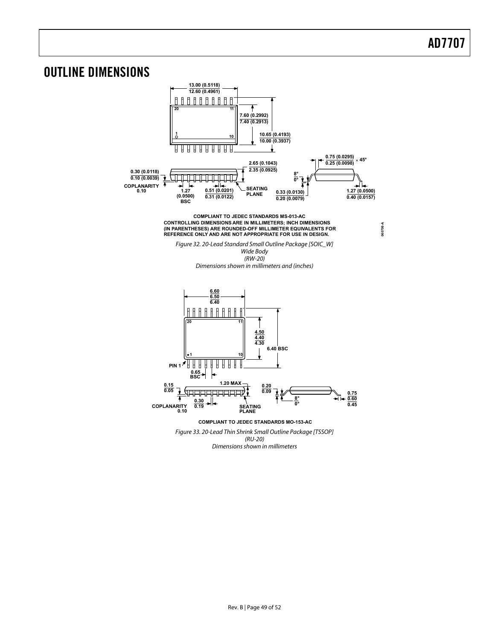## <span id="page-48-0"></span>OUTLINE DIMENSIONS

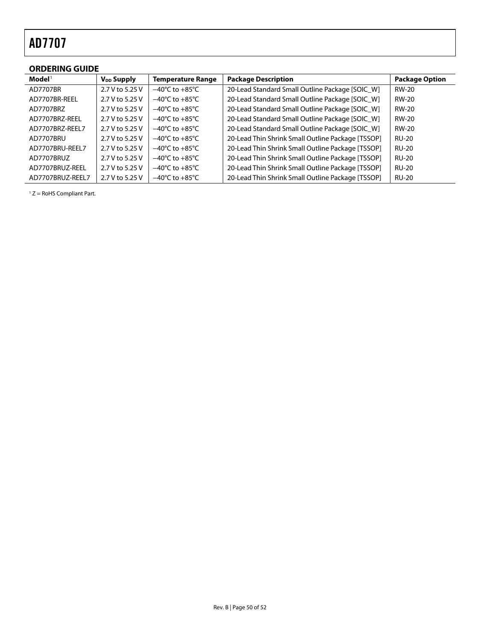## <span id="page-49-0"></span>**ORDERING GUIDE**

| $\mathbf{Model}^{\mathsf{T}}$ | $V_{DD}$ Supply | <b>Temperature Range</b>           | <b>Package Description</b>                        | <b>Package Option</b> |
|-------------------------------|-----------------|------------------------------------|---------------------------------------------------|-----------------------|
| AD7707BR                      | 2.7 V to 5.25 V | $-40^{\circ}$ C to $+85^{\circ}$ C | 20-Lead Standard Small Outline Package [SOIC W]   | <b>RW-20</b>          |
| AD7707BR-REEL                 | 2.7 V to 5.25 V | $-40^{\circ}$ C to $+85^{\circ}$ C | 20-Lead Standard Small Outline Package [SOIC_W]   | <b>RW-20</b>          |
| AD7707BRZ                     | 2.7 V to 5.25 V | $-40^{\circ}$ C to $+85^{\circ}$ C | 20-Lead Standard Small Outline Package [SOIC W]   | <b>RW-20</b>          |
| AD7707BRZ-REEL                | 2.7 V to 5.25 V | $-40^{\circ}$ C to $+85^{\circ}$ C | 20-Lead Standard Small Outline Package [SOIC_W]   | <b>RW-20</b>          |
| AD7707BRZ-REEL7               | 2.7 V to 5.25 V | $-40^{\circ}$ C to $+85^{\circ}$ C | 20-Lead Standard Small Outline Package [SOIC W]   | <b>RW-20</b>          |
| AD7707BRU                     | 2.7 V to 5.25 V | $-40^{\circ}$ C to $+85^{\circ}$ C | 20-Lead Thin Shrink Small Outline Package [TSSOP] | <b>RU-20</b>          |
| AD7707BRU-REEL7               | 2.7 V to 5.25 V | $-40^{\circ}$ C to $+85^{\circ}$ C | 20-Lead Thin Shrink Small Outline Package [TSSOP] | <b>RU-20</b>          |
| AD7707BRUZ                    | 2.7 V to 5.25 V | $-40^{\circ}$ C to $+85^{\circ}$ C | 20-Lead Thin Shrink Small Outline Package [TSSOP] | <b>RU-20</b>          |
| AD7707BRUZ-REEL               | 2.7 V to 5.25 V | $-40^{\circ}$ C to $+85^{\circ}$ C | 20-Lead Thin Shrink Small Outline Package [TSSOP] | <b>RU-20</b>          |
| AD7707BRUZ-REEL7              | 2.7 V to 5.25 V | $-40^{\circ}$ C to $+85^{\circ}$ C | 20-Lead Thin Shrink Small Outline Package [TSSOP] | <b>RU-20</b>          |

 $1 Z =$  RoHS Compliant Part.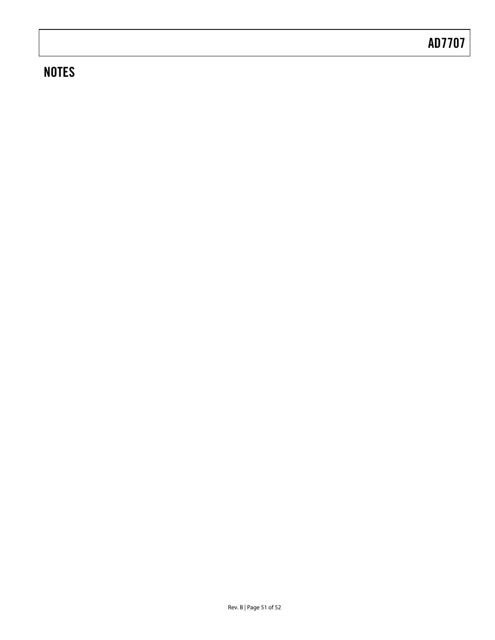# **NOTES**